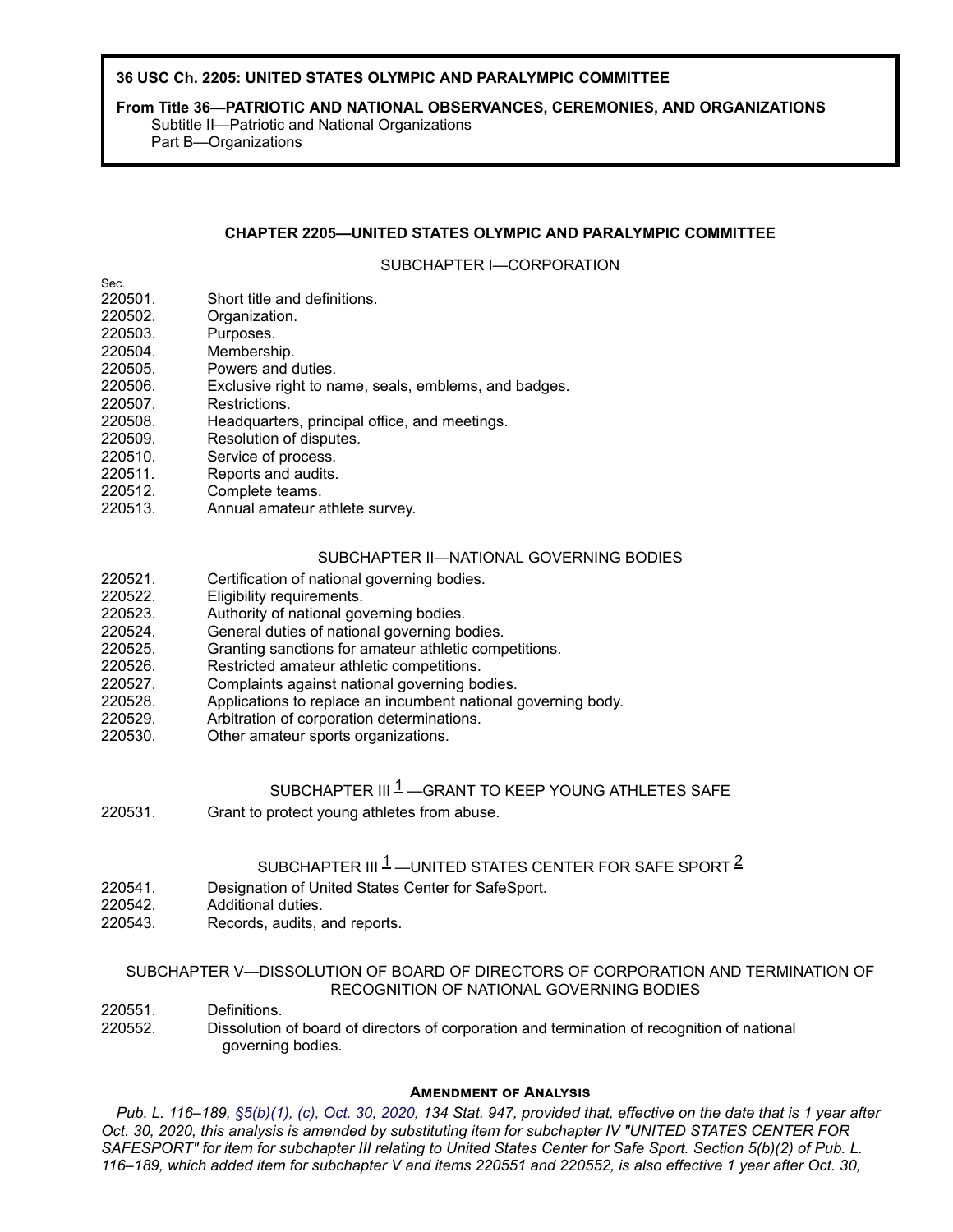### **36 USC Ch. 2205: UNITED STATES OLYMPIC AND PARALYMPIC COMMITTEE**

**From Title 36—PATRIOTIC AND NATIONAL OBSERVANCES, CEREMONIES, AND ORGANIZATIONS** 

Subtitle II—Patriotic and National Organizations Part B—Organizations

#### **CHAPTER 2205—UNITED STATES OLYMPIC AND PARALYMPIC COMMITTEE**

[SUBCHAPTER I—CORPORATION](#page-1-0) 

| OU.     |                                                      |
|---------|------------------------------------------------------|
| 220501. | Short title and definitions.                         |
| 220502. | Organization.                                        |
| 220503. | Purposes.                                            |
| 220504. | Membership.                                          |
| 220505. | Powers and duties.                                   |
| 220506. | Exclusive right to name, seals, emblems, and badges. |
| 220507. | Restrictions.                                        |
| 220508. | Headquarters, principal office, and meetings.        |
| 220509. | Resolution of disputes.                              |
| 220510. | Service of process.                                  |
| 220511. | Reports and audits.                                  |
| 220512. | Complete teams.                                      |
|         |                                                      |

220513. [Annual amateur athlete survey.](#page-17-0) 

#### [SUBCHAPTER II—NATIONAL GOVERNING BODIES](#page-17-1)

- 220521. [Certification of national governing bodies.](#page-17-2)
- 220522. [Eligibility requirements.](#page-18-0)

Sec.

- 220523. [Authority of national governing bodies.](#page-21-0)
- 220524. [General duties of national governing bodies.](#page-22-0)
- 220525. [Granting sanctions for amateur athletic competitions.](#page-23-0)
- 220526. [Restricted amateur athletic competitions.](#page-25-0)
- 220527. [Complaints against national governing bodies.](#page-25-1)
- 220528. [Applications to replace an incumbent national governing body.](#page-26-0)
- 220529. [Arbitration of corporation determinations.](#page-27-0)
- 220530. [Other amateur sports organizations.](#page-29-0)

### SUBCHAPTER III  $1$  -GRANT TO KEEP YOUNG ATHLETES SAFE

220531. [Grant to protect young athletes from abuse.](#page-29-2) 

### SUBCHAPTER III  $1$  —UNITED STATES CENTER FOR SAFE SPORT  $2$

- 220541. [Designation of United States Center for SafeSport.](#page-31-0)
- 220542. [Additional duties.](#page-35-0)
- 220543. [Records, audits, and reports.](#page-38-0)

### SUBCHAPTER V—DISSOLUTION OF BOARD OF DIRECTORS OF CORPORATION AND TERMINATION OF RECOGNITION OF NATIONAL GOVERNING BODIES

- 220551. Definitions.
- 220552. Dissolution of board of directors of corporation and termination of recognition of national governing bodies.

#### **AMENDMENT OF ANALYSIS**

*[Pub. L. 116–189, §5\(b\)\(1\), \(c\), Oct. 30, 2020, 134 Stat. 947,](https://uscode.house.gov/statviewer.htm?volume=134&page=947) provided that, effective on the date that is 1 year after Oct. 30, 2020, this analysis is amended by substituting item for subchapter IV "UNITED STATES CENTER FOR SAFESPORT" for item for subchapter III relating to United States Center for Safe Sport. Section 5(b)(2) of Pub. L. 116–189, which added item for subchapter V and items 220551 and 220552, is also effective 1 year after Oct. 30,*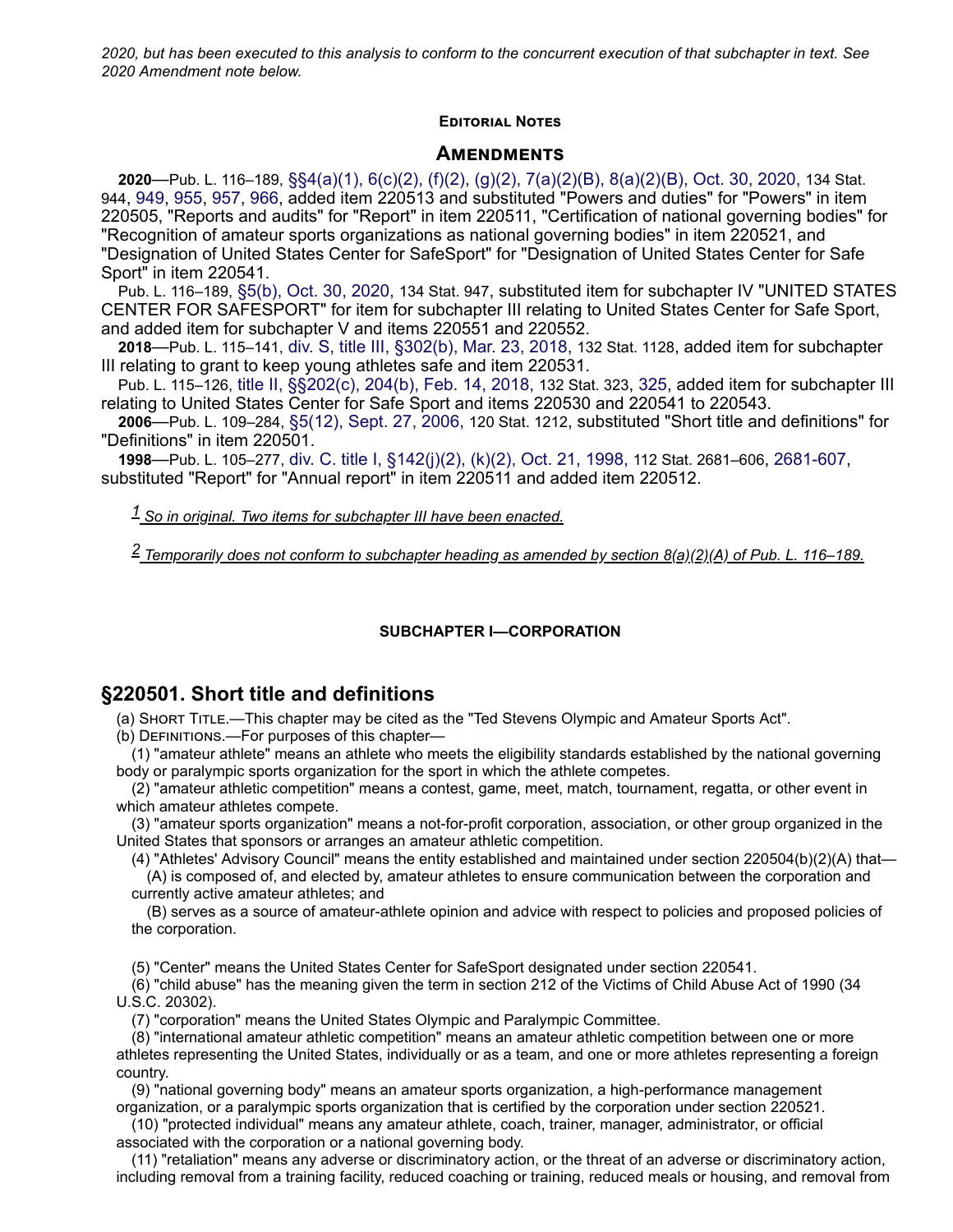*2020, but has been executed to this analysis to conform to the concurrent execution of that subchapter in text. See 2020 Amendment note below.* 

#### **EDITORIAL NOTES**

### **AMENDMENTS**

**2020**—Pub. L. 116–189, [§§4\(a\)\(1\), 6\(c\)\(2\), \(f\)\(2\), \(g\)\(2\), 7\(a\)\(2\)\(B\), 8\(a\)\(2\)\(B\), Oct. 30, 2020,](https://uscode.house.gov/statviewer.htm?volume=134&page=944) 134 Stat. [944](https://uscode.house.gov/statviewer.htm?volume=134&page=944), [949,](https://uscode.house.gov/statviewer.htm?volume=134&page=949) [955](https://uscode.house.gov/statviewer.htm?volume=134&page=955), [957,](https://uscode.house.gov/statviewer.htm?volume=134&page=957) [966](https://uscode.house.gov/statviewer.htm?volume=134&page=966), added item 220513 and substituted "Powers and duties" for "Powers" in item 220505, "Reports and audits" for "Report" in item 220511, "Certification of national governing bodies" for "Recognition of amateur sports organizations as national governing bodies" in item 220521, and "Designation of United States Center for SafeSport" for "Designation of United States Center for Safe Sport" in item 220541.

Pub. L. 116–189, [§5\(b\), Oct. 30, 2020,](https://uscode.house.gov/statviewer.htm?volume=134&page=947) 134 Stat. 947, substituted item for subchapter IV "UNITED STATES CENTER FOR SAFESPORT" for item for subchapter III relating to United States Center for Safe Sport, and added item for subchapter V and items 220551 and 220552.

**2018**—Pub. L. 115–141, [div. S, title III, §302\(b\), Mar. 23, 2018,](https://uscode.house.gov/statviewer.htm?volume=132&page=1128) 132 Stat. 1128, added item for subchapter III relating to grant to keep young athletes safe and item 220531.

Pub. L. 115–126, [title II, §§202\(c\), 204\(b\), Feb. 14, 2018,](https://uscode.house.gov/statviewer.htm?volume=132&page=323) 132 Stat. 323, [325,](https://uscode.house.gov/statviewer.htm?volume=132&page=325) added item for subchapter III relating to United States Center for Safe Sport and items 220530 and 220541 to 220543.

**2006**—Pub. L. 109–284, [§5\(12\), Sept. 27, 2006,](https://uscode.house.gov/statviewer.htm?volume=120&page=1212) 120 Stat. 1212, substituted "Short title and definitions" for "Definitions" in item 220501.

**1998**—Pub. L. 105–277, [div. C. title I, §142\(j\)\(2\), \(k\)\(2\), Oct. 21, 1998,](https://uscode.house.gov/statviewer.htm?volume=112&page=2681-606) 112 Stat. 2681–606, [2681-607,](https://uscode.house.gov/statviewer.htm?volume=112&page=2681-607) substituted "Report" for "Annual report" in item 220511 and added item 220512.

*1 So in original. Two items for subchapter III have been enacted.* 

*2 Temporarily does not conform to subchapter heading as amended by section 8(a)(2)(A) of Pub. L. 116–189.* 

### <span id="page-1-0"></span>**SUBCHAPTER I—CORPORATION**

### <span id="page-1-1"></span>**§220501. Short title and definitions**

(a) SHORT TITLE.—This chapter may be cited as the "Ted Stevens Olympic and Amateur Sports Act".

(b) DEFINITIONS.—For purposes of this chapter—

(1) "amateur athlete" means an athlete who meets the eligibility standards established by the national governing body or paralympic sports organization for the sport in which the athlete competes.

(2) "amateur athletic competition" means a contest, game, meet, match, tournament, regatta, or other event in which amateur athletes compete.

(3) "amateur sports organization" means a not-for-profit corporation, association, or other group organized in the United States that sponsors or arranges an amateur athletic competition.

(4) "Athletes' Advisory Council" means the entity established and maintained under section 220504(b)(2)(A) that— (A) is composed of, and elected by, amateur athletes to ensure communication between the corporation and currently active amateur athletes; and

(B) serves as a source of amateur-athlete opinion and advice with respect to policies and proposed policies of the corporation.

(5) "Center" means the United States Center for SafeSport designated under section 220541.

(6) "child abuse" has the meaning given the term in section 212 of the Victims of Child Abuse Act of 1990 (34 U.S.C. 20302).

(7) "corporation" means the United States Olympic and Paralympic Committee.

(8) "international amateur athletic competition" means an amateur athletic competition between one or more athletes representing the United States, individually or as a team, and one or more athletes representing a foreign country.

(9) "national governing body" means an amateur sports organization, a high-performance management organization, or a paralympic sports organization that is certified by the corporation under section 220521.

(10) "protected individual" means any amateur athlete, coach, trainer, manager, administrator, or official associated with the corporation or a national governing body.

(11) "retaliation" means any adverse or discriminatory action, or the threat of an adverse or discriminatory action, including removal from a training facility, reduced coaching or training, reduced meals or housing, and removal from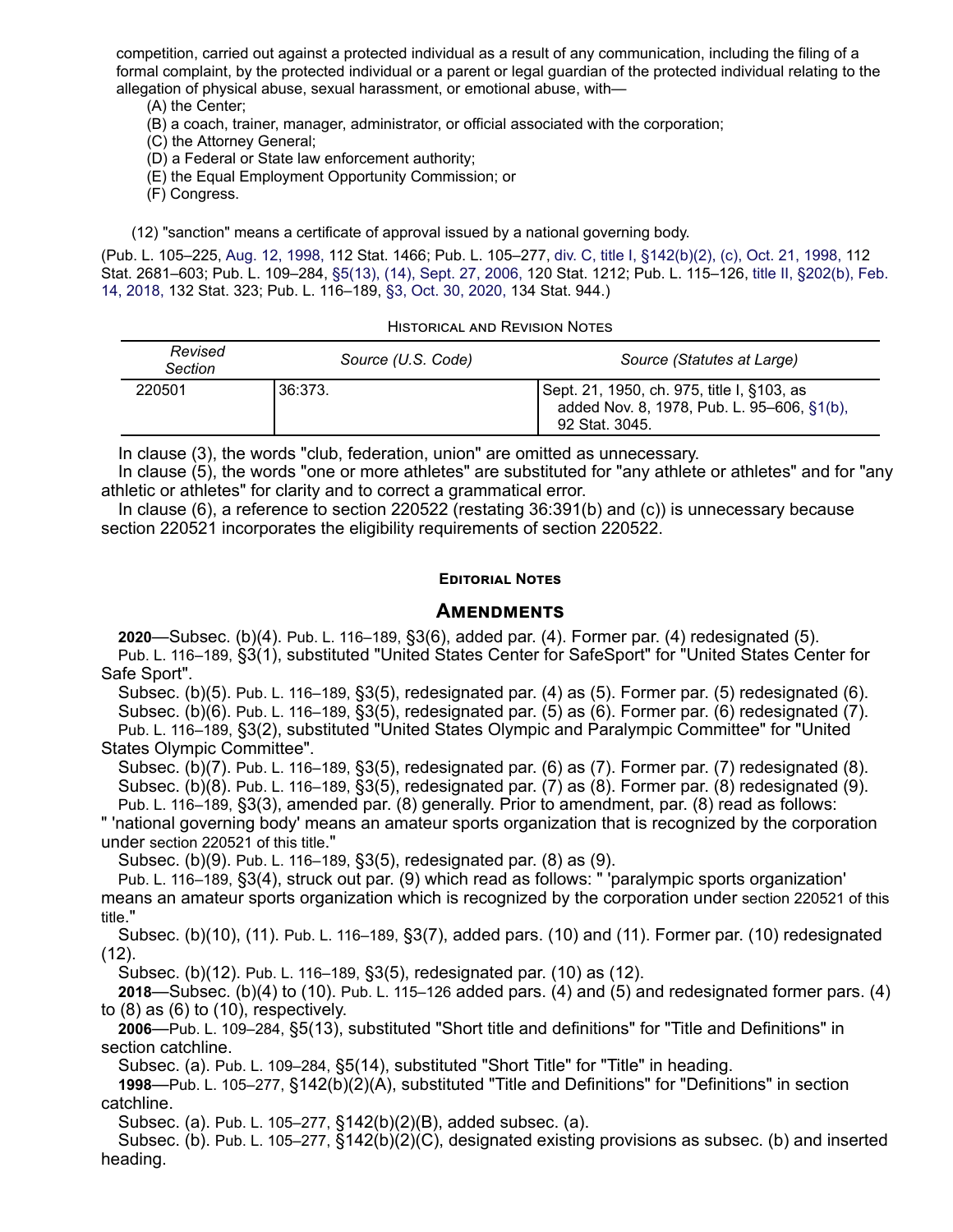competition, carried out against a protected individual as a result of any communication, including the filing of a formal complaint, by the protected individual or a parent or legal guardian of the protected individual relating to the allegation of physical abuse, sexual harassment, or emotional abuse, with—

(A) the Center;

(B) a coach, trainer, manager, administrator, or official associated with the corporation;

(C) the Attorney General;

(D) a Federal or State law enforcement authority;

- (E) the Equal Employment Opportunity Commission; or
- (F) Congress.

(12) "sanction" means a certificate of approval issued by a national governing body.

[\(Pub. L. 105–225, Aug. 12, 1998, 112 Stat. 1466](https://uscode.house.gov/statviewer.htm?volume=112&page=1466); [Pub. L. 105–277, div. C, title I, §142\(b\)\(2\), \(c\), Oct. 21, 1998, 112](https://uscode.house.gov/statviewer.htm?volume=112&page=2681-603)  [Stat. 2681–603;](https://uscode.house.gov/statviewer.htm?volume=112&page=2681-603) [Pub. L. 109–284, §5\(13\), \(14\), Sept. 27, 2006, 120 Stat. 1212](https://uscode.house.gov/statviewer.htm?volume=120&page=1212); [Pub. L. 115–126, title II, §202\(b\),](https://uscode.house.gov/statviewer.htm?volume=132&page=323) Feb. [14, 2018, 132 Stat. 323;](https://uscode.house.gov/statviewer.htm?volume=132&page=323) [Pub. L. 116–189, §3, Oct. 30, 2020, 134 Stat. 944](https://uscode.house.gov/statviewer.htm?volume=134&page=944).)

#### HISTORICAL AND REVISION NOTES

| Revised<br>Section | Source (U.S. Code) | Source (Statutes at Large)                                                                                 |
|--------------------|--------------------|------------------------------------------------------------------------------------------------------------|
| 220501             | 36:373.            | Sept. 21, 1950, ch. 975, title I, §103, as<br>added Nov. 8, 1978, Pub. L. 95-606, §1(b),<br>92 Stat. 3045. |

In clause (3), the words "club, federation, union" are omitted as unnecessary.

In clause (5), the words "one or more athletes" are substituted for "any athlete or athletes" and for "any athletic or athletes" for clarity and to correct a grammatical error.

In clause (6), a reference to section 220522 (restating 36:391(b) and (c)) is unnecessary because section 220521 incorporates the eligibility requirements of section 220522.

#### **EDITORIAL NOTES**

### **AMENDMENTS**

**2020**—Subsec. (b)(4). Pub. L. 116–189, §3(6), added par. (4). Former par. (4) redesignated (5). Pub. L. 116–189, §3(1), substituted "United States Center for SafeSport" for "United States Center for Safe Sport".

Subsec. (b)(5). Pub. L. 116–189, §3(5), redesignated par. (4) as (5). Former par. (5) redesignated (6). Subsec. (b)(6). Pub. L. 116–189, §3(5), redesignated par. (5) as (6). Former par. (6) redesignated (7). Pub. L. 116–189, §3(2), substituted "United States Olympic and Paralympic Committee" for "United States Olympic Committee".

Subsec. (b)(7). Pub. L. 116–189, §3(5), redesignated par. (6) as (7). Former par. (7) redesignated (8). Subsec. (b)(8). Pub. L. 116–189, §3(5), redesignated par. (7) as (8). Former par. (8) redesignated (9).

Pub. L. 116–189, §3(3), amended par. (8) generally. Prior to amendment, par. (8) read as follows: " 'national governing body' means an amateur sports organization that is recognized by the corporation under section 220521 of this title."

Subsec. (b)(9). Pub. L. 116–189, §3(5), redesignated par. (8) as (9).

Pub. L. 116–189, §3(4), struck out par. (9) which read as follows: " 'paralympic sports organization' means an amateur sports organization which is recognized by the corporation under section 220521 of this title."

Subsec. (b)(10), (11). Pub. L. 116–189, §3(7), added pars. (10) and (11). Former par. (10) redesignated (12).

Subsec. (b)(12). Pub. L. 116–189, §3(5), redesignated par. (10) as (12).

**2018**—Subsec. (b)(4) to (10). Pub. L. 115–126 added pars. (4) and (5) and redesignated former pars. (4) to (8) as (6) to (10), respectively.

**2006**—Pub. L. 109–284, §5(13), substituted "Short title and definitions" for "Title and Definitions" in section catchline.

Subsec. (a). Pub. L. 109–284, §5(14), substituted "Short Title" for "Title" in heading.

**1998**—Pub. L. 105–277, §142(b)(2)(A), substituted "Title and Definitions" for "Definitions" in section catchline.

Subsec. (a). Pub. L. 105–277, §142(b)(2)(B), added subsec. (a).

Subsec. (b). Pub. L. 105–277, §142(b)(2)(C), designated existing provisions as subsec. (b) and inserted heading.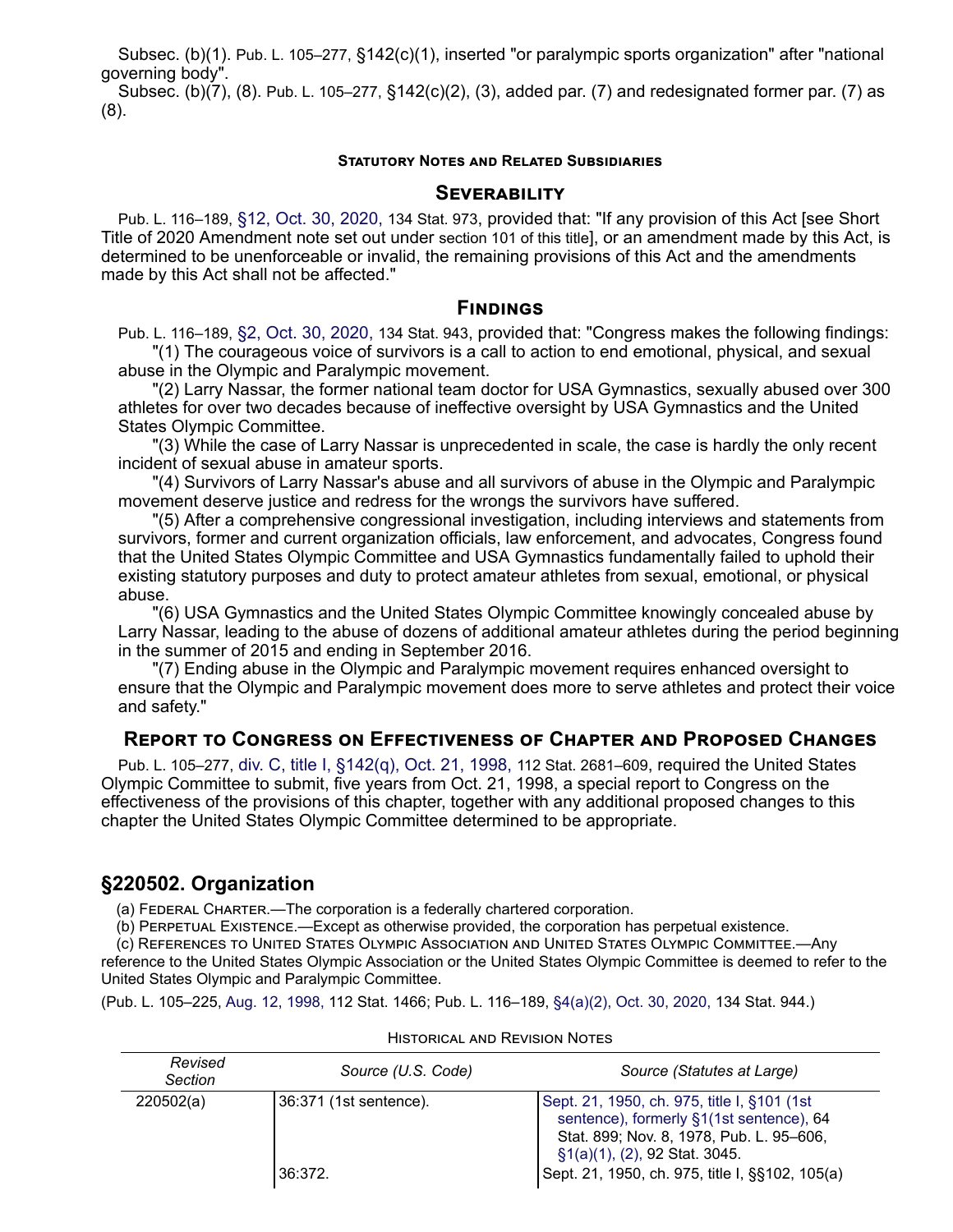Subsec. (b)(1). Pub. L. 105–277, §142(c)(1), inserted "or paralympic sports organization" after "national governing body".

Subsec. (b)(7), (8). Pub. L. 105–277,  $§142(c)(2)$ , (3), added par. (7) and redesignated former par. (7) as (8).

### **STATUTORY NOTES AND RELATED SUBSIDIARIES**

### **SEVERABILITY**

Pub. L. 116–189, [§12, Oct. 30, 2020,](https://uscode.house.gov/statviewer.htm?volume=134&page=973) 134 Stat. 973, provided that: "If any provision of this Act [see Short Title of 2020 Amendment note set out under section 101 of this title], or an amendment made by this Act, is determined to be unenforceable or invalid, the remaining provisions of this Act and the amendments made by this Act shall not be affected."

### **FINDINGS**

Pub. L. 116–189, [§2, Oct. 30, 2020,](https://uscode.house.gov/statviewer.htm?volume=134&page=943) 134 Stat. 943, provided that: "Congress makes the following findings: "(1) The courageous voice of survivors is a call to action to end emotional, physical, and sexual abuse in the Olympic and Paralympic movement.

"(2) Larry Nassar, the former national team doctor for USA Gymnastics, sexually abused over 300 athletes for over two decades because of ineffective oversight by USA Gymnastics and the United States Olympic Committee.

"(3) While the case of Larry Nassar is unprecedented in scale, the case is hardly the only recent incident of sexual abuse in amateur sports.

"(4) Survivors of Larry Nassar's abuse and all survivors of abuse in the Olympic and Paralympic movement deserve justice and redress for the wrongs the survivors have suffered.

"(5) After a comprehensive congressional investigation, including interviews and statements from survivors, former and current organization officials, law enforcement, and advocates, Congress found that the United States Olympic Committee and USA Gymnastics fundamentally failed to uphold their existing statutory purposes and duty to protect amateur athletes from sexual, emotional, or physical abuse.

"(6) USA Gymnastics and the United States Olympic Committee knowingly concealed abuse by Larry Nassar, leading to the abuse of dozens of additional amateur athletes during the period beginning in the summer of 2015 and ending in September 2016.

"(7) Ending abuse in the Olympic and Paralympic movement requires enhanced oversight to ensure that the Olympic and Paralympic movement does more to serve athletes and protect their voice and safety."

### **REPORT TO CONGRESS ON EFFECTIVENESS OF CHAPTER AND PROPOSED CHANGES**

Pub. L. 105–277, [div. C, title I, §142\(q\), Oct. 21, 1998,](https://uscode.house.gov/statviewer.htm?volume=112&page=2681-609) 112 Stat. 2681–609, required the United States Olympic Committee to submit, five years from Oct. 21, 1998, a special report to Congress on the effectiveness of the provisions of this chapter, together with any additional proposed changes to this chapter the United States Olympic Committee determined to be appropriate.

### <span id="page-3-0"></span>**§220502. Organization**

(a) FEDERAL CHARTER.—The corporation is a federally chartered corporation.

(b) PERPETUAL EXISTENCE.—Except as otherwise provided, the corporation has perpetual existence.

(c) REFERENCES TO UNITED STATES OLYMPIC ASSOCIATION AND UNITED STATES OLYMPIC COMMITTEE.—Any reference to the United States Olympic Association or the United States Olympic Committee is deemed to refer to the United States Olympic and Paralympic Committee.

[\(Pub. L. 105–225, Aug. 12, 1998, 112 Stat. 1466](https://uscode.house.gov/statviewer.htm?volume=112&page=1466); [Pub. L. 116–189, §4\(a\)\(2\), Oct. 30, 2020, 134 Stat. 944.](https://uscode.house.gov/statviewer.htm?volume=134&page=944))

| Revised<br>Section | Source (U.S. Code)     | Source (Statutes at Large)                                                                                                                                                |
|--------------------|------------------------|---------------------------------------------------------------------------------------------------------------------------------------------------------------------------|
| 220502(a)          | 36:371 (1st sentence). | Sept. 21, 1950, ch. 975, title I, §101 (1st)<br>sentence), formerly §1(1st sentence), 64<br>Stat. 899; Nov. 8, 1978, Pub. L. 95-606,<br>$\S1(a)(1)$ , (2), 92 Stat. 3045. |
|                    | 36:372.                | Sept. 21, 1950, ch. 975, title I, §§102, 105(a)                                                                                                                           |

#### HISTORICAL AND REVISION NOTES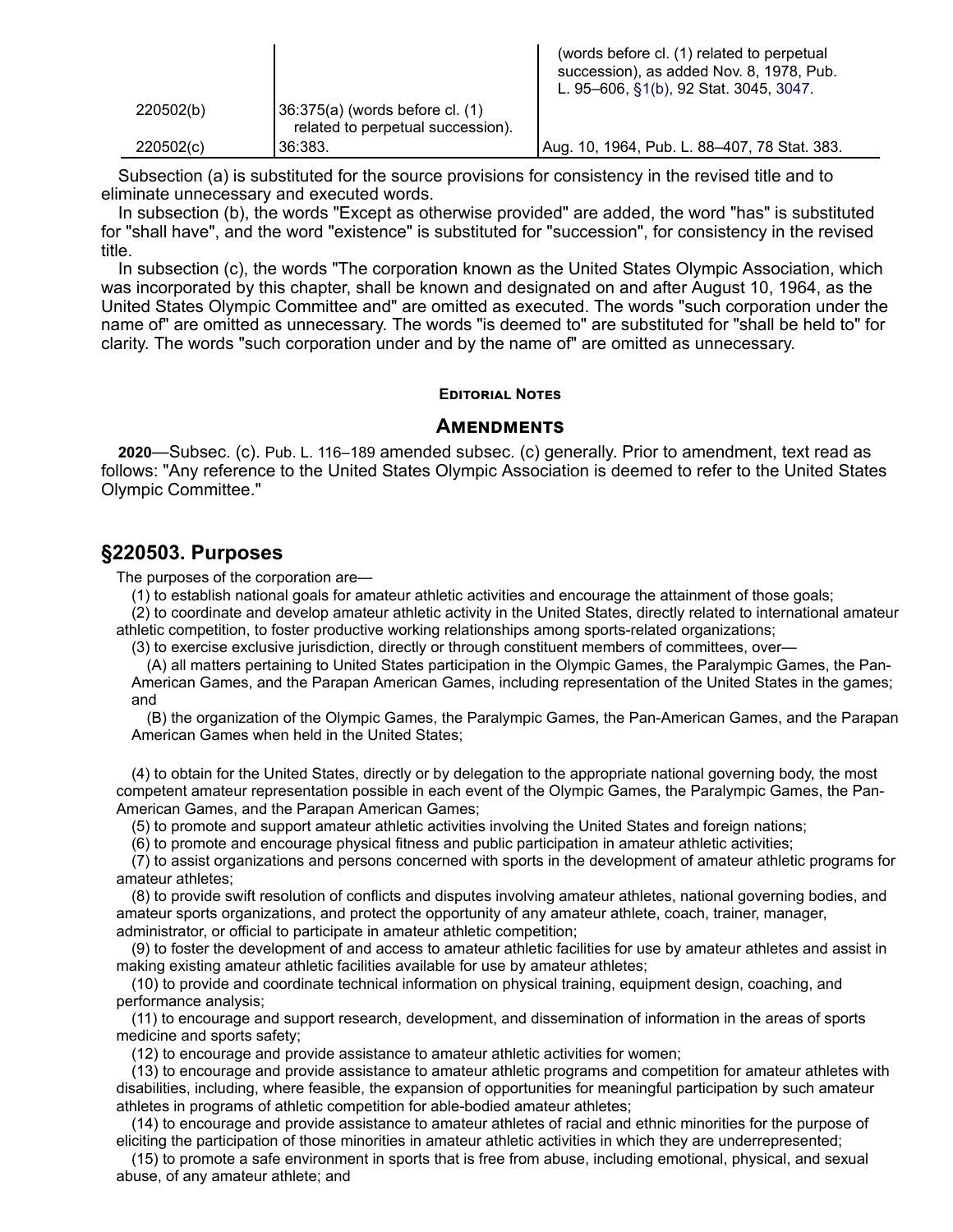|           |                                   | (words before cl. (1) related to perpetual<br>succession), as added Nov. 8, 1978, Pub.<br>L. 95-606, §1(b), 92 Stat. 3045, 3047. |
|-----------|-----------------------------------|----------------------------------------------------------------------------------------------------------------------------------|
| 220502(b) | 36:375(a) (words before cl. (1)   |                                                                                                                                  |
|           | related to perpetual succession). |                                                                                                                                  |
| 220502(c) | 36:383.                           | Aug. 10, 1964, Pub. L. 88-407, 78 Stat. 383.                                                                                     |

Subsection (a) is substituted for the source provisions for consistency in the revised title and to eliminate unnecessary and executed words.

In subsection (b), the words "Except as otherwise provided" are added, the word "has" is substituted for "shall have", and the word "existence" is substituted for "succession", for consistency in the revised title.

In subsection (c), the words "The corporation known as the United States Olympic Association, which was incorporated by this chapter, shall be known and designated on and after August 10, 1964, as the United States Olympic Committee and" are omitted as executed. The words "such corporation under the name of" are omitted as unnecessary. The words "is deemed to" are substituted for "shall be held to" for clarity. The words "such corporation under and by the name of" are omitted as unnecessary.

#### **EDITORIAL NOTES**

### **AMENDMENTS**

**2020**—Subsec. (c). Pub. L. 116–189 amended subsec. (c) generally. Prior to amendment, text read as follows: "Any reference to the United States Olympic Association is deemed to refer to the United States Olympic Committee."

### <span id="page-4-0"></span>**§220503. Purposes**

The purposes of the corporation are—

(1) to establish national goals for amateur athletic activities and encourage the attainment of those goals;

(2) to coordinate and develop amateur athletic activity in the United States, directly related to international amateur athletic competition, to foster productive working relationships among sports-related organizations;

(3) to exercise exclusive jurisdiction, directly or through constituent members of committees, over—

(A) all matters pertaining to United States participation in the Olympic Games, the Paralympic Games, the Pan-

American Games, and the Parapan American Games, including representation of the United States in the games; and

(B) the organization of the Olympic Games, the Paralympic Games, the Pan-American Games, and the Parapan American Games when held in the United States;

(4) to obtain for the United States, directly or by delegation to the appropriate national governing body, the most competent amateur representation possible in each event of the Olympic Games, the Paralympic Games, the Pan-American Games, and the Parapan American Games;

(5) to promote and support amateur athletic activities involving the United States and foreign nations;

(6) to promote and encourage physical fitness and public participation in amateur athletic activities;

(7) to assist organizations and persons concerned with sports in the development of amateur athletic programs for amateur athletes;

(8) to provide swift resolution of conflicts and disputes involving amateur athletes, national governing bodies, and amateur sports organizations, and protect the opportunity of any amateur athlete, coach, trainer, manager, administrator, or official to participate in amateur athletic competition;

(9) to foster the development of and access to amateur athletic facilities for use by amateur athletes and assist in making existing amateur athletic facilities available for use by amateur athletes;

(10) to provide and coordinate technical information on physical training, equipment design, coaching, and performance analysis;

(11) to encourage and support research, development, and dissemination of information in the areas of sports medicine and sports safety;

(12) to encourage and provide assistance to amateur athletic activities for women;

(13) to encourage and provide assistance to amateur athletic programs and competition for amateur athletes with disabilities, including, where feasible, the expansion of opportunities for meaningful participation by such amateur athletes in programs of athletic competition for able-bodied amateur athletes;

(14) to encourage and provide assistance to amateur athletes of racial and ethnic minorities for the purpose of eliciting the participation of those minorities in amateur athletic activities in which they are underrepresented;

(15) to promote a safe environment in sports that is free from abuse, including emotional, physical, and sexual abuse, of any amateur athlete; and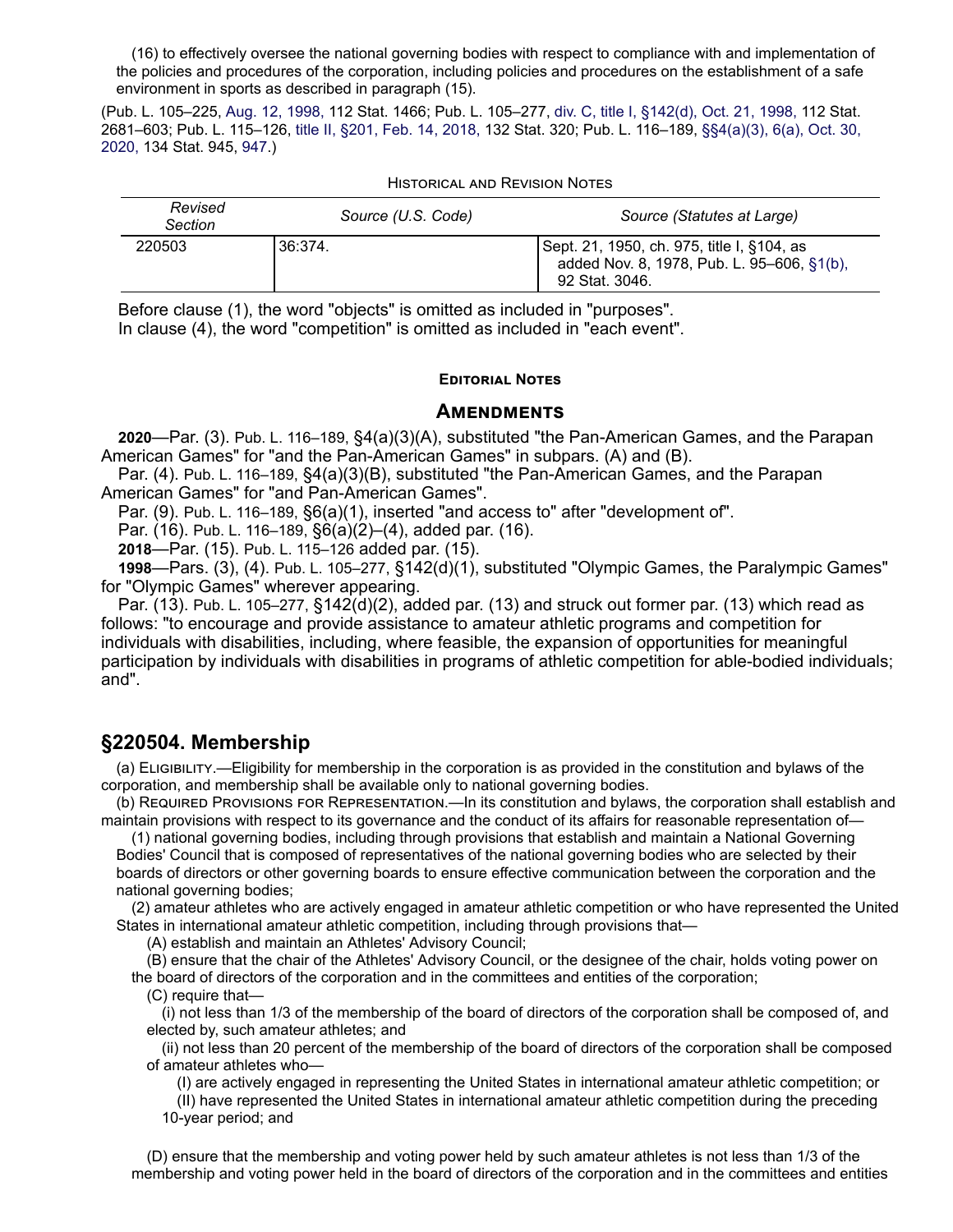(16) to effectively oversee the national governing bodies with respect to compliance with and implementation of the policies and procedures of the corporation, including policies and procedures on the establishment of a safe environment in sports as described in paragraph (15).

[\(Pub. L. 105–225, Aug. 12, 1998, 112 Stat. 1466](https://uscode.house.gov/statviewer.htm?volume=112&page=1466); [Pub. L. 105–277, div. C, title I, §142\(d\), Oct. 21, 1998, 112 Stat.](https://uscode.house.gov/statviewer.htm?volume=112&page=2681-603) [2681–603](https://uscode.house.gov/statviewer.htm?volume=112&page=2681-603); [Pub. L. 115–126, title II, §201, Feb. 14, 2018, 132 Stat. 320](https://uscode.house.gov/statviewer.htm?volume=132&page=320); [Pub. L. 116–189, §§4\(a\)\(3\), 6\(a\), Oct. 30,](https://uscode.house.gov/statviewer.htm?volume=134&page=945)  [2020, 134 Stat. 945,](https://uscode.house.gov/statviewer.htm?volume=134&page=945) [947](https://uscode.house.gov/statviewer.htm?volume=134&page=947).)

| Revised<br>Section | Source (U.S. Code) | Source (Statutes at Large)                                                                                 |
|--------------------|--------------------|------------------------------------------------------------------------------------------------------------|
| 220503             | 36:374.            | Sept. 21, 1950, ch. 975, title I, §104, as<br>added Nov. 8, 1978, Pub. L. 95-606, §1(b),<br>92 Stat. 3046. |

Before clause (1), the word "objects" is omitted as included in "purposes". In clause (4), the word "competition" is omitted as included in "each event".

### **EDITORIAL NOTES**

### **AMENDMENTS**

**2020**—Par. (3). Pub. L. 116–189, §4(a)(3)(A), substituted "the Pan-American Games, and the Parapan American Games" for "and the Pan-American Games" in subpars. (A) and (B).

Par. (4). Pub. L. 116–189, §4(a)(3)(B), substituted "the Pan-American Games, and the Parapan American Games" for "and Pan-American Games".

Par. (9). Pub. L. 116–189, §6(a)(1), inserted "and access to" after "development of".

Par. (16). Pub. L. 116–189, §6(a)(2)–(4), added par. (16).

**2018**—Par. (15). Pub. L. 115–126 added par. (15).

**1998**—Pars. (3), (4). Pub. L. 105–277, §142(d)(1), substituted "Olympic Games, the Paralympic Games" for "Olympic Games" wherever appearing.

Par. (13). Pub. L. 105–277, §142(d)(2), added par. (13) and struck out former par. (13) which read as follows: "to encourage and provide assistance to amateur athletic programs and competition for individuals with disabilities, including, where feasible, the expansion of opportunities for meaningful participation by individuals with disabilities in programs of athletic competition for able-bodied individuals; and".

# <span id="page-5-0"></span>**§220504. Membership**

(a) ELIGIBILITY.—Eligibility for membership in the corporation is as provided in the constitution and bylaws of the corporation, and membership shall be available only to national governing bodies.

(b) REQUIRED PROVISIONS FOR REPRESENTATION.—In its constitution and bylaws, the corporation shall establish and maintain provisions with respect to its governance and the conduct of its affairs for reasonable representation of—

(1) national governing bodies, including through provisions that establish and maintain a National Governing Bodies' Council that is composed of representatives of the national governing bodies who are selected by their boards of directors or other governing boards to ensure effective communication between the corporation and the national governing bodies;

(2) amateur athletes who are actively engaged in amateur athletic competition or who have represented the United States in international amateur athletic competition, including through provisions that—

(A) establish and maintain an Athletes' Advisory Council;

(B) ensure that the chair of the Athletes' Advisory Council, or the designee of the chair, holds voting power on the board of directors of the corporation and in the committees and entities of the corporation;

(C) require that—

(i) not less than 1/3 of the membership of the board of directors of the corporation shall be composed of, and elected by, such amateur athletes; and

(ii) not less than 20 percent of the membership of the board of directors of the corporation shall be composed of amateur athletes who—

(I) are actively engaged in representing the United States in international amateur athletic competition; or

(II) have represented the United States in international amateur athletic competition during the preceding 10-year period; and

(D) ensure that the membership and voting power held by such amateur athletes is not less than 1/3 of the membership and voting power held in the board of directors of the corporation and in the committees and entities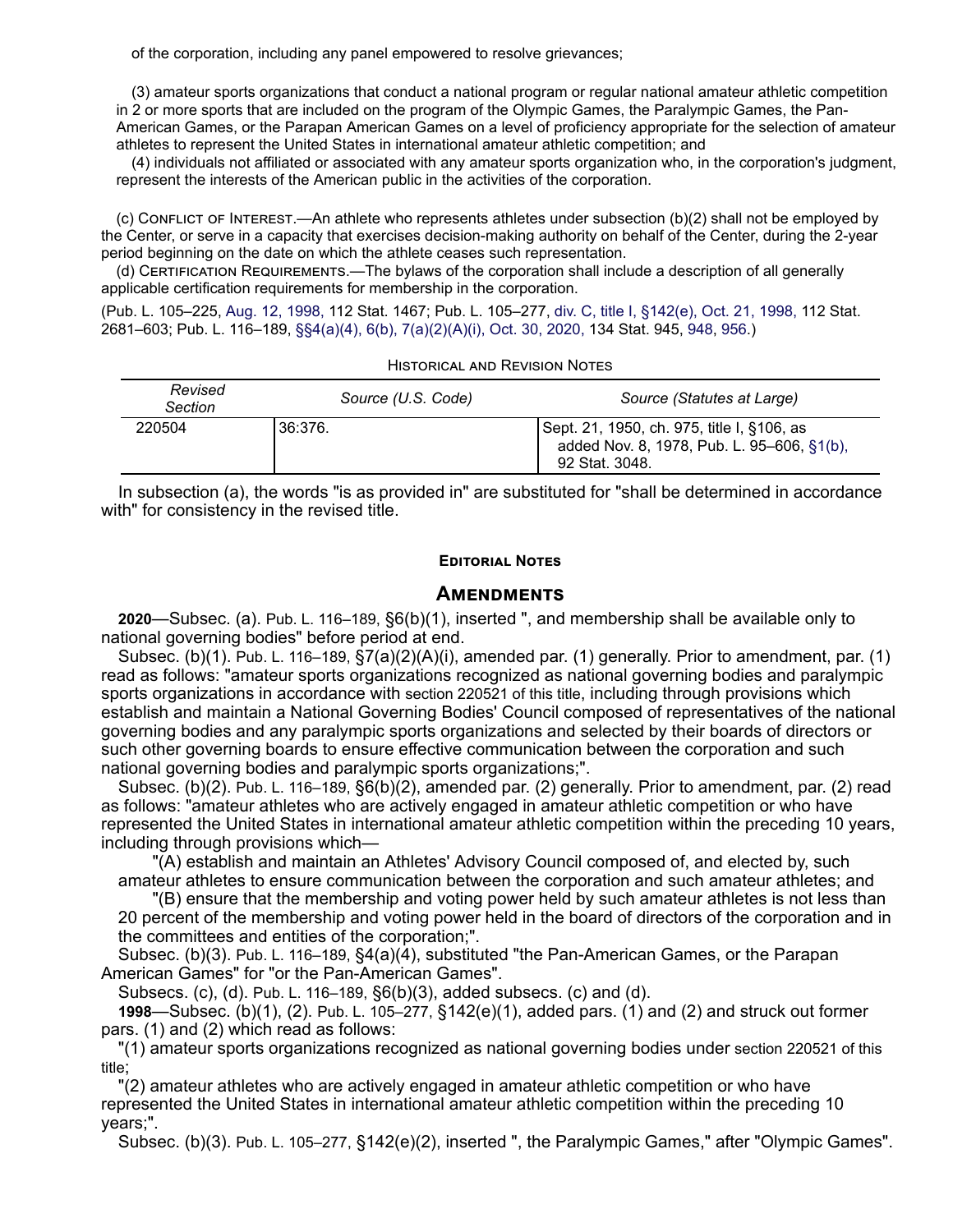of the corporation, including any panel empowered to resolve grievances;

(3) amateur sports organizations that conduct a national program or regular national amateur athletic competition in 2 or more sports that are included on the program of the Olympic Games, the Paralympic Games, the Pan-American Games, or the Parapan American Games on a level of proficiency appropriate for the selection of amateur athletes to represent the United States in international amateur athletic competition; and

(4) individuals not affiliated or associated with any amateur sports organization who, in the corporation's judgment, represent the interests of the American public in the activities of the corporation.

(c) CONFLICT OF INTEREST.—An athlete who represents athletes under subsection (b)(2) shall not be employed by the Center, or serve in a capacity that exercises decision-making authority on behalf of the Center, during the 2-year period beginning on the date on which the athlete ceases such representation.

(d) CERTIFICATION REQUIREMENTS.—The bylaws of the corporation shall include a description of all generally applicable certification requirements for membership in the corporation.

[\(Pub. L. 105–225, Aug. 12, 1998, 112 Stat. 1467](https://uscode.house.gov/statviewer.htm?volume=112&page=1467); [Pub. L. 105–277, div. C, title I, §142\(e\), Oct. 21, 1998, 112 Stat.](https://uscode.house.gov/statviewer.htm?volume=112&page=2681-603)  [2681–603;](https://uscode.house.gov/statviewer.htm?volume=112&page=2681-603) [Pub. L. 116–189, §§4\(a\)\(4\), 6\(b\), 7\(a\)\(2\)\(A\)\(i\), Oct. 30, 2020, 134 Stat. 945](https://uscode.house.gov/statviewer.htm?volume=134&page=945), [948](https://uscode.house.gov/statviewer.htm?volume=134&page=948), [956](https://uscode.house.gov/statviewer.htm?volume=134&page=956).)

| Revised<br>Section | Source (U.S. Code) | Source (Statutes at Large)                                                                                 |
|--------------------|--------------------|------------------------------------------------------------------------------------------------------------|
| 220504             | 36:376.            | Sept. 21, 1950, ch. 975, title I, §106, as<br>added Nov. 8, 1978, Pub. L. 95-606, §1(b),<br>92 Stat. 3048. |

| <b>HISTORICAL AND REVISION NOTES</b> |  |
|--------------------------------------|--|
|--------------------------------------|--|

In subsection (a), the words "is as provided in" are substituted for "shall be determined in accordance with" for consistency in the revised title.

#### **EDITORIAL NOTES**

### **AMENDMENTS**

**2020**—Subsec. (a). Pub. L. 116–189, §6(b)(1), inserted ", and membership shall be available only to national governing bodies" before period at end.

Subsec. (b)(1). Pub. L. 116–189, §7(a)(2)(A)(i), amended par. (1) generally. Prior to amendment, par. (1) read as follows: "amateur sports organizations recognized as national governing bodies and paralympic sports organizations in accordance with section 220521 of this title, including through provisions which establish and maintain a National Governing Bodies' Council composed of representatives of the national governing bodies and any paralympic sports organizations and selected by their boards of directors or such other governing boards to ensure effective communication between the corporation and such national governing bodies and paralympic sports organizations;".

Subsec. (b)(2). Pub. L. 116–189, §6(b)(2), amended par. (2) generally. Prior to amendment, par. (2) read as follows: "amateur athletes who are actively engaged in amateur athletic competition or who have represented the United States in international amateur athletic competition within the preceding 10 years, including through provisions which—

"(A) establish and maintain an Athletes' Advisory Council composed of, and elected by, such amateur athletes to ensure communication between the corporation and such amateur athletes; and

"(B) ensure that the membership and voting power held by such amateur athletes is not less than 20 percent of the membership and voting power held in the board of directors of the corporation and in the committees and entities of the corporation;".

Subsec. (b)(3). Pub. L. 116–189, §4(a)(4), substituted "the Pan-American Games, or the Parapan American Games" for "or the Pan-American Games".

Subsecs. (c), (d). Pub. L. 116–189, §6(b)(3), added subsecs. (c) and (d).

**1998**—Subsec. (b)(1), (2). Pub. L. 105–277, §142(e)(1), added pars. (1) and (2) and struck out former pars. (1) and (2) which read as follows:

"(1) amateur sports organizations recognized as national governing bodies under section 220521 of this title;

"(2) amateur athletes who are actively engaged in amateur athletic competition or who have represented the United States in international amateur athletic competition within the preceding 10 years;".

Subsec. (b)(3). Pub. L. 105–277, §142(e)(2), inserted ", the Paralympic Games," after "Olympic Games".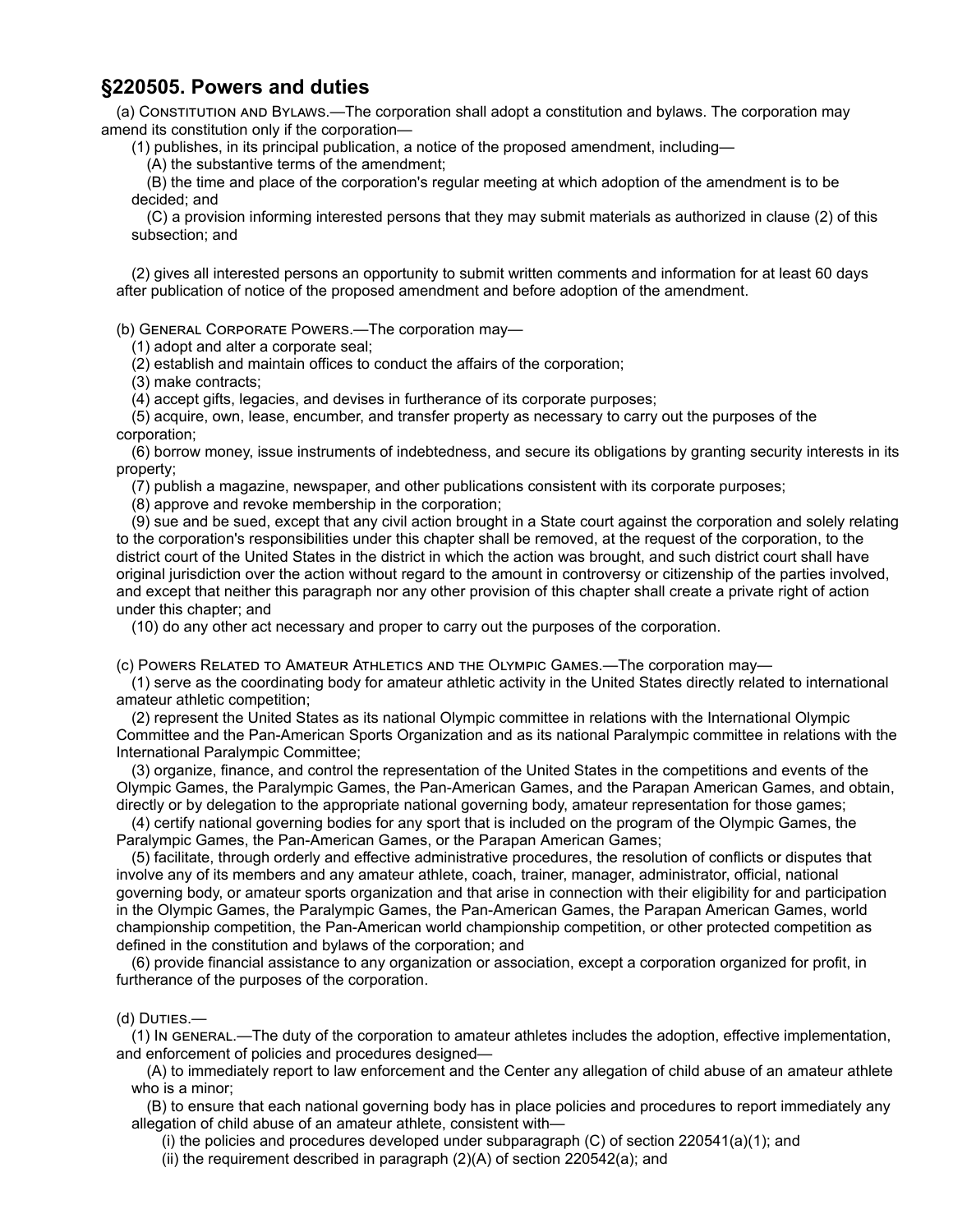# <span id="page-7-0"></span>**§220505. Powers and duties**

(a) CONSTITUTION AND BYLAWS.—The corporation shall adopt a constitution and bylaws. The corporation may amend its constitution only if the corporation—

(1) publishes, in its principal publication, a notice of the proposed amendment, including—

(A) the substantive terms of the amendment;

(B) the time and place of the corporation's regular meeting at which adoption of the amendment is to be decided; and

(C) a provision informing interested persons that they may submit materials as authorized in clause (2) of this subsection; and

(2) gives all interested persons an opportunity to submit written comments and information for at least 60 days after publication of notice of the proposed amendment and before adoption of the amendment.

(b) GENERAL CORPORATE POWERS.—The corporation may—

(1) adopt and alter a corporate seal;

(2) establish and maintain offices to conduct the affairs of the corporation;

(3) make contracts;

(4) accept gifts, legacies, and devises in furtherance of its corporate purposes;

(5) acquire, own, lease, encumber, and transfer property as necessary to carry out the purposes of the corporation;

(6) borrow money, issue instruments of indebtedness, and secure its obligations by granting security interests in its property;

(7) publish a magazine, newspaper, and other publications consistent with its corporate purposes;

(8) approve and revoke membership in the corporation;

(9) sue and be sued, except that any civil action brought in a State court against the corporation and solely relating to the corporation's responsibilities under this chapter shall be removed, at the request of the corporation, to the district court of the United States in the district in which the action was brought, and such district court shall have original jurisdiction over the action without regard to the amount in controversy or citizenship of the parties involved, and except that neither this paragraph nor any other provision of this chapter shall create a private right of action under this chapter; and

(10) do any other act necessary and proper to carry out the purposes of the corporation.

(c) POWERS RELATED TO AMATEUR ATHLETICS AND THE OLYMPIC GAMES.—The corporation may—

(1) serve as the coordinating body for amateur athletic activity in the United States directly related to international amateur athletic competition;

(2) represent the United States as its national Olympic committee in relations with the International Olympic Committee and the Pan-American Sports Organization and as its national Paralympic committee in relations with the International Paralympic Committee;

(3) organize, finance, and control the representation of the United States in the competitions and events of the Olympic Games, the Paralympic Games, the Pan-American Games, and the Parapan American Games, and obtain, directly or by delegation to the appropriate national governing body, amateur representation for those games;

(4) certify national governing bodies for any sport that is included on the program of the Olympic Games, the Paralympic Games, the Pan-American Games, or the Parapan American Games;

(5) facilitate, through orderly and effective administrative procedures, the resolution of conflicts or disputes that involve any of its members and any amateur athlete, coach, trainer, manager, administrator, official, national governing body, or amateur sports organization and that arise in connection with their eligibility for and participation in the Olympic Games, the Paralympic Games, the Pan-American Games, the Parapan American Games, world championship competition, the Pan-American world championship competition, or other protected competition as defined in the constitution and bylaws of the corporation; and

(6) provide financial assistance to any organization or association, except a corporation organized for profit, in furtherance of the purposes of the corporation.

(d) DUTIES.—

(1) IN GENERAL.—The duty of the corporation to amateur athletes includes the adoption, effective implementation, and enforcement of policies and procedures designed—

(A) to immediately report to law enforcement and the Center any allegation of child abuse of an amateur athlete who is a minor;

(B) to ensure that each national governing body has in place policies and procedures to report immediately any allegation of child abuse of an amateur athlete, consistent with—

(i) the policies and procedures developed under subparagraph (C) of section 220541(a)(1); and

(ii) the requirement described in paragraph (2)(A) of section 220542(a); and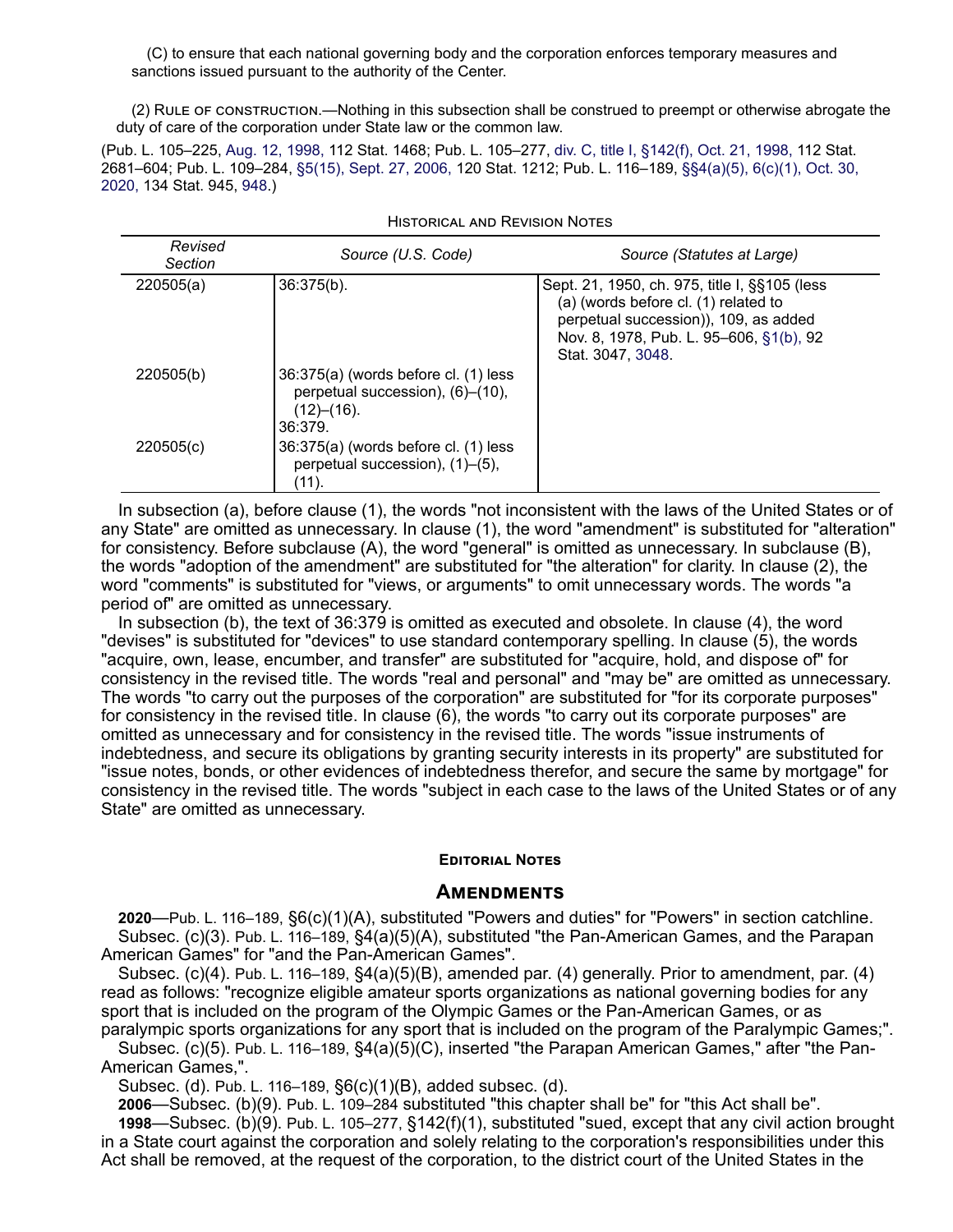(C) to ensure that each national governing body and the corporation enforces temporary measures and sanctions issued pursuant to the authority of the Center.

(2) RULE OF CONSTRUCTION.—Nothing in this subsection shall be construed to preempt or otherwise abrogate the duty of care of the corporation under State law or the common law.

[\(Pub. L. 105–225, Aug. 12, 1998, 112 Stat. 1468](https://uscode.house.gov/statviewer.htm?volume=112&page=1468); [Pub. L. 105–277, div. C, title I, §142\(f\), Oct. 21, 1998, 112 Stat.](https://uscode.house.gov/statviewer.htm?volume=112&page=2681-604) [2681–604](https://uscode.house.gov/statviewer.htm?volume=112&page=2681-604); [Pub. L. 109–284, §5\(15\), Sept. 27, 2006, 120 Stat. 1212;](https://uscode.house.gov/statviewer.htm?volume=120&page=1212) [Pub. L. 116–189, §§4\(a\)\(5\), 6\(c\)\(1\), Oct. 30](https://uscode.house.gov/statviewer.htm?volume=134&page=945), [2020, 134 Stat. 945,](https://uscode.house.gov/statviewer.htm?volume=134&page=945) [948.](https://uscode.house.gov/statviewer.htm?volume=134&page=948))

| Revised<br>Section | Source (U.S. Code)                                                                                   | Source (Statutes at Large)                                                                                                                                                                     |
|--------------------|------------------------------------------------------------------------------------------------------|------------------------------------------------------------------------------------------------------------------------------------------------------------------------------------------------|
| 220505(a)          | $36:375(b)$ .                                                                                        | Sept. 21, 1950, ch. 975, title I, §§105 (less<br>(a) (words before cl. (1) related to<br>perpetual succession)), 109, as added<br>Nov. 8, 1978, Pub. L. 95-606, §1(b), 92<br>Stat. 3047, 3048. |
| 220505(b)          | 36:375(a) (words before cl. (1) less<br>perpetual succession), (6)–(10),<br>$(12)–(16)$ .<br>36:379. |                                                                                                                                                                                                |
| 220505(c)          | 36:375(a) (words before cl. (1) less<br>perpetual succession), (1)–(5),<br>(11).                     |                                                                                                                                                                                                |

#### HISTORICAL AND REVISION NOTES

In subsection (a), before clause (1), the words "not inconsistent with the laws of the United States or of any State" are omitted as unnecessary. In clause (1), the word "amendment" is substituted for "alteration" for consistency. Before subclause (A), the word "general" is omitted as unnecessary. In subclause (B), the words "adoption of the amendment" are substituted for "the alteration" for clarity. In clause (2), the word "comments" is substituted for "views, or arguments" to omit unnecessary words. The words "a period of" are omitted as unnecessary.

In subsection (b), the text of 36:379 is omitted as executed and obsolete. In clause (4), the word "devises" is substituted for "devices" to use standard contemporary spelling. In clause (5), the words "acquire, own, lease, encumber, and transfer" are substituted for "acquire, hold, and dispose of" for consistency in the revised title. The words "real and personal" and "may be" are omitted as unnecessary. The words "to carry out the purposes of the corporation" are substituted for "for its corporate purposes" for consistency in the revised title. In clause (6), the words "to carry out its corporate purposes" are omitted as unnecessary and for consistency in the revised title. The words "issue instruments of indebtedness, and secure its obligations by granting security interests in its property" are substituted for "issue notes, bonds, or other evidences of indebtedness therefor, and secure the same by mortgage" for consistency in the revised title. The words "subject in each case to the laws of the United States or of any State" are omitted as unnecessary.

#### **EDITORIAL NOTES**

### **AMENDMENTS**

**2020**—Pub. L. 116–189, §6(c)(1)(A), substituted "Powers and duties" for "Powers" in section catchline. Subsec. (c)(3). Pub. L. 116–189, §4(a)(5)(A), substituted "the Pan-American Games, and the Parapan American Games" for "and the Pan-American Games".

Subsec. (c)(4). Pub. L. 116–189, §4(a)(5)(B), amended par. (4) generally. Prior to amendment, par. (4) read as follows: "recognize eligible amateur sports organizations as national governing bodies for any sport that is included on the program of the Olympic Games or the Pan-American Games, or as paralympic sports organizations for any sport that is included on the program of the Paralympic Games;".

Subsec. (c)(5). Pub. L. 116–189, §4(a)(5)(C), inserted "the Parapan American Games," after "the Pan-American Games,".

Subsec. (d). Pub. L. 116–189, §6(c)(1)(B), added subsec. (d).

**2006**—Subsec. (b)(9). Pub. L. 109–284 substituted "this chapter shall be" for "this Act shall be". **1998**—Subsec. (b)(9). Pub. L. 105–277, §142(f)(1), substituted "sued, except that any civil action brought in a State court against the corporation and solely relating to the corporation's responsibilities under this Act shall be removed, at the request of the corporation, to the district court of the United States in the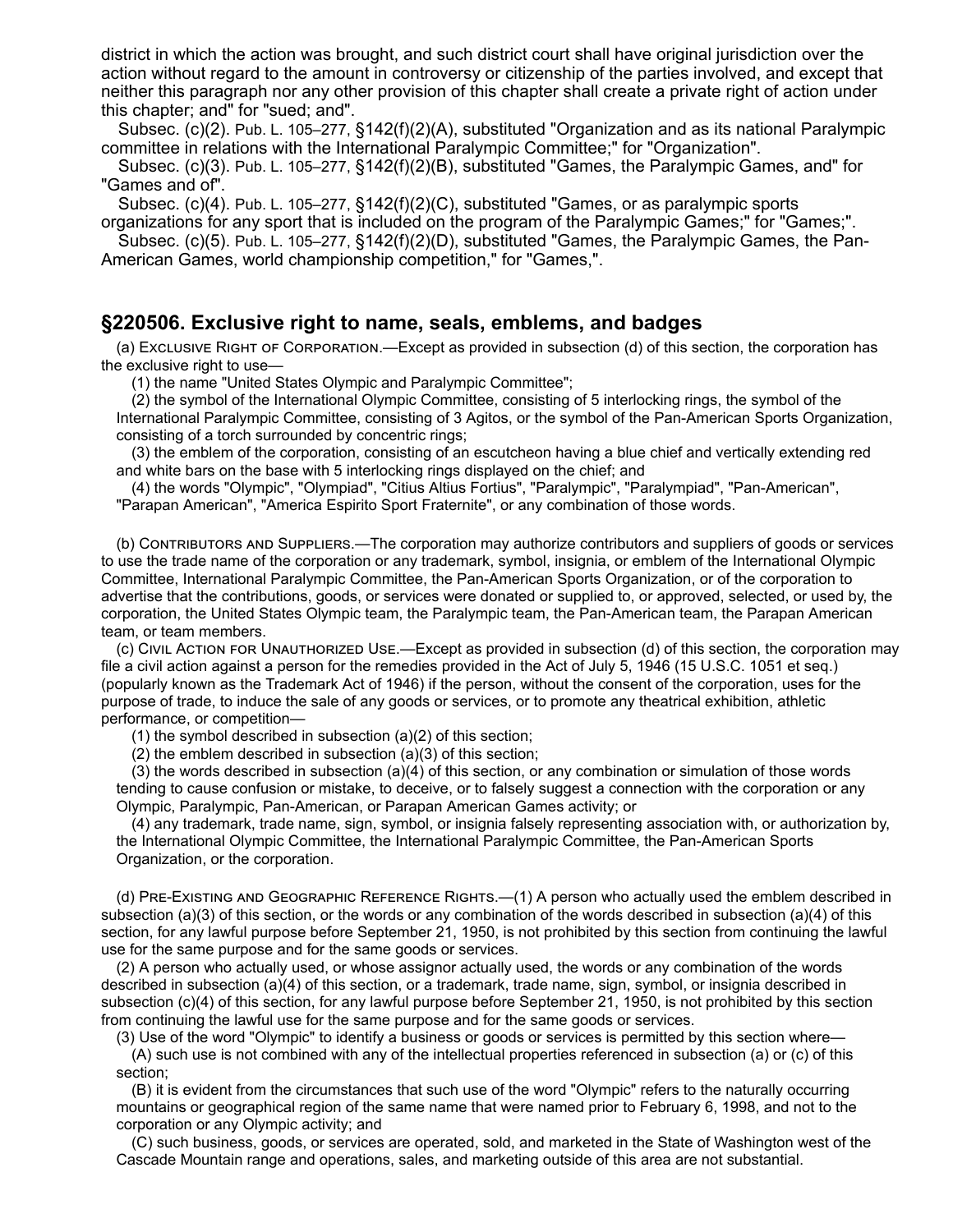district in which the action was brought, and such district court shall have original jurisdiction over the action without regard to the amount in controversy or citizenship of the parties involved, and except that neither this paragraph nor any other provision of this chapter shall create a private right of action under this chapter; and" for "sued; and".

Subsec. (c)(2). Pub. L. 105–277, §142(f)(2)(A), substituted "Organization and as its national Paralympic committee in relations with the International Paralympic Committee;" for "Organization".

Subsec. (c)(3). Pub. L. 105–277, §142(f)(2)(B), substituted "Games, the Paralympic Games, and" for "Games and of".

Subsec. (c)(4). Pub. L. 105–277, §142(f)(2)(C), substituted "Games, or as paralympic sports organizations for any sport that is included on the program of the Paralympic Games;" for "Games;".

Subsec. (c)(5). Pub. L. 105–277, §142(f)(2)(D), substituted "Games, the Paralympic Games, the Pan-American Games, world championship competition," for "Games,".

### <span id="page-9-0"></span>**§220506. Exclusive right to name, seals, emblems, and badges**

(a) EXCLUSIVE RIGHT OF CORPORATION.—Except as provided in subsection (d) of this section, the corporation has the exclusive right to use—

(1) the name "United States Olympic and Paralympic Committee";

(2) the symbol of the International Olympic Committee, consisting of 5 interlocking rings, the symbol of the International Paralympic Committee, consisting of 3 Agitos, or the symbol of the Pan-American Sports Organization, consisting of a torch surrounded by concentric rings;

(3) the emblem of the corporation, consisting of an escutcheon having a blue chief and vertically extending red and white bars on the base with 5 interlocking rings displayed on the chief; and

(4) the words "Olympic", "Olympiad", "Citius Altius Fortius", "Paralympic", "Paralympiad", "Pan-American", "Parapan American", "America Espirito Sport Fraternite", or any combination of those words.

(b) CONTRIBUTORS AND SUPPLIERS.—The corporation may authorize contributors and suppliers of goods or services to use the trade name of the corporation or any trademark, symbol, insignia, or emblem of the International Olympic Committee, International Paralympic Committee, the Pan-American Sports Organization, or of the corporation to advertise that the contributions, goods, or services were donated or supplied to, or approved, selected, or used by, the corporation, the United States Olympic team, the Paralympic team, the Pan-American team, the Parapan American team, or team members.

(c) CIVIL ACTION FOR UNAUTHORIZED USE.—Except as provided in subsection (d) of this section, the corporation may file a civil action against a person for the remedies provided in the Act of July 5, 1946 (15 U.S.C. 1051 et seq.) (popularly known as the Trademark Act of 1946) if the person, without the consent of the corporation, uses for the purpose of trade, to induce the sale of any goods or services, or to promote any theatrical exhibition, athletic performance, or competition—

(1) the symbol described in subsection (a)(2) of this section;

(2) the emblem described in subsection (a)(3) of this section;

(3) the words described in subsection (a)(4) of this section, or any combination or simulation of those words tending to cause confusion or mistake, to deceive, or to falsely suggest a connection with the corporation or any Olympic, Paralympic, Pan-American, or Parapan American Games activity; or

(4) any trademark, trade name, sign, symbol, or insignia falsely representing association with, or authorization by, the International Olympic Committee, the International Paralympic Committee, the Pan-American Sports Organization, or the corporation.

(d) PRE-EXISTING AND GEOGRAPHIC REFERENCE RIGHTS.—(1) A person who actually used the emblem described in subsection (a)(3) of this section, or the words or any combination of the words described in subsection (a)(4) of this section, for any lawful purpose before September 21, 1950, is not prohibited by this section from continuing the lawful use for the same purpose and for the same goods or services.

(2) A person who actually used, or whose assignor actually used, the words or any combination of the words described in subsection (a)(4) of this section, or a trademark, trade name, sign, symbol, or insignia described in subsection (c)(4) of this section, for any lawful purpose before September 21, 1950, is not prohibited by this section from continuing the lawful use for the same purpose and for the same goods or services.

(3) Use of the word "Olympic" to identify a business or goods or services is permitted by this section where— (A) such use is not combined with any of the intellectual properties referenced in subsection (a) or (c) of this

section;

(B) it is evident from the circumstances that such use of the word "Olympic" refers to the naturally occurring mountains or geographical region of the same name that were named prior to February 6, 1998, and not to the corporation or any Olympic activity; and

(C) such business, goods, or services are operated, sold, and marketed in the State of Washington west of the Cascade Mountain range and operations, sales, and marketing outside of this area are not substantial.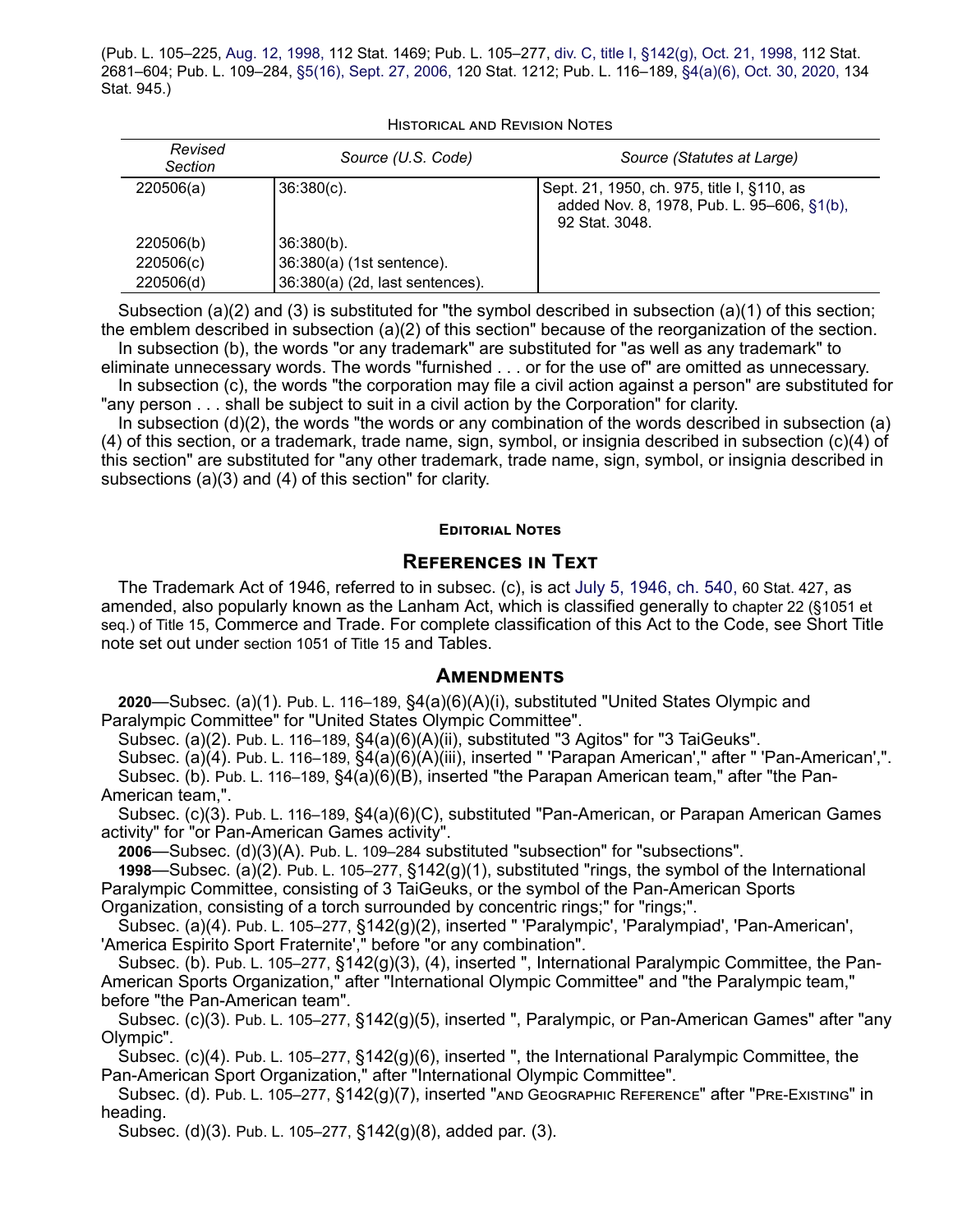([Pub. L. 105–225, Aug. 12, 1998, 112 Stat. 1469;](https://uscode.house.gov/statviewer.htm?volume=112&page=1469) [Pub. L. 105–277, div. C, title I, §142\(g\), Oct. 21, 1998, 112 Stat.](https://uscode.house.gov/statviewer.htm?volume=112&page=2681-604)  [2681–604;](https://uscode.house.gov/statviewer.htm?volume=112&page=2681-604) [Pub. L. 109–284, §5\(16\), Sept. 27, 2006, 120 Stat. 1212;](https://uscode.house.gov/statviewer.htm?volume=120&page=1212) [Pub. L. 116–189, §4\(a\)\(6\), Oct. 30, 2020, 134](https://uscode.house.gov/statviewer.htm?volume=134&page=945)  [Stat. 945.\)](https://uscode.house.gov/statviewer.htm?volume=134&page=945)

| Revised<br>Section | Source (U.S. Code)              | Source (Statutes at Large)                                                                                 |
|--------------------|---------------------------------|------------------------------------------------------------------------------------------------------------|
| 220506(a)          | $36:380(c)$ .                   | Sept. 21, 1950, ch. 975, title I, §110, as<br>added Nov. 8, 1978, Pub. L. 95-606, §1(b),<br>92 Stat. 3048. |
| 220506(b)          | $36:380(b)$ .                   |                                                                                                            |
| 220506(c)          | 36:380(a) (1st sentence).       |                                                                                                            |
| 220506(d)          | 36:380(a) (2d, last sentences). |                                                                                                            |

HISTORICAL AND REVISION NOTES

Subsection (a)(2) and (3) is substituted for "the symbol described in subsection (a)(1) of this section; the emblem described in subsection (a)(2) of this section" because of the reorganization of the section. In subsection (b), the words "or any trademark" are substituted for "as well as any trademark" to

eliminate unnecessary words. The words "furnished . . . or for the use of" are omitted as unnecessary. In subsection (c), the words "the corporation may file a civil action against a person" are substituted for "any person . . . shall be subject to suit in a civil action by the Corporation" for clarity.

In subsection (d)(2), the words "the words or any combination of the words described in subsection (a) (4) of this section, or a trademark, trade name, sign, symbol, or insignia described in subsection (c)(4) of this section" are substituted for "any other trademark, trade name, sign, symbol, or insignia described in subsections (a)(3) and (4) of this section" for clarity.

### **EDITORIAL NOTES**

### **REFERENCES IN TEXT**

The Trademark Act of 1946, referred to in subsec. (c), is act [July 5, 1946, ch. 540,](https://uscode.house.gov/statviewer.htm?volume=60&page=427) 60 Stat. 427, as amended, also popularly known as the Lanham Act, which is classified generally to chapter 22 (§1051 et seq.) of Title 15, Commerce and Trade. For complete classification of this Act to the Code, see Short Title note set out under section 1051 of Title 15 and Tables.

### **AMENDMENTS**

**2020**—Subsec. (a)(1). Pub. L. 116–189, §4(a)(6)(A)(i), substituted "United States Olympic and Paralympic Committee" for "United States Olympic Committee".

Subsec. (a)(2). Pub. L. 116–189, §4(a)(6)(A)(ii), substituted "3 Agitos" for "3 TaiGeuks".

Subsec. (a)(4). Pub. L. 116–189, §4(a)(6)(A)(iii), inserted " 'Parapan American'," after " 'Pan-American',". Subsec. (b). Pub. L. 116–189, §4(a)(6)(B), inserted "the Parapan American team," after "the Pan-

American team,".

Subsec. (c)(3). Pub. L. 116–189, §4(a)(6)(C), substituted "Pan-American, or Parapan American Games activity" for "or Pan-American Games activity".

**2006**—Subsec. (d)(3)(A). Pub. L. 109–284 substituted "subsection" for "subsections".

**1998**—Subsec. (a)(2). Pub. L. 105–277, §142(g)(1), substituted "rings, the symbol of the International Paralympic Committee, consisting of 3 TaiGeuks, or the symbol of the Pan-American Sports

Organization, consisting of a torch surrounded by concentric rings;" for "rings;".

Subsec. (a)(4). Pub. L. 105–277, §142(g)(2), inserted " 'Paralympic', 'Paralympiad', 'Pan-American', 'America Espirito Sport Fraternite'," before "or any combination".

Subsec. (b). Pub. L. 105–277, §142(g)(3), (4), inserted ", International Paralympic Committee, the Pan-American Sports Organization," after "International Olympic Committee" and "the Paralympic team," before "the Pan-American team".

Subsec. (c)(3). Pub. L. 105–277, §142(g)(5), inserted ", Paralympic, or Pan-American Games" after "any Olympic".

Subsec. (c)(4). Pub. L. 105–277, §142(g)(6), inserted ", the International Paralympic Committee, the Pan-American Sport Organization," after "International Olympic Committee".

Subsec. (d). Pub. L. 105–277, §142(g)(7), inserted "AND GEOGRAPHIC REFERENCE" after "PRE-EXISTING" in heading.

Subsec. (d)(3). Pub. L. 105–277, §142(g)(8), added par. (3).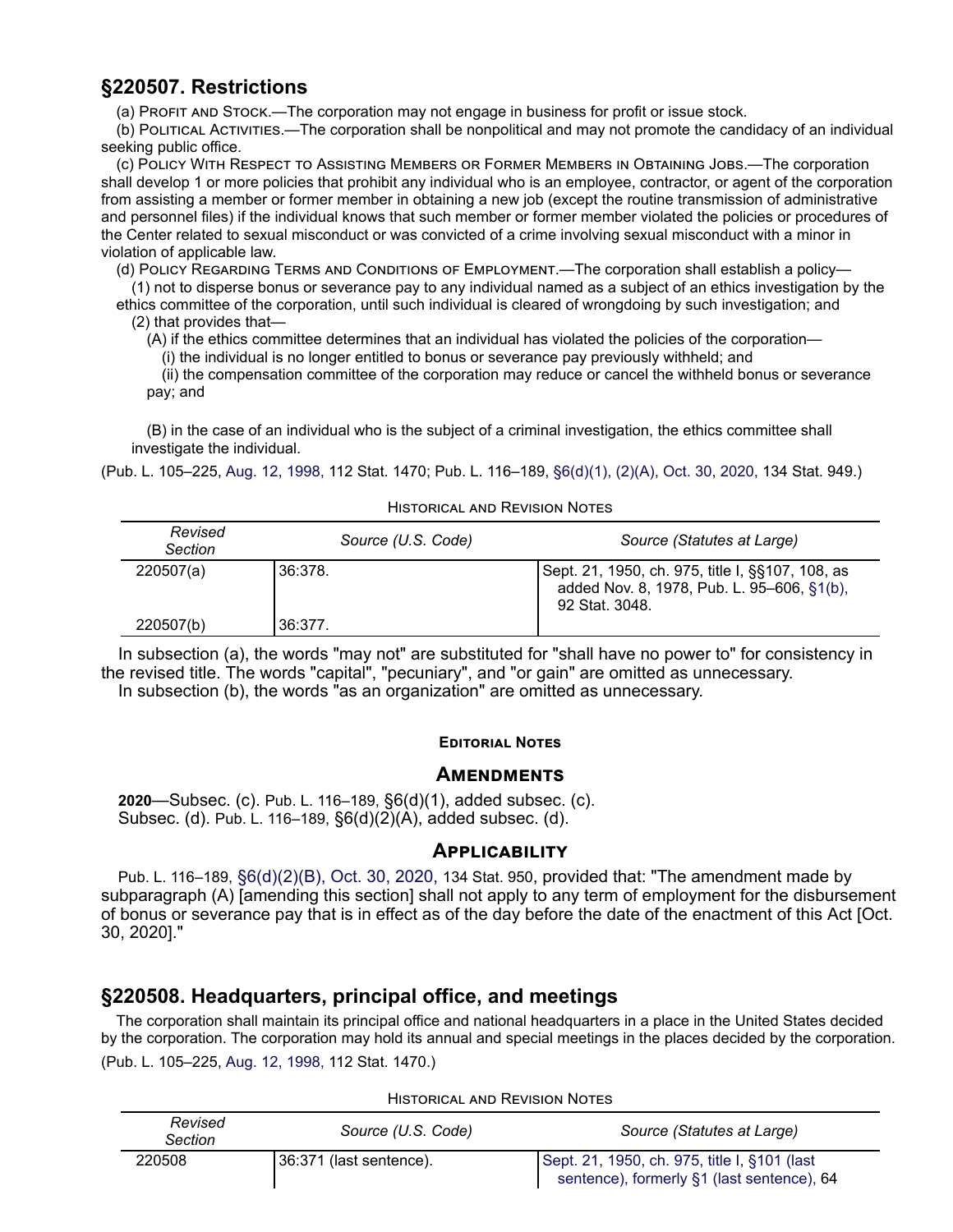# <span id="page-11-0"></span>**§220507. Restrictions**

(a) PROFIT AND STOCK.—The corporation may not engage in business for profit or issue stock.

(b) POLITICAL ACTIVITIES.—The corporation shall be nonpolitical and may not promote the candidacy of an individual seeking public office.

(c) POLICY WITH RESPECT TO ASSISTING MEMBERS OR FORMER MEMBERS IN OBTAINING JOBS.—The corporation shall develop 1 or more policies that prohibit any individual who is an employee, contractor, or agent of the corporation from assisting a member or former member in obtaining a new job (except the routine transmission of administrative and personnel files) if the individual knows that such member or former member violated the policies or procedures of the Center related to sexual misconduct or was convicted of a crime involving sexual misconduct with a minor in violation of applicable law.

(d) POLICY REGARDING TERMS AND CONDITIONS OF EMPLOYMENT.—The corporation shall establish a policy—

(1) not to disperse bonus or severance pay to any individual named as a subject of an ethics investigation by the ethics committee of the corporation, until such individual is cleared of wrongdoing by such investigation; and

### (2) that provides that—

(A) if the ethics committee determines that an individual has violated the policies of the corporation—

(i) the individual is no longer entitled to bonus or severance pay previously withheld; and

(ii) the compensation committee of the corporation may reduce or cancel the withheld bonus or severance pay; and

(B) in the case of an individual who is the subject of a criminal investigation, the ethics committee shall investigate the individual.

([Pub. L. 105–225, Aug. 12, 1998, 112 Stat. 1470;](https://uscode.house.gov/statviewer.htm?volume=112&page=1470) [Pub. L. 116–189, §6\(d\)\(1\), \(2\)\(A\), Oct. 30, 2020, 134 Stat. 949.](https://uscode.house.gov/statviewer.htm?volume=134&page=949))

| Revised<br>Section | Source (U.S. Code) | Source (Statutes at Large)                                                                                       |
|--------------------|--------------------|------------------------------------------------------------------------------------------------------------------|
| 220507(a)          | 36:378.            | Sept. 21, 1950, ch. 975, title I, §§107, 108, as<br>added Nov. 8, 1978, Pub. L. 95-606, §1(b),<br>92 Stat. 3048. |
| 220507(b)          | 36:377.            |                                                                                                                  |

#### HISTORICAL AND REVISION NOTES

In subsection (a), the words "may not" are substituted for "shall have no power to" for consistency in the revised title. The words "capital", "pecuniary", and "or gain" are omitted as unnecessary. In subsection (b), the words "as an organization" are omitted as unnecessary.

### **EDITORIAL NOTES**

### **AMENDMENTS**

**2020**—Subsec. (c). Pub. L. 116–189, §6(d)(1), added subsec. (c). Subsec. (d). Pub. L. 116–189, §6(d)(2)(A), added subsec. (d).

### **APPLICABILITY**

Pub. L. 116–189, [§6\(d\)\(2\)\(B\), Oct. 30, 2020,](https://uscode.house.gov/statviewer.htm?volume=134&page=950) 134 Stat. 950, provided that: "The amendment made by subparagraph (A) [amending this section] shall not apply to any term of employment for the disbursement of bonus or severance pay that is in effect as of the day before the date of the enactment of this Act [Oct. 30, 2020]."

# <span id="page-11-1"></span>**§220508. Headquarters, principal office, and meetings**

The corporation shall maintain its principal office and national headquarters in a place in the United States decided by the corporation. The corporation may hold its annual and special meetings in the places decided by the corporation. ([Pub. L. 105–225, Aug. 12, 1998, 112 Stat. 1470.](https://uscode.house.gov/statviewer.htm?volume=112&page=1470))

| Revised<br>Section | Source (U.S. Code)      | Source (Statutes at Large)                                                                 |
|--------------------|-------------------------|--------------------------------------------------------------------------------------------|
| 220508             | 36:371 (last sentence). | Sept. 21, 1950, ch. 975, title I, §101 (last<br>sentence), formerly §1 (last sentence), 64 |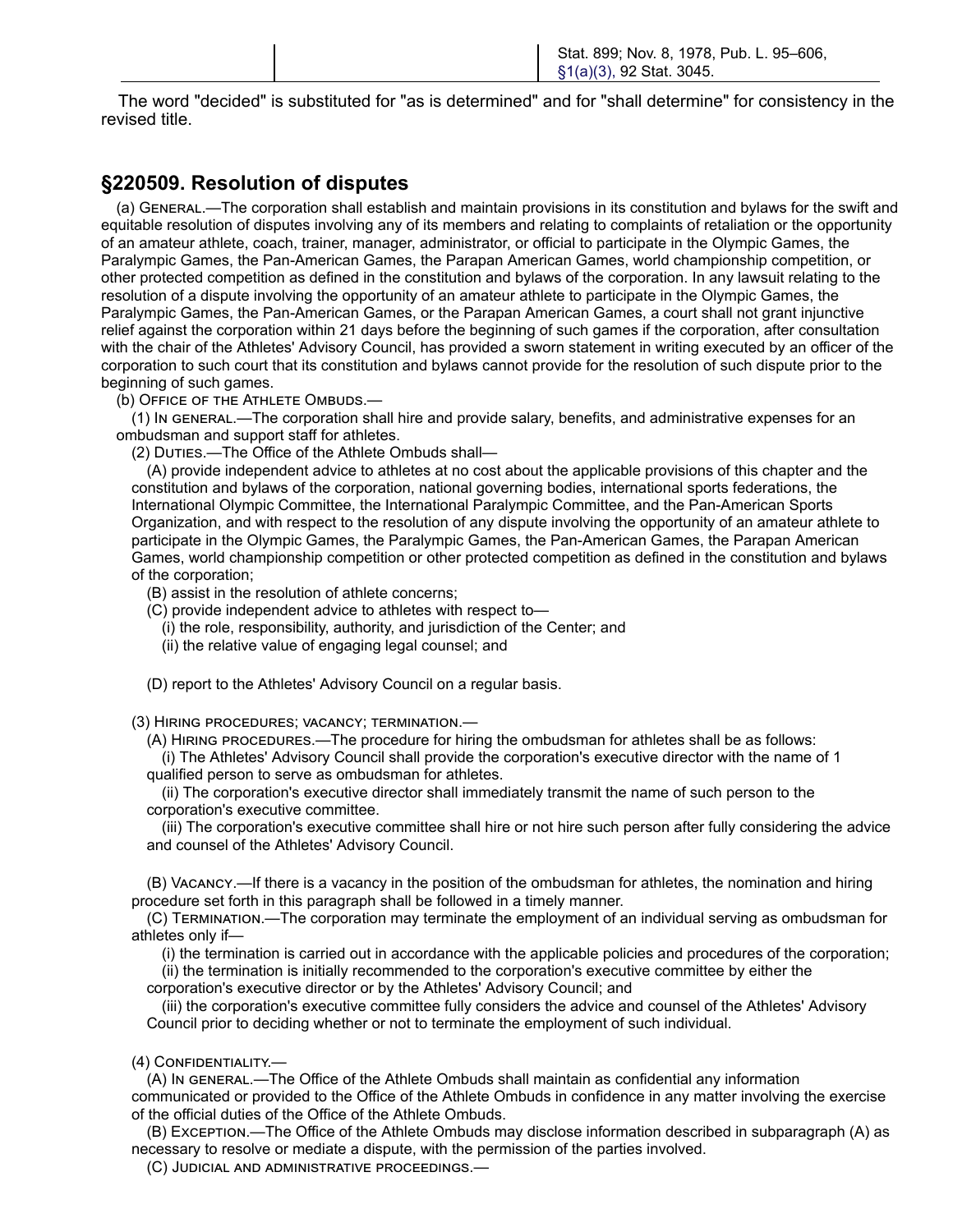The word "decided" is substituted for "as is determined" and for "shall determine" for consistency in the revised title.

# <span id="page-12-0"></span>**§220509. Resolution of disputes**

(a) GENERAL.—The corporation shall establish and maintain provisions in its constitution and bylaws for the swift and equitable resolution of disputes involving any of its members and relating to complaints of retaliation or the opportunity of an amateur athlete, coach, trainer, manager, administrator, or official to participate in the Olympic Games, the Paralympic Games, the Pan-American Games, the Parapan American Games, world championship competition, or other protected competition as defined in the constitution and bylaws of the corporation. In any lawsuit relating to the resolution of a dispute involving the opportunity of an amateur athlete to participate in the Olympic Games, the Paralympic Games, the Pan-American Games, or the Parapan American Games, a court shall not grant injunctive relief against the corporation within 21 days before the beginning of such games if the corporation, after consultation with the chair of the Athletes' Advisory Council, has provided a sworn statement in writing executed by an officer of the corporation to such court that its constitution and bylaws cannot provide for the resolution of such dispute prior to the beginning of such games.

(b) OFFICE OF THE ATHLETE OMBUDS.—

(1) IN GENERAL.—The corporation shall hire and provide salary, benefits, and administrative expenses for an ombudsman and support staff for athletes.

(2) DUTIES.—The Office of the Athlete Ombuds shall—

(A) provide independent advice to athletes at no cost about the applicable provisions of this chapter and the constitution and bylaws of the corporation, national governing bodies, international sports federations, the International Olympic Committee, the International Paralympic Committee, and the Pan-American Sports Organization, and with respect to the resolution of any dispute involving the opportunity of an amateur athlete to participate in the Olympic Games, the Paralympic Games, the Pan-American Games, the Parapan American Games, world championship competition or other protected competition as defined in the constitution and bylaws of the corporation;

(B) assist in the resolution of athlete concerns;

(C) provide independent advice to athletes with respect to—

(i) the role, responsibility, authority, and jurisdiction of the Center; and

(ii) the relative value of engaging legal counsel; and

(D) report to the Athletes' Advisory Council on a regular basis.

(3) HIRING PROCEDURES; VACANCY; TERMINATION.—

(A) HIRING PROCEDURES.—The procedure for hiring the ombudsman for athletes shall be as follows:

(i) The Athletes' Advisory Council shall provide the corporation's executive director with the name of 1 qualified person to serve as ombudsman for athletes.

(ii) The corporation's executive director shall immediately transmit the name of such person to the corporation's executive committee.

(iii) The corporation's executive committee shall hire or not hire such person after fully considering the advice and counsel of the Athletes' Advisory Council.

(B) VACANCY.—If there is a vacancy in the position of the ombudsman for athletes, the nomination and hiring procedure set forth in this paragraph shall be followed in a timely manner.

(C) TERMINATION.—The corporation may terminate the employment of an individual serving as ombudsman for athletes only if—

(i) the termination is carried out in accordance with the applicable policies and procedures of the corporation;

(ii) the termination is initially recommended to the corporation's executive committee by either the corporation's executive director or by the Athletes' Advisory Council; and

(iii) the corporation's executive committee fully considers the advice and counsel of the Athletes' Advisory Council prior to deciding whether or not to terminate the employment of such individual.

(4) CONFIDENTIALITY.—

(A) IN GENERAL.—The Office of the Athlete Ombuds shall maintain as confidential any information communicated or provided to the Office of the Athlete Ombuds in confidence in any matter involving the exercise of the official duties of the Office of the Athlete Ombuds.

(B) EXCEPTION.—The Office of the Athlete Ombuds may disclose information described in subparagraph (A) as necessary to resolve or mediate a dispute, with the permission of the parties involved.

(C) JUDICIAL AND ADMINISTRATIVE PROCEEDINGS.—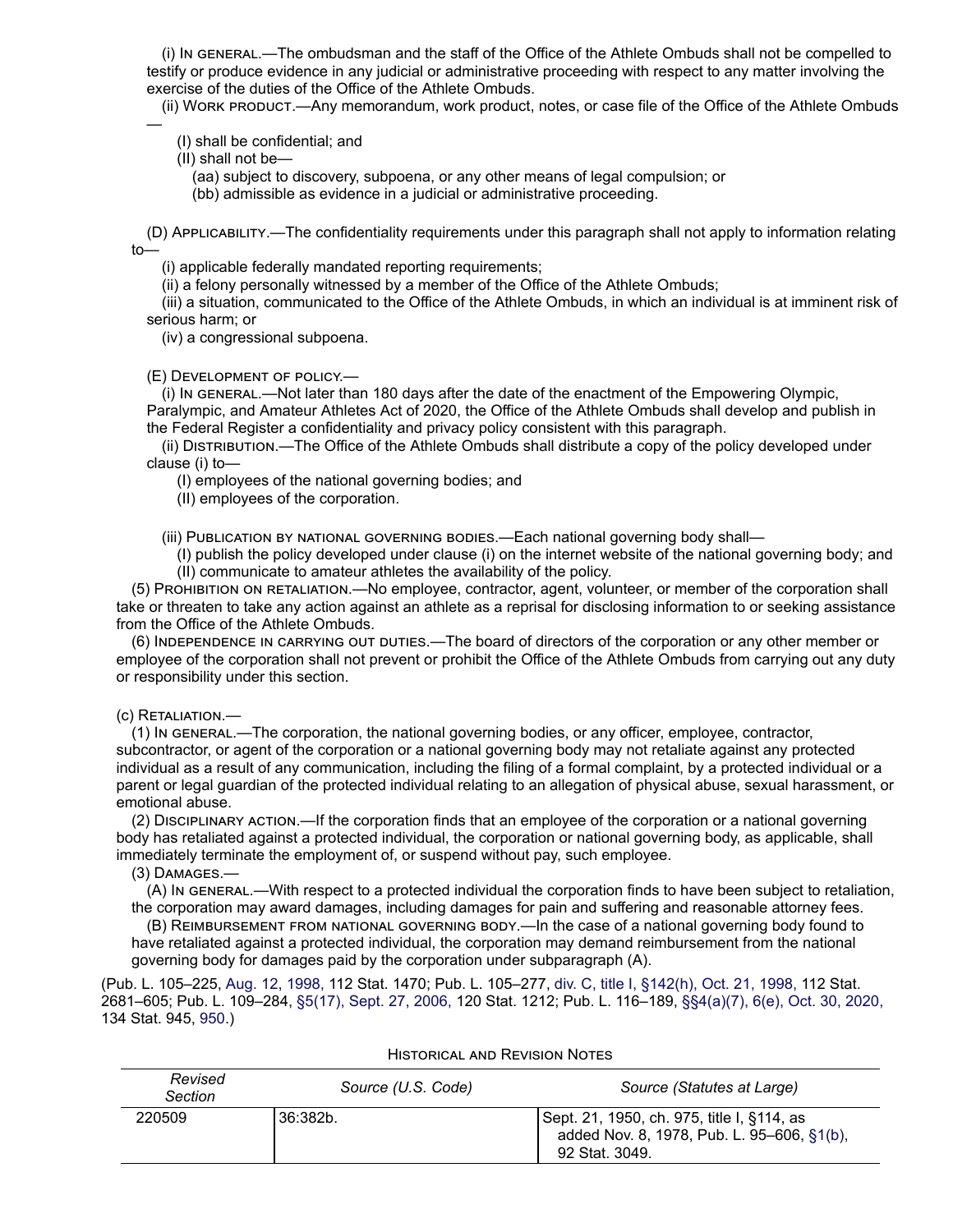(i) IN GENERAL.—The ombudsman and the staff of the Office of the Athlete Ombuds shall not be compelled to testify or produce evidence in any judicial or administrative proceeding with respect to any matter involving the exercise of the duties of the Office of the Athlete Ombuds.

(ii) WORK PRODUCT.—Any memorandum, work product, notes, or case file of the Office of the Athlete Ombuds

(I) shall be confidential; and

(II) shall not be—

—

(aa) subject to discovery, subpoena, or any other means of legal compulsion; or

(bb) admissible as evidence in a judicial or administrative proceeding.

(D) APPLICABILITY.—The confidentiality requirements under this paragraph shall not apply to information relating to—

(i) applicable federally mandated reporting requirements;

(ii) a felony personally witnessed by a member of the Office of the Athlete Ombuds;

(iii) a situation, communicated to the Office of the Athlete Ombuds, in which an individual is at imminent risk of serious harm; or

(iv) a congressional subpoena.

#### (E) DEVELOPMENT OF POLICY.—

(i) IN GENERAL.—Not later than 180 days after the date of the enactment of the Empowering Olympic, Paralympic, and Amateur Athletes Act of 2020, the Office of the Athlete Ombuds shall develop and publish in the Federal Register a confidentiality and privacy policy consistent with this paragraph.

(ii) DISTRIBUTION.—The Office of the Athlete Ombuds shall distribute a copy of the policy developed under clause (i) to—

(I) employees of the national governing bodies; and

(II) employees of the corporation.

(iii) PUBLICATION BY NATIONAL GOVERNING BODIES.—Each national governing body shall—

(I) publish the policy developed under clause (i) on the internet website of the national governing body; and (II) communicate to amateur athletes the availability of the policy.

(5) PROHIBITION ON RETALIATION.—No employee, contractor, agent, volunteer, or member of the corporation shall take or threaten to take any action against an athlete as a reprisal for disclosing information to or seeking assistance from the Office of the Athlete Ombuds.

(6) INDEPENDENCE IN CARRYING OUT DUTIES.—The board of directors of the corporation or any other member or employee of the corporation shall not prevent or prohibit the Office of the Athlete Ombuds from carrying out any duty or responsibility under this section.

#### (c) RETALIATION.—

(1) IN GENERAL.—The corporation, the national governing bodies, or any officer, employee, contractor, subcontractor, or agent of the corporation or a national governing body may not retaliate against any protected individual as a result of any communication, including the filing of a formal complaint, by a protected individual or a parent or legal guardian of the protected individual relating to an allegation of physical abuse, sexual harassment, or emotional abuse.

(2) DISCIPLINARY ACTION.—If the corporation finds that an employee of the corporation or a national governing body has retaliated against a protected individual, the corporation or national governing body, as applicable, shall immediately terminate the employment of, or suspend without pay, such employee.

(3) DAMAGES.—

(A) IN GENERAL.—With respect to a protected individual the corporation finds to have been subject to retaliation, the corporation may award damages, including damages for pain and suffering and reasonable attorney fees.

(B) REIMBURSEMENT FROM NATIONAL GOVERNING BODY.—In the case of a national governing body found to have retaliated against a protected individual, the corporation may demand reimbursement from the national governing body for damages paid by the corporation under subparagraph (A).

[\(Pub. L. 105–225, Aug. 12, 1998, 112 Stat. 1470](https://uscode.house.gov/statviewer.htm?volume=112&page=1470); [Pub. L. 105–277, div. C, title I, §142\(h\), Oct. 21, 1998, 112 Stat.](https://uscode.house.gov/statviewer.htm?volume=112&page=2681-605) [2681–605;](https://uscode.house.gov/statviewer.htm?volume=112&page=2681-605) [Pub. L. 109–284, §5\(17\), Sept. 27, 2006, 120 Stat. 1212](https://uscode.house.gov/statviewer.htm?volume=120&page=1212); [Pub. L. 116–189, §§4\(a\)\(7\), 6\(e\), Oct. 30, 2020,](https://uscode.house.gov/statviewer.htm?volume=134&page=945) [134 Stat. 945,](https://uscode.house.gov/statviewer.htm?volume=134&page=945) [950](https://uscode.house.gov/statviewer.htm?volume=134&page=950).)

| Revised<br>Section | Source (U.S. Code) | Source (Statutes at Large)                                                                                 |
|--------------------|--------------------|------------------------------------------------------------------------------------------------------------|
| 220509             | 36:382b.           | Sept. 21, 1950, ch. 975, title I, §114, as<br>added Nov. 8, 1978, Pub. L. 95-606, §1(b),<br>92 Stat. 3049. |

#### HISTORICAL AND REVISION NOTES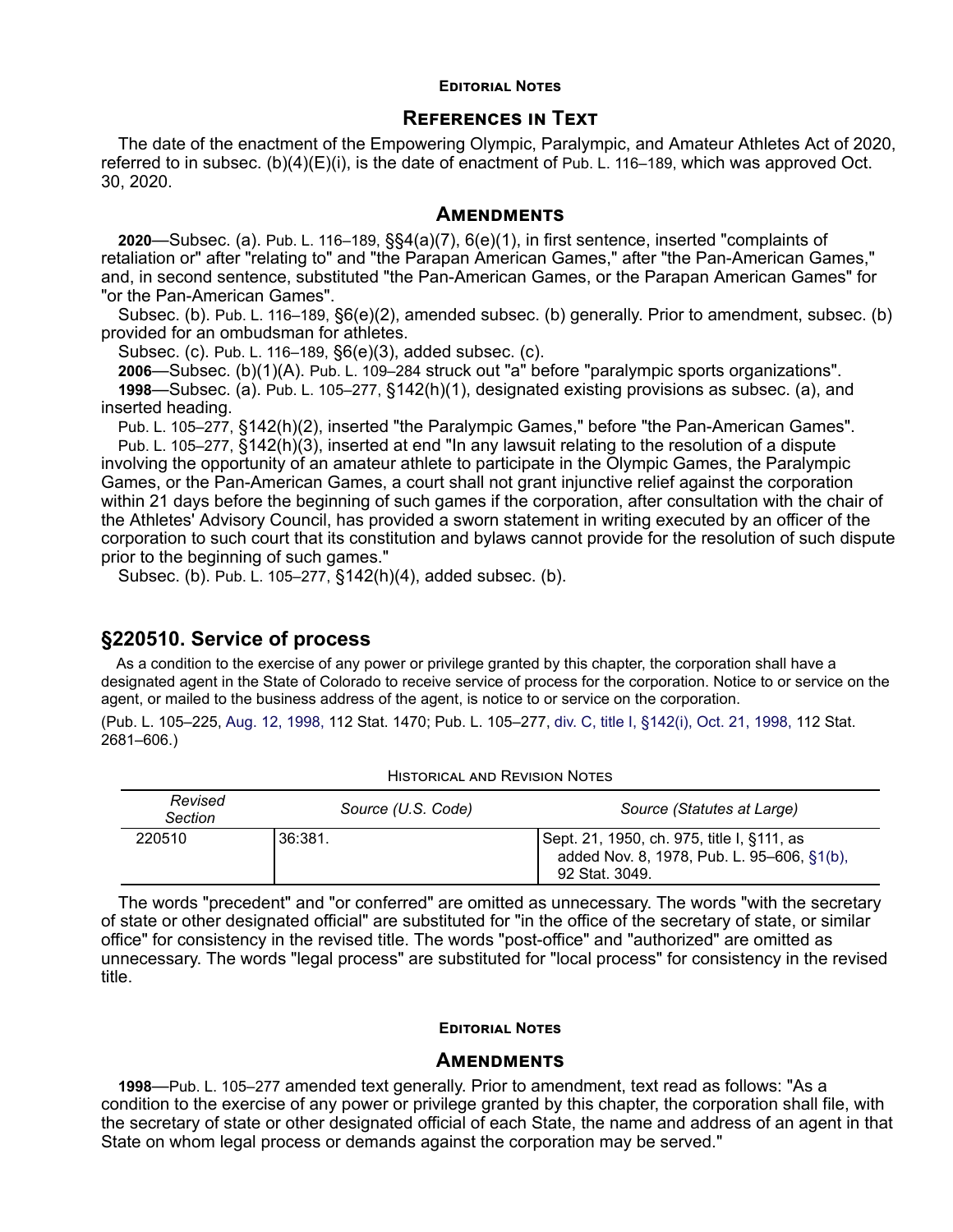### **EDITORIAL NOTES**

### **REFERENCES IN TEXT**

The date of the enactment of the Empowering Olympic, Paralympic, and Amateur Athletes Act of 2020, referred to in subsec. (b)(4)(E)(i), is the date of enactment of Pub. L. 116–189, which was approved Oct. 30, 2020.

### **AMENDMENTS**

**2020**—Subsec. (a). Pub. L. 116–189, §§4(a)(7), 6(e)(1), in first sentence, inserted "complaints of retaliation or" after "relating to" and "the Parapan American Games," after "the Pan-American Games," and, in second sentence, substituted "the Pan-American Games, or the Parapan American Games" for "or the Pan-American Games".

Subsec. (b). Pub. L. 116–189, §6(e)(2), amended subsec. (b) generally. Prior to amendment, subsec. (b) provided for an ombudsman for athletes.

Subsec. (c). Pub. L. 116–189, §6(e)(3), added subsec. (c).

**2006**—Subsec. (b)(1)(A). Pub. L. 109–284 struck out "a" before "paralympic sports organizations". **1998**—Subsec. (a). Pub. L. 105–277, §142(h)(1), designated existing provisions as subsec. (a), and inserted heading.

Pub. L. 105–277, §142(h)(2), inserted "the Paralympic Games," before "the Pan-American Games". Pub. L. 105–277, §142(h)(3), inserted at end "In any lawsuit relating to the resolution of a dispute involving the opportunity of an amateur athlete to participate in the Olympic Games, the Paralympic Games, or the Pan-American Games, a court shall not grant injunctive relief against the corporation within 21 days before the beginning of such games if the corporation, after consultation with the chair of the Athletes' Advisory Council, has provided a sworn statement in writing executed by an officer of the corporation to such court that its constitution and bylaws cannot provide for the resolution of such dispute prior to the beginning of such games."

Subsec. (b). Pub. L. 105–277, §142(h)(4), added subsec. (b).

# <span id="page-14-0"></span>**§220510. Service of process**

As a condition to the exercise of any power or privilege granted by this chapter, the corporation shall have a designated agent in the State of Colorado to receive service of process for the corporation. Notice to or service on the agent, or mailed to the business address of the agent, is notice to or service on the corporation.

[\(Pub. L. 105–225, Aug. 12, 1998, 112 Stat. 1470](https://uscode.house.gov/statviewer.htm?volume=112&page=1470); [Pub. L. 105–277, div. C, title I, §142\(i\), Oct. 21, 1998, 112 Stat.](https://uscode.house.gov/statviewer.htm?volume=112&page=2681-606) [2681–606.\)](https://uscode.house.gov/statviewer.htm?volume=112&page=2681-606)

| Revised<br>Section | Source (U.S. Code) | Source (Statutes at Large)                                                                                 |
|--------------------|--------------------|------------------------------------------------------------------------------------------------------------|
| 220510             | 36:381.            | Sept. 21, 1950, ch. 975, title I, §111, as<br>added Nov. 8, 1978, Pub. L. 95-606, §1(b),<br>92 Stat. 3049. |

HISTORICAL AND REVISION NOTES

The words "precedent" and "or conferred" are omitted as unnecessary. The words "with the secretary of state or other designated official" are substituted for "in the office of the secretary of state, or similar office" for consistency in the revised title. The words "post-office" and "authorized" are omitted as unnecessary. The words "legal process" are substituted for "local process" for consistency in the revised title.

#### **EDITORIAL NOTES**

### **AMENDMENTS**

**1998**—Pub. L. 105–277 amended text generally. Prior to amendment, text read as follows: "As a condition to the exercise of any power or privilege granted by this chapter, the corporation shall file, with the secretary of state or other designated official of each State, the name and address of an agent in that State on whom legal process or demands against the corporation may be served."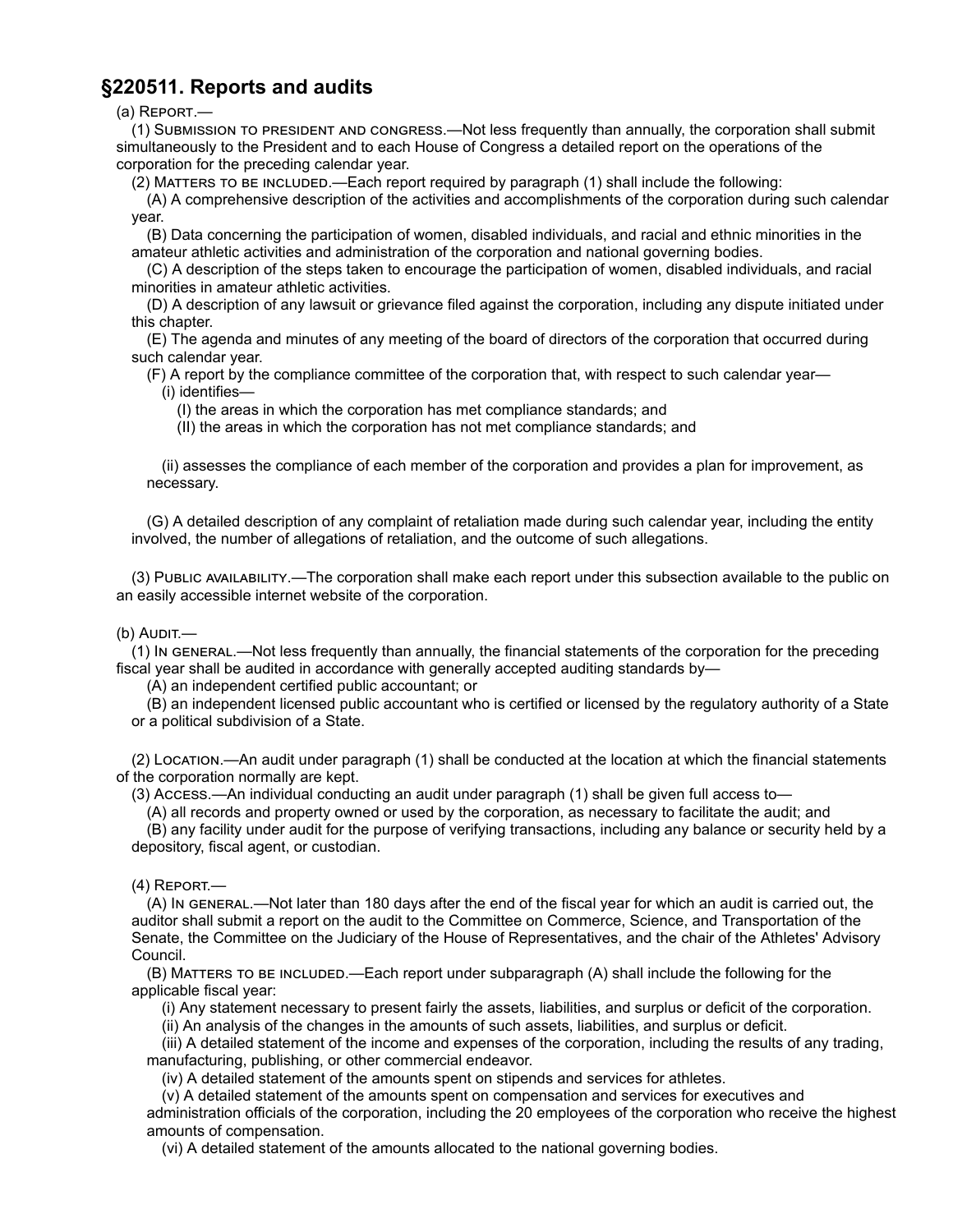# <span id="page-15-0"></span>**§220511. Reports and audits**

(a) REPORT.—

(1) SUBMISSION TO PRESIDENT AND CONGRESS.—Not less frequently than annually, the corporation shall submit simultaneously to the President and to each House of Congress a detailed report on the operations of the corporation for the preceding calendar year.

(2) MATTERS TO BE INCLUDED.—Each report required by paragraph (1) shall include the following:

(A) A comprehensive description of the activities and accomplishments of the corporation during such calendar year.

(B) Data concerning the participation of women, disabled individuals, and racial and ethnic minorities in the amateur athletic activities and administration of the corporation and national governing bodies.

(C) A description of the steps taken to encourage the participation of women, disabled individuals, and racial minorities in amateur athletic activities.

(D) A description of any lawsuit or grievance filed against the corporation, including any dispute initiated under this chapter.

(E) The agenda and minutes of any meeting of the board of directors of the corporation that occurred during such calendar year.

(F) A report by the compliance committee of the corporation that, with respect to such calendar year—

(i) identifies—

(I) the areas in which the corporation has met compliance standards; and

(II) the areas in which the corporation has not met compliance standards; and

(ii) assesses the compliance of each member of the corporation and provides a plan for improvement, as necessary.

(G) A detailed description of any complaint of retaliation made during such calendar year, including the entity involved, the number of allegations of retaliation, and the outcome of such allegations.

(3) PUBLIC AVAILABILITY.—The corporation shall make each report under this subsection available to the public on an easily accessible internet website of the corporation.

### (b) AUDIT.—

(1) IN GENERAL.—Not less frequently than annually, the financial statements of the corporation for the preceding fiscal year shall be audited in accordance with generally accepted auditing standards by—

(A) an independent certified public accountant; or

(B) an independent licensed public accountant who is certified or licensed by the regulatory authority of a State or a political subdivision of a State.

(2) LOCATION.—An audit under paragraph (1) shall be conducted at the location at which the financial statements of the corporation normally are kept.

(3) ACCESS.—An individual conducting an audit under paragraph (1) shall be given full access to—

(A) all records and property owned or used by the corporation, as necessary to facilitate the audit; and

(B) any facility under audit for the purpose of verifying transactions, including any balance or security held by a depository, fiscal agent, or custodian.

#### (4) REPORT.—

(A) IN GENERAL.—Not later than 180 days after the end of the fiscal year for which an audit is carried out, the auditor shall submit a report on the audit to the Committee on Commerce, Science, and Transportation of the Senate, the Committee on the Judiciary of the House of Representatives, and the chair of the Athletes' Advisory Council.

(B) MATTERS TO BE INCLUDED.—Each report under subparagraph (A) shall include the following for the applicable fiscal year:

(i) Any statement necessary to present fairly the assets, liabilities, and surplus or deficit of the corporation.

(ii) An analysis of the changes in the amounts of such assets, liabilities, and surplus or deficit.

(iii) A detailed statement of the income and expenses of the corporation, including the results of any trading, manufacturing, publishing, or other commercial endeavor.

(iv) A detailed statement of the amounts spent on stipends and services for athletes.

(v) A detailed statement of the amounts spent on compensation and services for executives and administration officials of the corporation, including the 20 employees of the corporation who receive the highest amounts of compensation.

(vi) A detailed statement of the amounts allocated to the national governing bodies.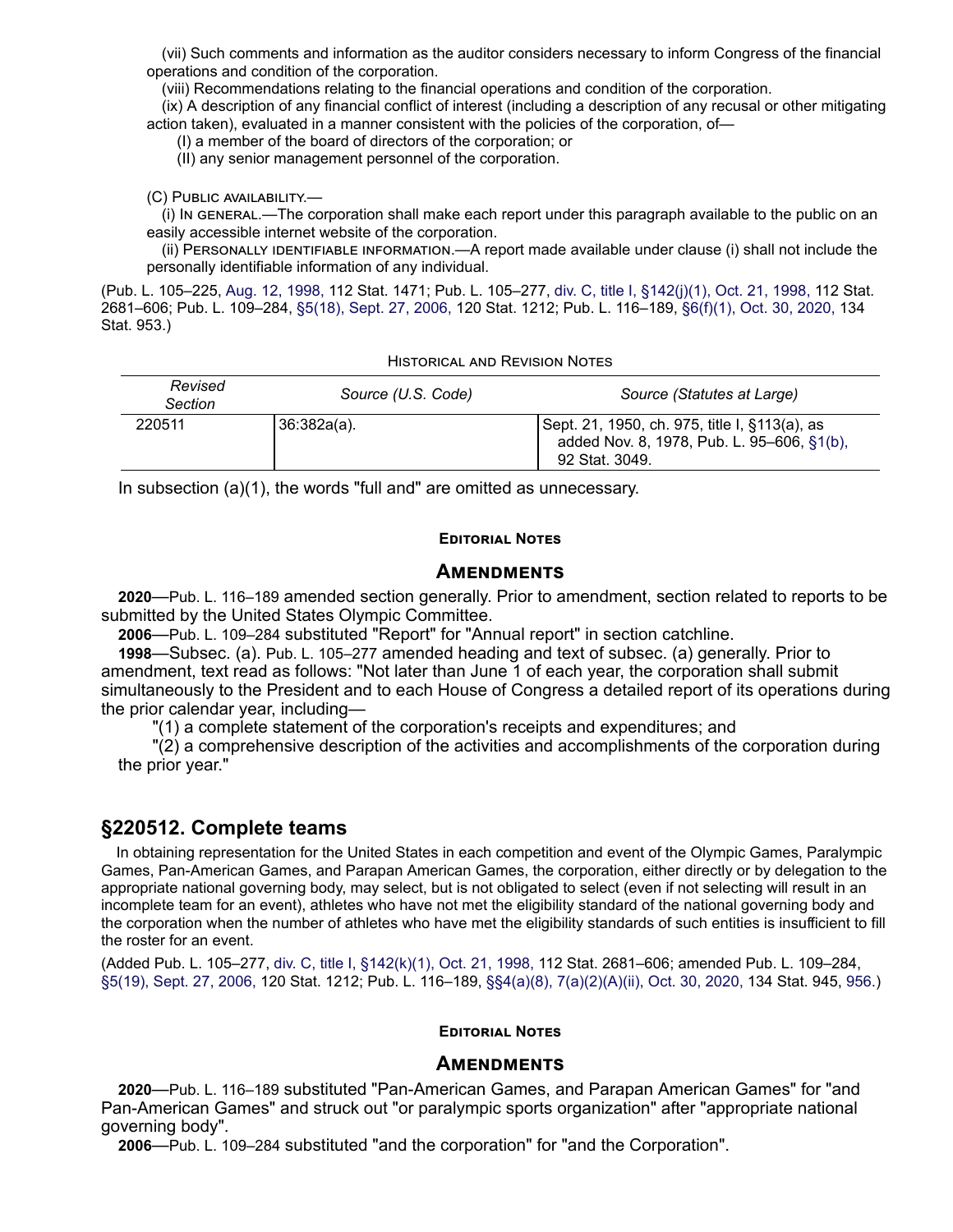(vii) Such comments and information as the auditor considers necessary to inform Congress of the financial operations and condition of the corporation.

(viii) Recommendations relating to the financial operations and condition of the corporation.

(ix) A description of any financial conflict of interest (including a description of any recusal or other mitigating action taken), evaluated in a manner consistent with the policies of the corporation, of—

(I) a member of the board of directors of the corporation; or

(II) any senior management personnel of the corporation.

(C) PUBLIC AVAILABILITY.—

(i) IN GENERAL.—The corporation shall make each report under this paragraph available to the public on an easily accessible internet website of the corporation.

(ii) PERSONALLY IDENTIFIABLE INFORMATION.—A report made available under clause (i) shall not include the personally identifiable information of any individual.

[\(Pub. L. 105–225, Aug. 12, 1998, 112 Stat. 1471](https://uscode.house.gov/statviewer.htm?volume=112&page=1471); [Pub. L. 105–277, div. C, title I, §142\(j\)\(1\), Oct. 21, 1998, 112 Stat.](https://uscode.house.gov/statviewer.htm?volume=112&page=2681-606)  [2681–606](https://uscode.house.gov/statviewer.htm?volume=112&page=2681-606); [Pub. L. 109–284, §5\(18\), Sept. 27, 2006, 120 Stat. 1212;](https://uscode.house.gov/statviewer.htm?volume=120&page=1212) [Pub. L. 116–189, §6\(f\)\(1\), Oct. 30, 2020, 134](https://uscode.house.gov/statviewer.htm?volume=134&page=953)  [Stat. 953.\)](https://uscode.house.gov/statviewer.htm?volume=134&page=953)

| Revised<br>Section | Source (U.S. Code) | Source (Statutes at Large)                                                                                    |
|--------------------|--------------------|---------------------------------------------------------------------------------------------------------------|
| 220511             | $36:382a(a)$ .     | Sept. 21, 1950, ch. 975, title I, §113(a), as<br>added Nov. 8, 1978, Pub. L. 95-606, §1(b),<br>92 Stat. 3049. |

HISTORICAL AND REVISION NOTES

In subsection (a)(1), the words "full and" are omitted as unnecessary.

### **EDITORIAL NOTES**

### **AMENDMENTS**

**2020**—Pub. L. 116–189 amended section generally. Prior to amendment, section related to reports to be submitted by the United States Olympic Committee.

**2006**—Pub. L. 109–284 substituted "Report" for "Annual report" in section catchline.

**1998**—Subsec. (a). Pub. L. 105–277 amended heading and text of subsec. (a) generally. Prior to amendment, text read as follows: "Not later than June 1 of each year, the corporation shall submit simultaneously to the President and to each House of Congress a detailed report of its operations during the prior calendar year, including—

"(1) a complete statement of the corporation's receipts and expenditures; and

 $\mathbb{P}(2)$  a comprehensive description of the activities and accomplishments of the corporation during the prior year."

### <span id="page-16-0"></span>**§220512. Complete teams**

In obtaining representation for the United States in each competition and event of the Olympic Games, Paralympic Games, Pan-American Games, and Parapan American Games, the corporation, either directly or by delegation to the appropriate national governing body, may select, but is not obligated to select (even if not selecting will result in an incomplete team for an event), athletes who have not met the eligibility standard of the national governing body and the corporation when the number of athletes who have met the eligibility standards of such entities is insufficient to fill the roster for an event.

(Added [Pub. L. 105–277, div. C, title I, §142\(k\)\(1\), Oct. 21, 1998, 112 Stat. 2681–606](https://uscode.house.gov/statviewer.htm?volume=120&page=1212); [amended Pub. L. 109–284,](https://uscode.house.gov/statviewer.htm?volume=120&page=1212)  [§5\(19\), Sept. 27, 2006, 120 Stat. 1212;](https://uscode.house.gov/statviewer.htm?volume=120&page=1212) Pub. L. 116–189, §§4(a)(8), 7(a)(2)(A)(ii), Oct. 30, 2020, 134 Stat. 945, 956.)

### **EDITORIAL NOTES**

### **AMENDMENTS**

**2020**—Pub. L. 116–189 substituted "Pan-American Games, and Parapan American Games" for "and Pan-American Games" and struck out "or paralympic sports organization" after "appropriate national governing body".

**2006**—Pub. L. 109–284 substituted "and the corporation" for "and the Corporation".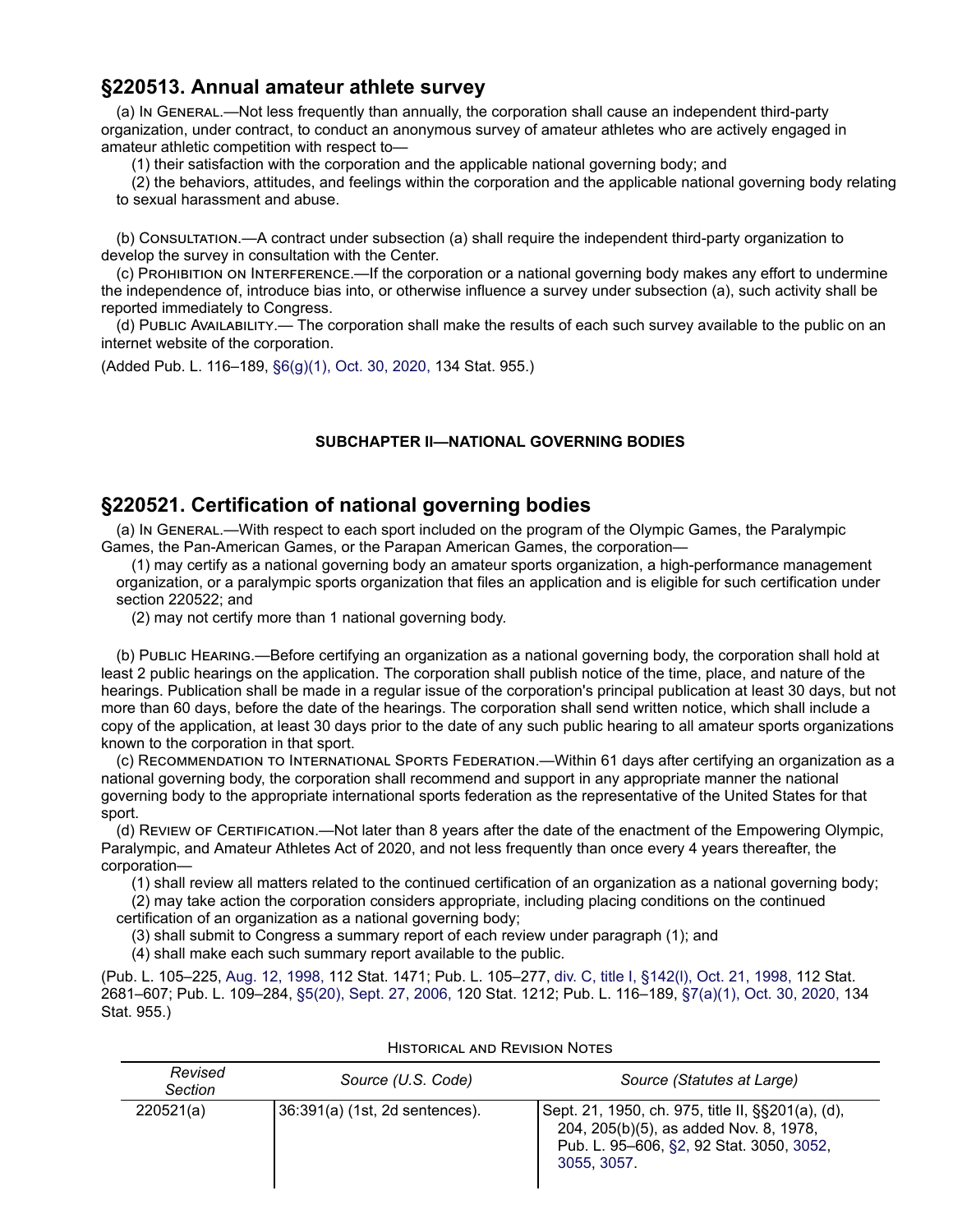# <span id="page-17-0"></span>**§220513. Annual amateur athlete survey**

(a) IN GENERAL.—Not less frequently than annually, the corporation shall cause an independent third-party organization, under contract, to conduct an anonymous survey of amateur athletes who are actively engaged in amateur athletic competition with respect to—

(1) their satisfaction with the corporation and the applicable national governing body; and

(2) the behaviors, attitudes, and feelings within the corporation and the applicable national governing body relating to sexual harassment and abuse.

(b) CONSULTATION.—A contract under subsection (a) shall require the independent third-party organization to develop the survey in consultation with the Center.

(c) PROHIBITION ON INTERFERENCE.—If the corporation or a national governing body makes any effort to undermine the independence of, introduce bias into, or otherwise influence a survey under subsection (a), such activity shall be reported immediately to Congress.

(d) PUBLIC AVAILABILITY.— The corporation shall make the results of each such survey available to the public on an internet website of the corporation.

(Added [Pub. L. 116–189, §6\(g\)\(1\), Oct. 30, 2020, 134 Stat. 955](https://uscode.house.gov/statviewer.htm?volume=134&page=955).)

### <span id="page-17-1"></span>**SUBCHAPTER II—NATIONAL GOVERNING BODIES**

# <span id="page-17-2"></span>**§220521. Certification of national governing bodies**

(a) IN GENERAL.—With respect to each sport included on the program of the Olympic Games, the Paralympic Games, the Pan-American Games, or the Parapan American Games, the corporation—

(1) may certify as a national governing body an amateur sports organization, a high-performance management organization, or a paralympic sports organization that files an application and is eligible for such certification under section 220522; and

(2) may not certify more than 1 national governing body.

(b) PUBLIC HEARING.—Before certifying an organization as a national governing body, the corporation shall hold at least 2 public hearings on the application. The corporation shall publish notice of the time, place, and nature of the hearings. Publication shall be made in a regular issue of the corporation's principal publication at least 30 days, but not more than 60 days, before the date of the hearings. The corporation shall send written notice, which shall include a copy of the application, at least 30 days prior to the date of any such public hearing to all amateur sports organizations known to the corporation in that sport.

(c) RECOMMENDATION TO INTERNATIONAL SPORTS FEDERATION.—Within 61 days after certifying an organization as a national governing body, the corporation shall recommend and support in any appropriate manner the national governing body to the appropriate international sports federation as the representative of the United States for that sport.

(d) REVIEW OF CERTIFICATION.—Not later than 8 years after the date of the enactment of the Empowering Olympic, Paralympic, and Amateur Athletes Act of 2020, and not less frequently than once every 4 years thereafter, the corporation—

(1) shall review all matters related to the continued certification of an organization as a national governing body;

(2) may take action the corporation considers appropriate, including placing conditions on the continued certification of an organization as a national governing body;

(3) shall submit to Congress a summary report of each review under paragraph (1); and

(4) shall make each such summary report available to the public.

[\(Pub. L. 105–225, Aug. 12, 1998, 112 Stat. 1471](https://uscode.house.gov/statviewer.htm?volume=112&page=1471); [Pub. L. 105–277, div. C, title I, §142\(l\), Oct. 21, 1998, 112 Stat.](https://uscode.house.gov/statviewer.htm?volume=112&page=2681-607) [2681–607](https://uscode.house.gov/statviewer.htm?volume=112&page=2681-607); [Pub. L. 109–284, §5\(20\), Sept. 27, 2006, 120 Stat. 1212](https://uscode.house.gov/statviewer.htm?volume=120&page=1212); [Pub. L. 116–189, §7\(a\)\(1\), Oct. 30, 2020, 134](https://uscode.house.gov/statviewer.htm?volume=134&page=955) [Stat. 955.\)](https://uscode.house.gov/statviewer.htm?volume=134&page=955) 

| Revised<br>Section | Source (U.S. Code)             | Source (Statutes at Large)                                                                                                                             |
|--------------------|--------------------------------|--------------------------------------------------------------------------------------------------------------------------------------------------------|
| 220521(a)          | 36:391(a) (1st, 2d sentences). | Sept. 21, 1950, ch. 975, title II, §§201(a), (d),<br>204, 205(b)(5), as added Nov. 8, 1978,<br>Pub. L. 95–606, §2, 92 Stat. 3050, 3052,<br>3055, 3057. |

### HISTORICAL AND REVISION NOTES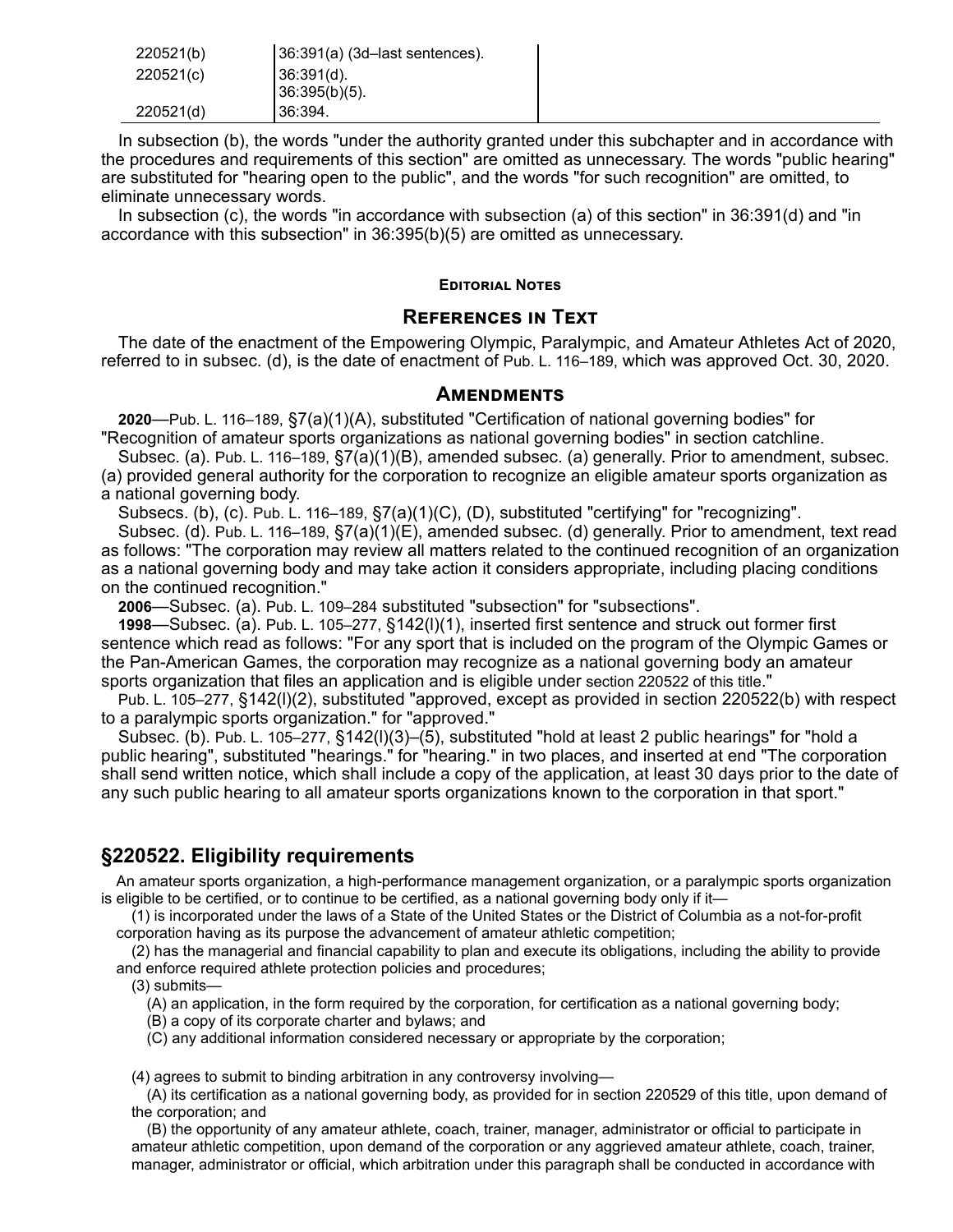| 220521(b) | $ 36:391(a) $ (3d-last sentences). |  |
|-----------|------------------------------------|--|
| 220521(c) | $36:391(d)$ .                      |  |
|           | $36:395(b)(5)$ .                   |  |
| 220521(d) | 36:394.                            |  |

In subsection (b), the words "under the authority granted under this subchapter and in accordance with the procedures and requirements of this section" are omitted as unnecessary. The words "public hearing" are substituted for "hearing open to the public", and the words "for such recognition" are omitted, to eliminate unnecessary words.

In subsection (c), the words "in accordance with subsection (a) of this section" in 36:391(d) and "in accordance with this subsection" in 36:395(b)(5) are omitted as unnecessary.

### **EDITORIAL NOTES**

### **REFERENCES IN TEXT**

The date of the enactment of the Empowering Olympic, Paralympic, and Amateur Athletes Act of 2020, referred to in subsec. (d), is the date of enactment of Pub. L. 116–189, which was approved Oct. 30, 2020.

### **AMENDMENTS**

**2020**—Pub. L. 116–189, §7(a)(1)(A), substituted "Certification of national governing bodies" for "Recognition of amateur sports organizations as national governing bodies" in section catchline.

Subsec. (a). Pub. L. 116–189, §7(a)(1)(B), amended subsec. (a) generally. Prior to amendment, subsec. (a) provided general authority for the corporation to recognize an eligible amateur sports organization as a national governing body.

Subsecs. (b), (c). Pub. L. 116–189, §7(a)(1)(C), (D), substituted "certifying" for "recognizing".

Subsec. (d). Pub. L. 116–189, §7(a)(1)(E), amended subsec. (d) generally. Prior to amendment, text read as follows: "The corporation may review all matters related to the continued recognition of an organization as a national governing body and may take action it considers appropriate, including placing conditions on the continued recognition."

**2006**—Subsec. (a). Pub. L. 109–284 substituted "subsection" for "subsections".

**1998**—Subsec. (a). Pub. L. 105–277, §142(l)(1), inserted first sentence and struck out former first sentence which read as follows: "For any sport that is included on the program of the Olympic Games or the Pan-American Games, the corporation may recognize as a national governing body an amateur sports organization that files an application and is eligible under section 220522 of this title."

Pub. L. 105–277, §142(l)(2), substituted "approved, except as provided in section 220522(b) with respect to a paralympic sports organization." for "approved."

Subsec. (b). Pub. L. 105–277, §142(l)(3)–(5), substituted "hold at least 2 public hearings" for "hold a public hearing", substituted "hearings." for "hearing." in two places, and inserted at end "The corporation shall send written notice, which shall include a copy of the application, at least 30 days prior to the date of any such public hearing to all amateur sports organizations known to the corporation in that sport."

# <span id="page-18-0"></span>**§220522. Eligibility requirements**

An amateur sports organization, a high-performance management organization, or a paralympic sports organization is eligible to be certified, or to continue to be certified, as a national governing body only if it—

(1) is incorporated under the laws of a State of the United States or the District of Columbia as a not-for-profit corporation having as its purpose the advancement of amateur athletic competition;

(2) has the managerial and financial capability to plan and execute its obligations, including the ability to provide and enforce required athlete protection policies and procedures;

(3) submits—

(A) an application, in the form required by the corporation, for certification as a national governing body;

(B) a copy of its corporate charter and bylaws; and

(C) any additional information considered necessary or appropriate by the corporation;

(4) agrees to submit to binding arbitration in any controversy involving—

(A) its certification as a national governing body, as provided for in section 220529 of this title, upon demand of the corporation; and

(B) the opportunity of any amateur athlete, coach, trainer, manager, administrator or official to participate in amateur athletic competition, upon demand of the corporation or any aggrieved amateur athlete, coach, trainer, manager, administrator or official, which arbitration under this paragraph shall be conducted in accordance with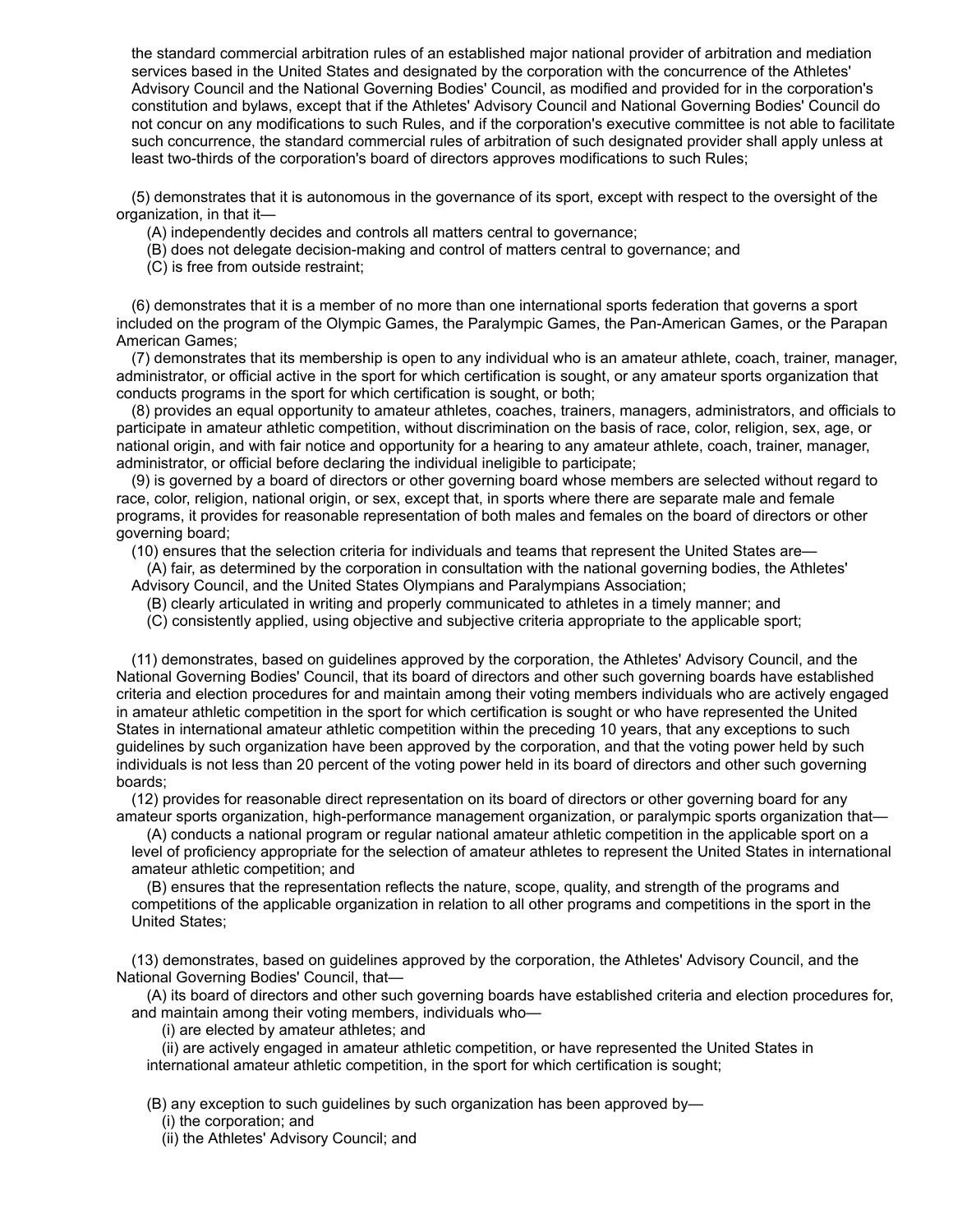the standard commercial arbitration rules of an established major national provider of arbitration and mediation services based in the United States and designated by the corporation with the concurrence of the Athletes' Advisory Council and the National Governing Bodies' Council, as modified and provided for in the corporation's constitution and bylaws, except that if the Athletes' Advisory Council and National Governing Bodies' Council do not concur on any modifications to such Rules, and if the corporation's executive committee is not able to facilitate such concurrence, the standard commercial rules of arbitration of such designated provider shall apply unless at least two-thirds of the corporation's board of directors approves modifications to such Rules;

(5) demonstrates that it is autonomous in the governance of its sport, except with respect to the oversight of the organization, in that it—

(A) independently decides and controls all matters central to governance;

(B) does not delegate decision-making and control of matters central to governance; and

(C) is free from outside restraint;

(6) demonstrates that it is a member of no more than one international sports federation that governs a sport included on the program of the Olympic Games, the Paralympic Games, the Pan-American Games, or the Parapan American Games;

(7) demonstrates that its membership is open to any individual who is an amateur athlete, coach, trainer, manager, administrator, or official active in the sport for which certification is sought, or any amateur sports organization that conducts programs in the sport for which certification is sought, or both;

(8) provides an equal opportunity to amateur athletes, coaches, trainers, managers, administrators, and officials to participate in amateur athletic competition, without discrimination on the basis of race, color, religion, sex, age, or national origin, and with fair notice and opportunity for a hearing to any amateur athlete, coach, trainer, manager, administrator, or official before declaring the individual ineligible to participate;

(9) is governed by a board of directors or other governing board whose members are selected without regard to race, color, religion, national origin, or sex, except that, in sports where there are separate male and female programs, it provides for reasonable representation of both males and females on the board of directors or other governing board;

(10) ensures that the selection criteria for individuals and teams that represent the United States are—

(A) fair, as determined by the corporation in consultation with the national governing bodies, the Athletes' Advisory Council, and the United States Olympians and Paralympians Association;

(B) clearly articulated in writing and properly communicated to athletes in a timely manner; and

(C) consistently applied, using objective and subjective criteria appropriate to the applicable sport;

(11) demonstrates, based on guidelines approved by the corporation, the Athletes' Advisory Council, and the National Governing Bodies' Council, that its board of directors and other such governing boards have established criteria and election procedures for and maintain among their voting members individuals who are actively engaged in amateur athletic competition in the sport for which certification is sought or who have represented the United States in international amateur athletic competition within the preceding 10 years, that any exceptions to such guidelines by such organization have been approved by the corporation, and that the voting power held by such individuals is not less than 20 percent of the voting power held in its board of directors and other such governing boards;

(12) provides for reasonable direct representation on its board of directors or other governing board for any amateur sports organization, high-performance management organization, or paralympic sports organization that—

(A) conducts a national program or regular national amateur athletic competition in the applicable sport on a level of proficiency appropriate for the selection of amateur athletes to represent the United States in international amateur athletic competition; and

(B) ensures that the representation reflects the nature, scope, quality, and strength of the programs and competitions of the applicable organization in relation to all other programs and competitions in the sport in the United States;

(13) demonstrates, based on guidelines approved by the corporation, the Athletes' Advisory Council, and the National Governing Bodies' Council, that—

(A) its board of directors and other such governing boards have established criteria and election procedures for, and maintain among their voting members, individuals who—

(i) are elected by amateur athletes; and

(ii) are actively engaged in amateur athletic competition, or have represented the United States in international amateur athletic competition, in the sport for which certification is sought;

(B) any exception to such guidelines by such organization has been approved by—

(i) the corporation; and

(ii) the Athletes' Advisory Council; and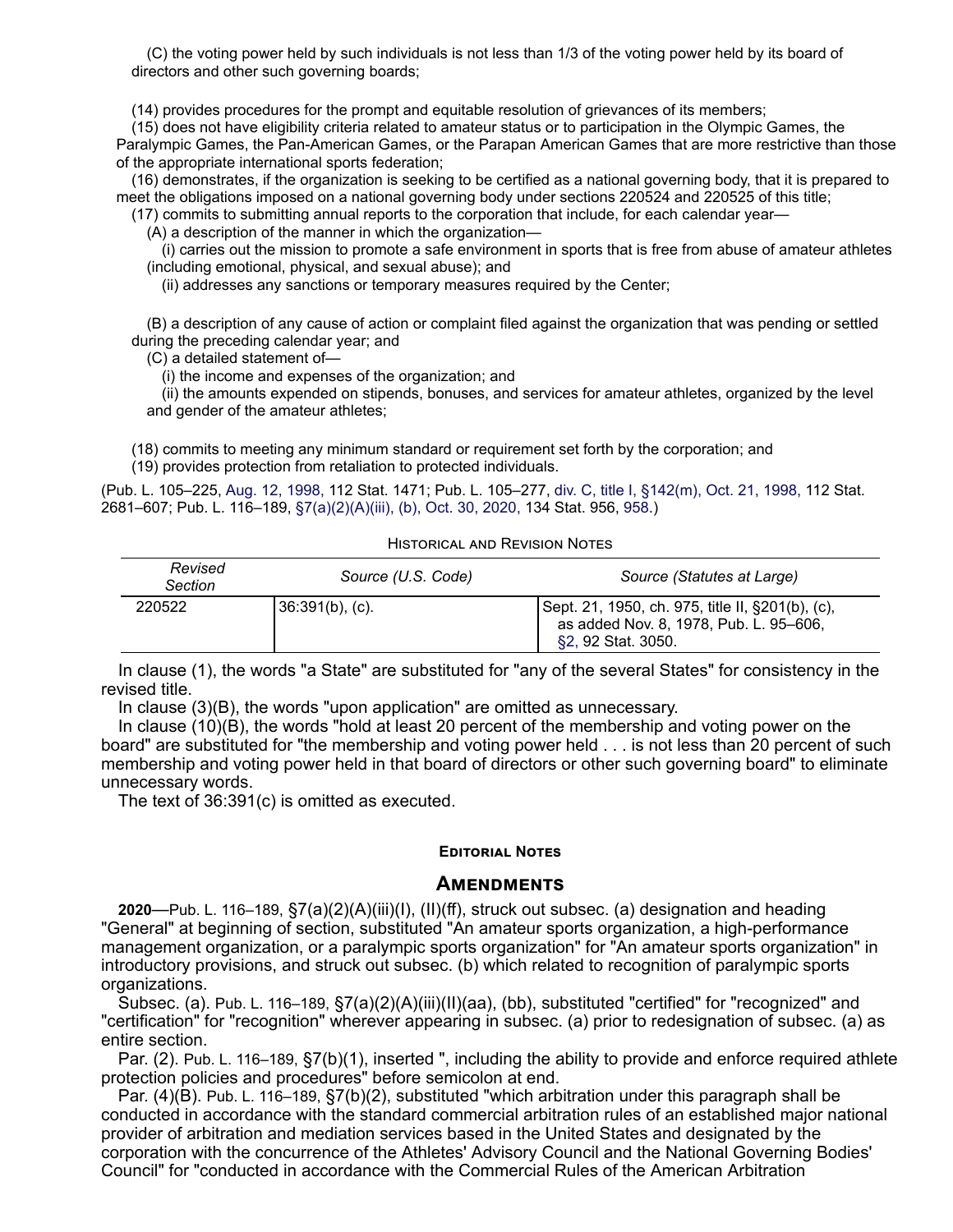(C) the voting power held by such individuals is not less than 1/3 of the voting power held by its board of directors and other such governing boards;

(14) provides procedures for the prompt and equitable resolution of grievances of its members;

(15) does not have eligibility criteria related to amateur status or to participation in the Olympic Games, the Paralympic Games, the Pan-American Games, or the Parapan American Games that are more restrictive than those of the appropriate international sports federation;

(16) demonstrates, if the organization is seeking to be certified as a national governing body, that it is prepared to meet the obligations imposed on a national governing body under sections 220524 and 220525 of this title;

(17) commits to submitting annual reports to the corporation that include, for each calendar year—

(A) a description of the manner in which the organization—

(i) carries out the mission to promote a safe environment in sports that is free from abuse of amateur athletes (including emotional, physical, and sexual abuse); and

(ii) addresses any sanctions or temporary measures required by the Center;

(B) a description of any cause of action or complaint filed against the organization that was pending or settled during the preceding calendar year; and

(C) a detailed statement of—

(i) the income and expenses of the organization; and

(ii) the amounts expended on stipends, bonuses, and services for amateur athletes, organized by the level and gender of the amateur athletes;

(18) commits to meeting any minimum standard or requirement set forth by the corporation; and

(19) provides protection from retaliation to protected individuals.

([Pub. L. 105–225, Aug. 12, 1998, 112 Stat. 1471;](https://uscode.house.gov/statviewer.htm?volume=112&page=1471) [Pub. L. 105–277, div. C, title I, §142\(m\), Oct. 21, 1998, 112 Stat.](https://uscode.house.gov/statviewer.htm?volume=112&page=2681-607)  [2681–607;](https://uscode.house.gov/statviewer.htm?volume=112&page=2681-607) [Pub. L. 116–189, §7\(a\)\(2\)\(A\)\(iii\), \(b\), Oct. 30, 2020, 134 Stat. 956,](https://uscode.house.gov/statviewer.htm?volume=134&page=956) [958](https://uscode.house.gov/statviewer.htm?volume=134&page=958).)

| Revised<br>Section | Source (U.S. Code) | Source (Statutes at Large)                                                                                       |
|--------------------|--------------------|------------------------------------------------------------------------------------------------------------------|
| 220522             | $36:391(b)$ , (c). | Sept. 21, 1950, ch. 975, title II, §201(b), (c),<br>as added Nov. 8, 1978, Pub. L. 95-606,<br>§2, 92 Stat. 3050. |

HISTORICAL AND REVISION NOTES

In clause (1), the words "a State" are substituted for "any of the several States" for consistency in the revised title.

In clause (3)(B), the words "upon application" are omitted as unnecessary.

In clause (10)(B), the words "hold at least 20 percent of the membership and voting power on the board" are substituted for "the membership and voting power held . . . is not less than 20 percent of such membership and voting power held in that board of directors or other such governing board" to eliminate unnecessary words.

The text of 36:391(c) is omitted as executed.

### **EDITORIAL NOTES**

### **AMENDMENTS**

**2020**—Pub. L. 116–189, §7(a)(2)(A)(iii)(I), (II)(ff), struck out subsec. (a) designation and heading "General" at beginning of section, substituted "An amateur sports organization, a high-performance management organization, or a paralympic sports organization" for "An amateur sports organization" in introductory provisions, and struck out subsec. (b) which related to recognition of paralympic sports organizations.

Subsec. (a). Pub. L. 116–189, §7(a)(2)(A)(iii)(II)(aa), (bb), substituted "certified" for "recognized" and "certification" for "recognition" wherever appearing in subsec. (a) prior to redesignation of subsec. (a) as entire section.

Par. (2). Pub. L. 116–189, §7(b)(1), inserted ", including the ability to provide and enforce required athlete protection policies and procedures" before semicolon at end.

Par. (4)(B). Pub. L. 116–189, §7(b)(2), substituted "which arbitration under this paragraph shall be conducted in accordance with the standard commercial arbitration rules of an established major national provider of arbitration and mediation services based in the United States and designated by the corporation with the concurrence of the Athletes' Advisory Council and the National Governing Bodies' Council" for "conducted in accordance with the Commercial Rules of the American Arbitration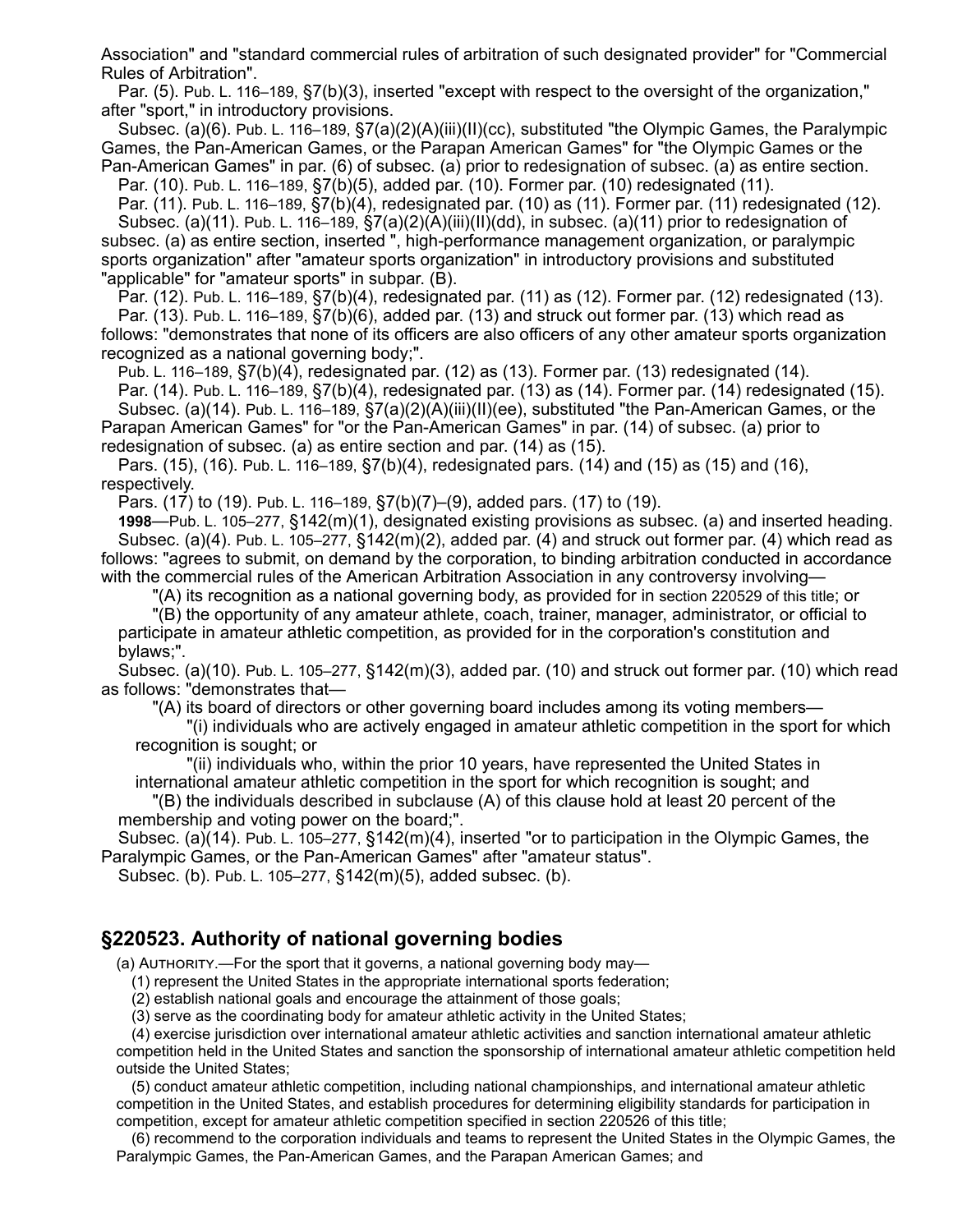Association" and "standard commercial rules of arbitration of such designated provider" for "Commercial Rules of Arbitration".

Par. (5). Pub. L. 116–189, §7(b)(3), inserted "except with respect to the oversight of the organization," after "sport," in introductory provisions.

Subsec. (a)(6). Pub. L. 116–189, §7(a)(2)(A)(iii)(II)(cc), substituted "the Olympic Games, the Paralympic Games, the Pan-American Games, or the Parapan American Games" for "the Olympic Games or the Pan-American Games" in par. (6) of subsec. (a) prior to redesignation of subsec. (a) as entire section.

Par. (10). Pub. L. 116–189, §7(b)(5), added par. (10). Former par. (10) redesignated (11).

Par. (11). Pub. L. 116–189, §7(b)(4), redesignated par. (10) as (11). Former par. (11) redesignated (12). Subsec. (a)(11). Pub. L. 116–189, §7(a)(2)(A)(iii)(II)(dd), in subsec. (a)(11) prior to redesignation of subsec. (a) as entire section, inserted ", high-performance management organization, or paralympic sports organization" after "amateur sports organization" in introductory provisions and substituted "applicable" for "amateur sports" in subpar. (B).

Par. (12). Pub. L. 116–189, §7(b)(4), redesignated par. (11) as (12). Former par. (12) redesignated (13).

Par. (13). Pub. L. 116–189, §7(b)(6), added par. (13) and struck out former par. (13) which read as follows: "demonstrates that none of its officers are also officers of any other amateur sports organization recognized as a national governing body;".

Pub. L. 116–189, §7(b)(4), redesignated par. (12) as (13). Former par. (13) redesignated (14).

Par. (14). Pub. L. 116–189, §7(b)(4), redesignated par. (13) as (14). Former par. (14) redesignated (15). Subsec. (a)(14). Pub. L. 116–189, §7(a)(2)(A)(iii)(II)(ee), substituted "the Pan-American Games, or the Parapan American Games" for "or the Pan-American Games" in par. (14) of subsec. (a) prior to redesignation of subsec. (a) as entire section and par. (14) as (15).

Pars. (15), (16). Pub. L. 116–189, §7(b)(4), redesignated pars. (14) and (15) as (15) and (16), respectively.

Pars. (17) to (19). Pub. L. 116–189, §7(b)(7)–(9), added pars. (17) to (19).

**1998**—Pub. L. 105–277, §142(m)(1), designated existing provisions as subsec. (a) and inserted heading. Subsec. (a)(4). Pub. L. 105–277,  $$142(m)(2)$ , added par. (4) and struck out former par. (4) which read as follows: "agrees to submit, on demand by the corporation, to binding arbitration conducted in accordance with the commercial rules of the American Arbitration Association in any controversy involving—

"(A) its recognition as a national governing body, as provided for in section 220529 of this title; or

"(B) the opportunity of any amateur athlete, coach, trainer, manager, administrator, or official to participate in amateur athletic competition, as provided for in the corporation's constitution and bylaws;".

Subsec. (a)(10). Pub. L. 105–277, §142(m)(3), added par. (10) and struck out former par. (10) which read as follows: "demonstrates that—

"(A) its board of directors or other governing board includes among its voting members—

"(i) individuals who are actively engaged in amateur athletic competition in the sport for which recognition is sought; or

"(ii) individuals who, within the prior 10 years, have represented the United States in international amateur athletic competition in the sport for which recognition is sought; and

"(B) the individuals described in subclause (A) of this clause hold at least 20 percent of the membership and voting power on the board;".

Subsec. (a)(14). Pub. L. 105–277, §142(m)(4), inserted "or to participation in the Olympic Games, the Paralympic Games, or the Pan-American Games" after "amateur status".

Subsec. (b). Pub. L. 105–277, §142(m)(5), added subsec. (b).

# <span id="page-21-0"></span>**§220523. Authority of national governing bodies**

(a) AUTHORITY.—For the sport that it governs, a national governing body may—

(1) represent the United States in the appropriate international sports federation;

(2) establish national goals and encourage the attainment of those goals;

(3) serve as the coordinating body for amateur athletic activity in the United States;

(4) exercise jurisdiction over international amateur athletic activities and sanction international amateur athletic competition held in the United States and sanction the sponsorship of international amateur athletic competition held outside the United States;

(5) conduct amateur athletic competition, including national championships, and international amateur athletic competition in the United States, and establish procedures for determining eligibility standards for participation in competition, except for amateur athletic competition specified in section 220526 of this title;

(6) recommend to the corporation individuals and teams to represent the United States in the Olympic Games, the Paralympic Games, the Pan-American Games, and the Parapan American Games; and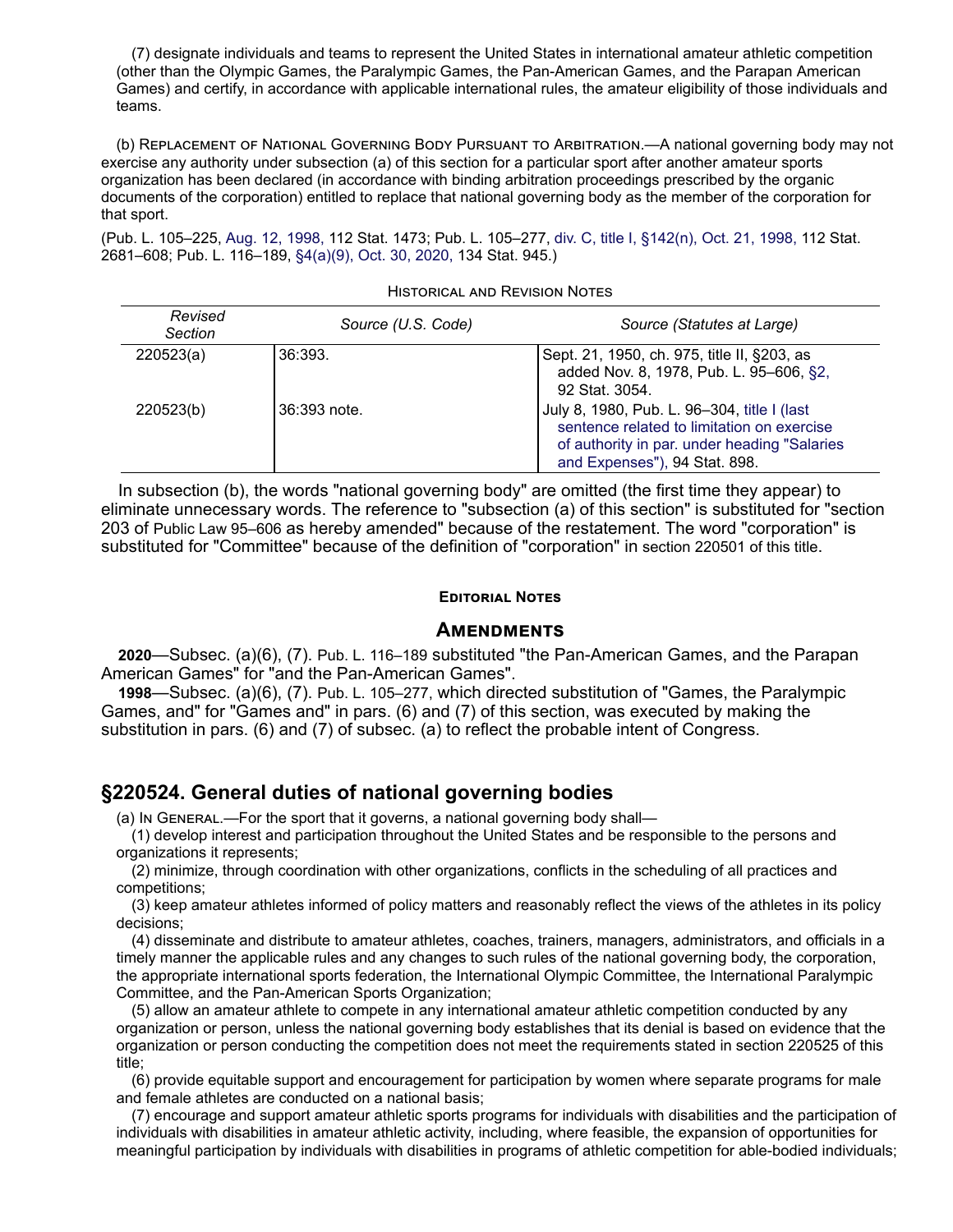(7) designate individuals and teams to represent the United States in international amateur athletic competition (other than the Olympic Games, the Paralympic Games, the Pan-American Games, and the Parapan American Games) and certify, in accordance with applicable international rules, the amateur eligibility of those individuals and teams.

(b) REPLACEMENT OF NATIONAL GOVERNING BODY PURSUANT TO ARBITRATION.—A national governing body may not exercise any authority under subsection (a) of this section for a particular sport after another amateur sports organization has been declared (in accordance with binding arbitration proceedings prescribed by the organic documents of the corporation) entitled to replace that national governing body as the member of the corporation for that sport.

[\(Pub. L. 105–225, Aug. 12, 1998, 112 Stat. 1473](https://uscode.house.gov/statviewer.htm?volume=112&page=1473); [Pub. L. 105–277, div. C, title I, §142\(n\), Oct. 21, 1998, 112 Stat.](https://uscode.house.gov/statviewer.htm?volume=112&page=2681-608)  [2681–608;](https://uscode.house.gov/statviewer.htm?volume=112&page=2681-608) [Pub. L. 116–189, §4\(a\)\(9\), Oct. 30, 2020, 134 Stat. 945](https://uscode.house.gov/statviewer.htm?volume=134&page=945).)

| Revised<br>Section | Source (U.S. Code) | Source (Statutes at Large)                                                                                                                                                 |
|--------------------|--------------------|----------------------------------------------------------------------------------------------------------------------------------------------------------------------------|
| 220523(a)          | 36:393.            | Sept. 21, 1950, ch. 975, title II, §203, as<br>added Nov. 8, 1978, Pub. L. 95-606, §2,<br>92 Stat. 3054.                                                                   |
| 220523(b)          | 36:393 note.       | July 8, 1980, Pub. L. 96-304, title I (last<br>sentence related to limitation on exercise<br>of authority in par. under heading "Salaries<br>and Expenses"), 94 Stat. 898. |

HISTORICAL AND REVISION NOTES

In subsection (b), the words "national governing body" are omitted (the first time they appear) to eliminate unnecessary words. The reference to "subsection (a) of this section" is substituted for "section 203 of Public Law 95–606 as hereby amended" because of the restatement. The word "corporation" is substituted for "Committee" because of the definition of "corporation" in section 220501 of this title.

#### **EDITORIAL NOTES**

#### **AMENDMENTS**

**2020**—Subsec. (a)(6), (7). Pub. L. 116–189 substituted "the Pan-American Games, and the Parapan American Games" for "and the Pan-American Games".

**1998**—Subsec. (a)(6), (7). Pub. L. 105–277, which directed substitution of "Games, the Paralympic Games, and" for "Games and" in pars. (6) and (7) of this section, was executed by making the substitution in pars. (6) and (7) of subsec. (a) to reflect the probable intent of Congress.

### <span id="page-22-0"></span>**§220524. General duties of national governing bodies**

(a) IN GENERAL.—For the sport that it governs, a national governing body shall—

(1) develop interest and participation throughout the United States and be responsible to the persons and organizations it represents;

(2) minimize, through coordination with other organizations, conflicts in the scheduling of all practices and competitions;

(3) keep amateur athletes informed of policy matters and reasonably reflect the views of the athletes in its policy decisions;

(4) disseminate and distribute to amateur athletes, coaches, trainers, managers, administrators, and officials in a timely manner the applicable rules and any changes to such rules of the national governing body, the corporation, the appropriate international sports federation, the International Olympic Committee, the International Paralympic Committee, and the Pan-American Sports Organization;

(5) allow an amateur athlete to compete in any international amateur athletic competition conducted by any organization or person, unless the national governing body establishes that its denial is based on evidence that the organization or person conducting the competition does not meet the requirements stated in section 220525 of this title;

(6) provide equitable support and encouragement for participation by women where separate programs for male and female athletes are conducted on a national basis;

(7) encourage and support amateur athletic sports programs for individuals with disabilities and the participation of individuals with disabilities in amateur athletic activity, including, where feasible, the expansion of opportunities for meaningful participation by individuals with disabilities in programs of athletic competition for able-bodied individuals;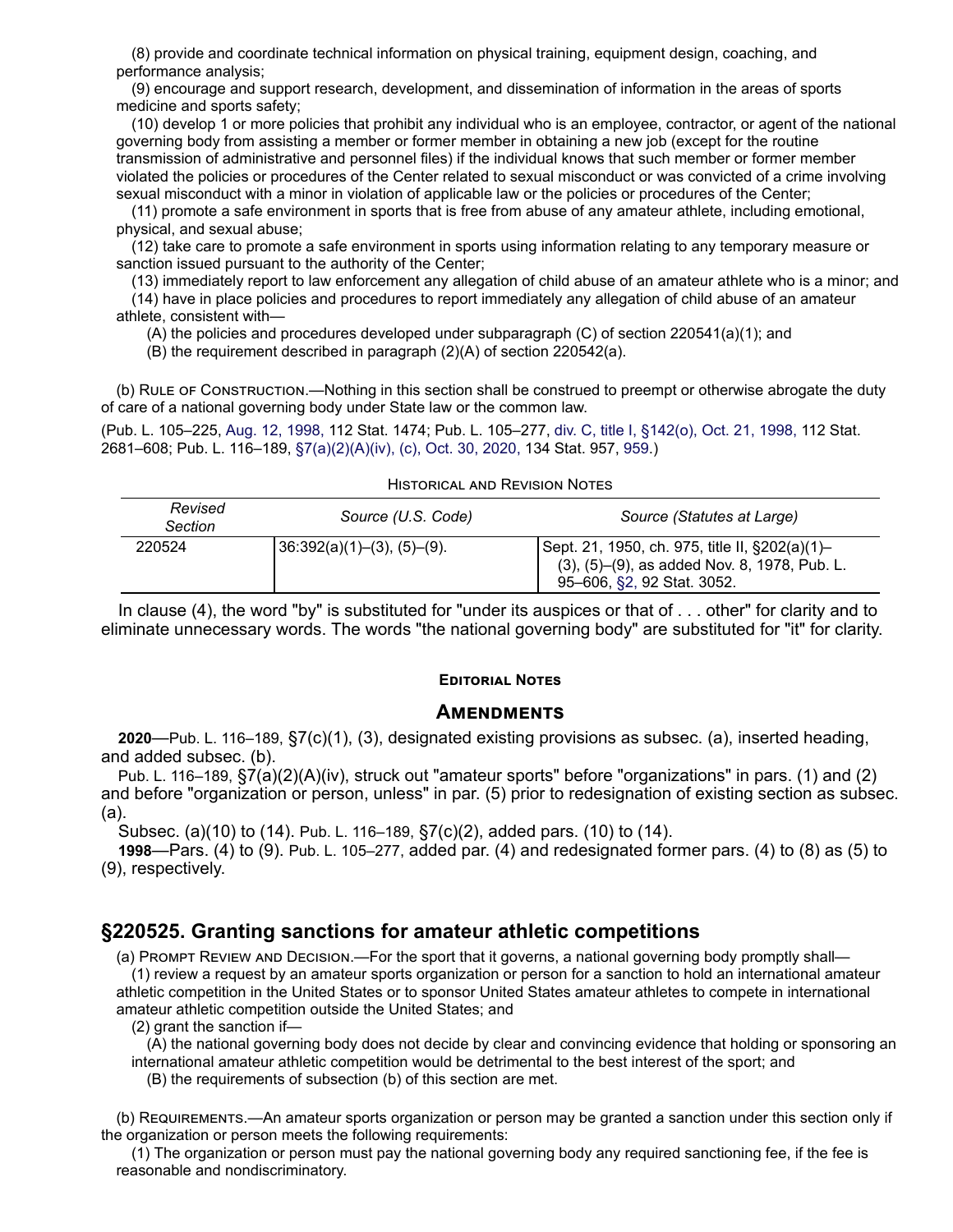(8) provide and coordinate technical information on physical training, equipment design, coaching, and performance analysis;

(9) encourage and support research, development, and dissemination of information in the areas of sports medicine and sports safety;

(10) develop 1 or more policies that prohibit any individual who is an employee, contractor, or agent of the national governing body from assisting a member or former member in obtaining a new job (except for the routine transmission of administrative and personnel files) if the individual knows that such member or former member violated the policies or procedures of the Center related to sexual misconduct or was convicted of a crime involving sexual misconduct with a minor in violation of applicable law or the policies or procedures of the Center;

(11) promote a safe environment in sports that is free from abuse of any amateur athlete, including emotional, physical, and sexual abuse;

(12) take care to promote a safe environment in sports using information relating to any temporary measure or sanction issued pursuant to the authority of the Center;

(13) immediately report to law enforcement any allegation of child abuse of an amateur athlete who is a minor; and

(14) have in place policies and procedures to report immediately any allegation of child abuse of an amateur athlete, consistent with—

(A) the policies and procedures developed under subparagraph (C) of section 220541(a)(1); and

(B) the requirement described in paragraph (2)(A) of section 220542(a).

(b) RULE OF CONSTRUCTION.—Nothing in this section shall be construed to preempt or otherwise abrogate the duty of care of a national governing body under State law or the common law.

[\(Pub. L. 105–225, Aug. 12, 1998, 112 Stat. 1474](https://uscode.house.gov/statviewer.htm?volume=112&page=1474); [Pub. L. 105–277, div. C, title I, §142\(o\), Oct. 21, 1998, 112 Stat.](https://uscode.house.gov/statviewer.htm?volume=112&page=2681-608) [2681–608;](https://uscode.house.gov/statviewer.htm?volume=112&page=2681-608) [Pub. L. 116–189, §7\(a\)\(2\)\(A\)\(iv\), \(c\), Oct. 30, 2020, 134 Stat. 957](https://uscode.house.gov/statviewer.htm?volume=134&page=957), [959](https://uscode.house.gov/statviewer.htm?volume=134&page=959).)

#### HISTORICAL AND REVISION NOTES

| Revised<br>Section | Source (U.S. Code)            | Source (Statutes at Large)                                                                                                   |
|--------------------|-------------------------------|------------------------------------------------------------------------------------------------------------------------------|
| 220524             | $(36:392(a)(1)-(3), (5)-(9).$ | Sept. 21, 1950, ch. 975, title II, §202(a)(1)-<br>(3), (5)–(9), as added Nov. 8, 1978, Pub. L.<br>95-606, §2, 92 Stat. 3052. |

In clause (4), the word "by" is substituted for "under its auspices or that of . . . other" for clarity and to eliminate unnecessary words. The words "the national governing body" are substituted for "it" for clarity.

### **EDITORIAL NOTES**

### **AMENDMENTS**

**2020**—Pub. L. 116–189, §7(c)(1), (3), designated existing provisions as subsec. (a), inserted heading, and added subsec. (b).

Pub. L. 116–189, §7(a)(2)(A)(iv), struck out "amateur sports" before "organizations" in pars. (1) and (2) and before "organization or person, unless" in par. (5) prior to redesignation of existing section as subsec. (a).

Subsec. (a)(10) to (14). Pub. L. 116–189, §7(c)(2), added pars. (10) to (14).

**1998**—Pars. (4) to (9). Pub. L. 105–277, added par. (4) and redesignated former pars. (4) to (8) as (5) to (9), respectively.

## <span id="page-23-0"></span>**§220525. Granting sanctions for amateur athletic competitions**

(a) PROMPT REVIEW AND DECISION.—For the sport that it governs, a national governing body promptly shall— (1) review a request by an amateur sports organization or person for a sanction to hold an international amateur athletic competition in the United States or to sponsor United States amateur athletes to compete in international amateur athletic competition outside the United States; and

(2) grant the sanction if—

(A) the national governing body does not decide by clear and convincing evidence that holding or sponsoring an international amateur athletic competition would be detrimental to the best interest of the sport; and

(B) the requirements of subsection (b) of this section are met.

(b) REQUIREMENTS.—An amateur sports organization or person may be granted a sanction under this section only if the organization or person meets the following requirements:

(1) The organization or person must pay the national governing body any required sanctioning fee, if the fee is reasonable and nondiscriminatory.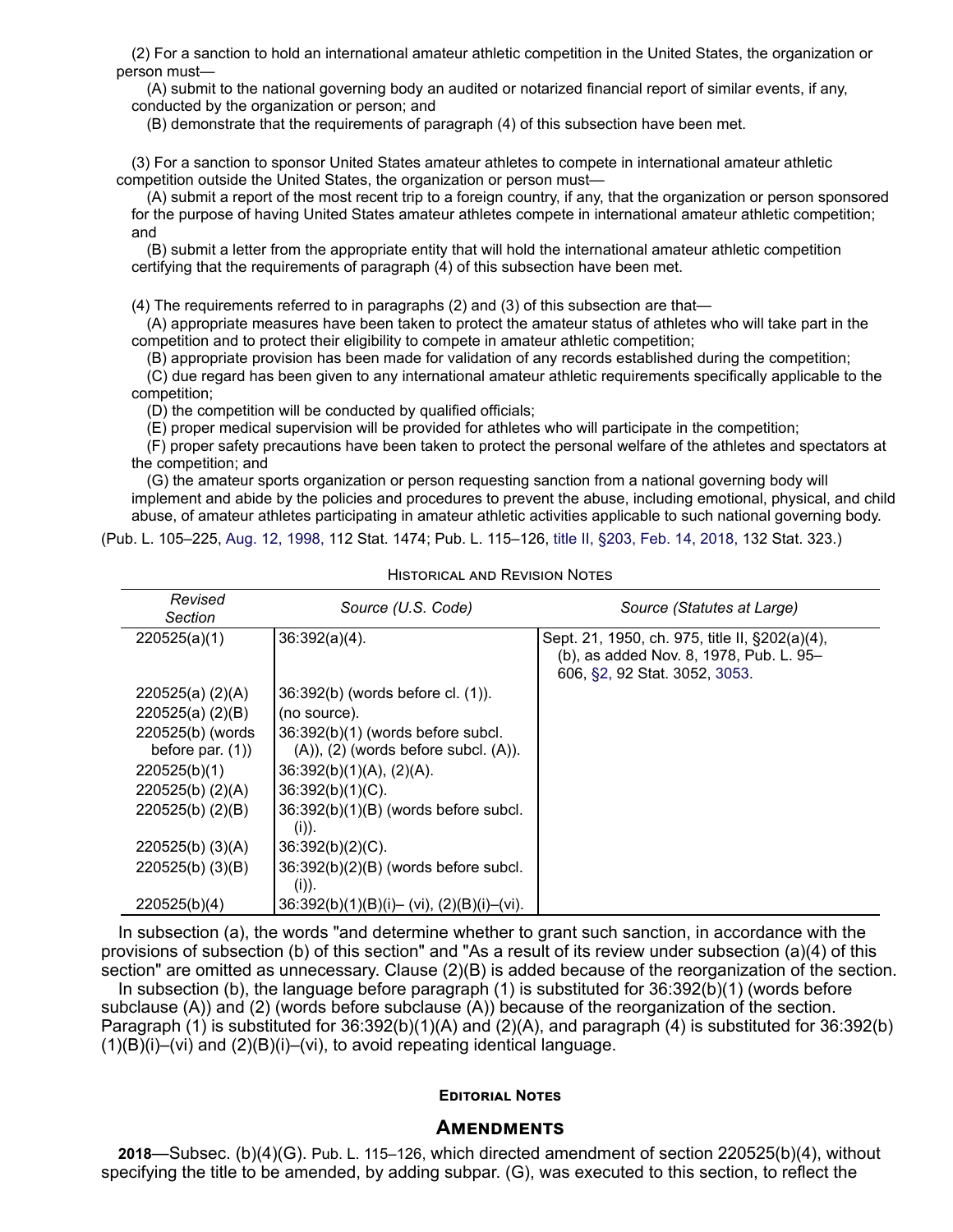(2) For a sanction to hold an international amateur athletic competition in the United States, the organization or person must—

(A) submit to the national governing body an audited or notarized financial report of similar events, if any, conducted by the organization or person; and

(B) demonstrate that the requirements of paragraph (4) of this subsection have been met.

(3) For a sanction to sponsor United States amateur athletes to compete in international amateur athletic competition outside the United States, the organization or person must—

(A) submit a report of the most recent trip to a foreign country, if any, that the organization or person sponsored for the purpose of having United States amateur athletes compete in international amateur athletic competition; and

(B) submit a letter from the appropriate entity that will hold the international amateur athletic competition certifying that the requirements of paragraph (4) of this subsection have been met.

(4) The requirements referred to in paragraphs (2) and (3) of this subsection are that—

(A) appropriate measures have been taken to protect the amateur status of athletes who will take part in the competition and to protect their eligibility to compete in amateur athletic competition;

(B) appropriate provision has been made for validation of any records established during the competition;

(C) due regard has been given to any international amateur athletic requirements specifically applicable to the competition;

(D) the competition will be conducted by qualified officials;

(E) proper medical supervision will be provided for athletes who will participate in the competition;

(F) proper safety precautions have been taken to protect the personal welfare of the athletes and spectators at the competition; and

(G) the amateur sports organization or person requesting sanction from a national governing body will implement and abide by the policies and procedures to prevent the abuse, including emotional, physical, and child abuse, of amateur athletes participating in amateur athletic activities applicable to such national governing body.

[\(Pub. L. 105–225, Aug. 12, 1998, 112 Stat. 1474](https://uscode.house.gov/statviewer.htm?volume=112&page=1474); [Pub. L. 115–126, title II, §203, Feb. 14, 2018, 132 Stat. 323](https://uscode.house.gov/statviewer.htm?volume=132&page=323).)

| Revised<br>Section                     | Source (U.S. Code)                                                                | Source (Statutes at Large)                                                                                                 |
|----------------------------------------|-----------------------------------------------------------------------------------|----------------------------------------------------------------------------------------------------------------------------|
| 220525(a)(1)                           | $36:392(a)(4)$ .                                                                  | Sept. 21, 1950, ch. 975, title II, §202(a)(4),<br>(b), as added Nov. 8, 1978, Pub. L. 95-<br>606, §2, 92 Stat. 3052, 3053. |
| 220525(a) (2)(A)                       | 36:392(b) (words before cl. (1)).                                                 |                                                                                                                            |
| 220525(a) (2)(B)                       | (no source).                                                                      |                                                                                                                            |
| 220525(b) (words)<br>before par. $(1)$ | 36:392(b)(1) (words before subcl.<br>$(A)$ ), $(2)$ (words before subcl. $(A)$ ). |                                                                                                                            |
| 220525(b)(1)                           | 36:392(b)(1)(A), (2)(A).                                                          |                                                                                                                            |
| 220525(b) (2)(A)                       | $36:392(b)(1)(C)$ .                                                               |                                                                                                                            |
| 220525(b) (2)(B)                       | $36:392(b)(1)(B)$ (words before subcl.<br>(i)).                                   |                                                                                                                            |
| 220525(b) (3)(A)                       | $36:392(b)(2)(C)$ .                                                               |                                                                                                                            |
| 220525(b) (3)(B)                       | $36:392(b)(2)(B)$ (words before subcl.<br>$(i)$ ).                                |                                                                                                                            |
| 220525(b)(4)                           | $36:392(b)(1)(B)(i) - (vi), (2)(B)(i) - (vi).$                                    |                                                                                                                            |

HISTORICAL AND REVISION NOTES

In subsection (a), the words "and determine whether to grant such sanction, in accordance with the provisions of subsection (b) of this section" and "As a result of its review under subsection (a)(4) of this section" are omitted as unnecessary. Clause (2)(B) is added because of the reorganization of the section. In subsection (b), the language before paragraph (1) is substituted for 36:392(b)(1) (words before subclause (A)) and (2) (words before subclause (A)) because of the reorganization of the section. Paragraph (1) is substituted for 36:392(b)(1)(A) and (2)(A), and paragraph (4) is substituted for 36:392(b)  $(1)(B)(i)$ –(vi) and  $(2)(B)(i)$ –(vi), to avoid repeating identical language.

### **EDITORIAL NOTES**

### **AMENDMENTS**

**2018**—Subsec. (b)(4)(G). Pub. L. 115–126, which directed amendment of section 220525(b)(4), without specifying the title to be amended, by adding subpar. (G), was executed to this section, to reflect the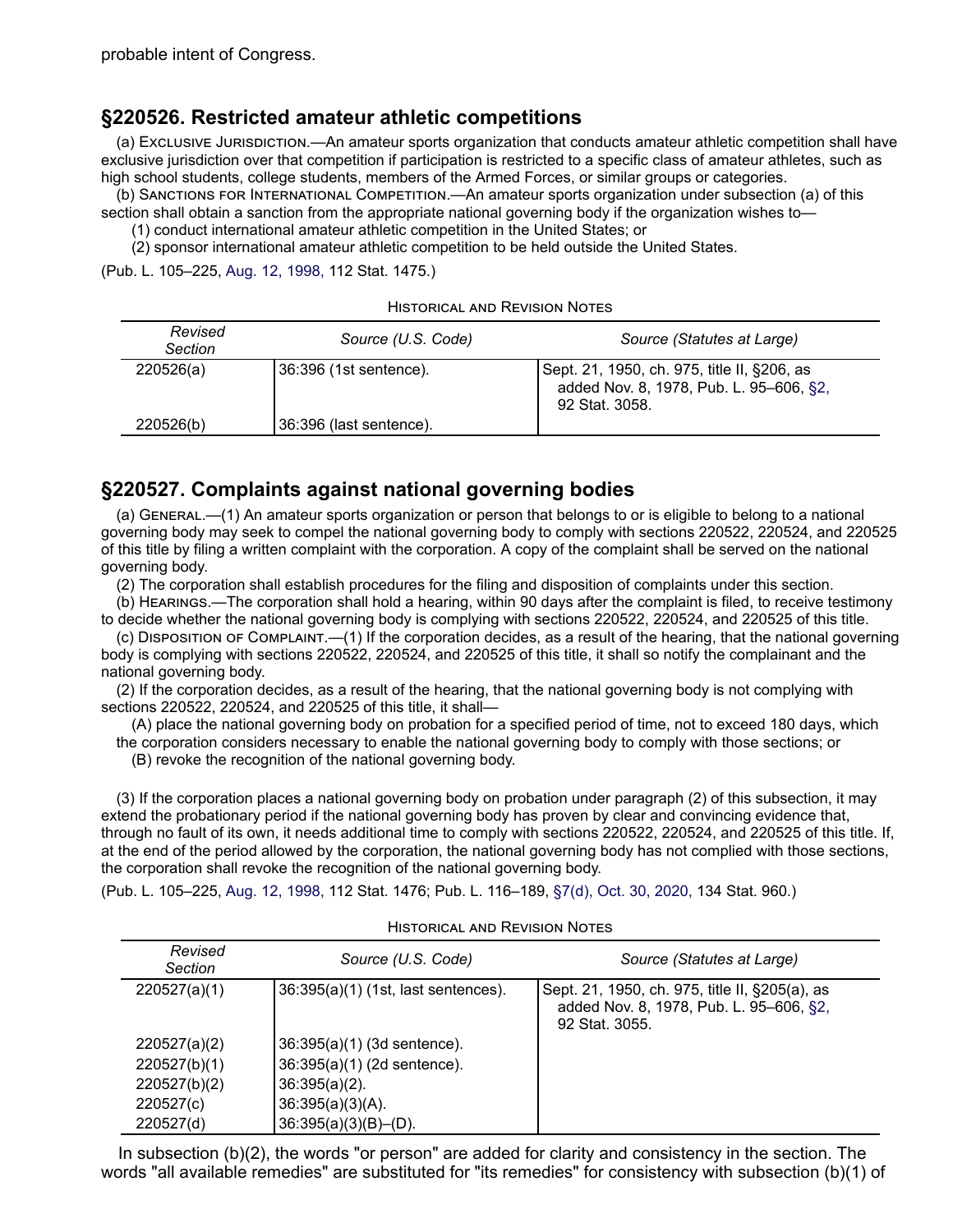# <span id="page-25-0"></span>**§220526. Restricted amateur athletic competitions**

(a) EXCLUSIVE JURISDICTION.—An amateur sports organization that conducts amateur athletic competition shall have exclusive jurisdiction over that competition if participation is restricted to a specific class of amateur athletes, such as high school students, college students, members of the Armed Forces, or similar groups or categories.

(b) SANCTIONS FOR INTERNATIONAL COMPETITION.—An amateur sports organization under subsection (a) of this section shall obtain a sanction from the appropriate national governing body if the organization wishes to—

(1) conduct international amateur athletic competition in the United States; or

(2) sponsor international amateur athletic competition to be held outside the United States.

[\(Pub. L. 105–225, Aug. 12, 1998, 112 Stat. 1475](https://uscode.house.gov/statviewer.htm?volume=112&page=1475).)

#### HISTORICAL AND REVISION NOTES

| Revised<br>Section | Source (U.S. Code)      | Source (Statutes at Large)                                                                               |
|--------------------|-------------------------|----------------------------------------------------------------------------------------------------------|
| 220526(a)          | 36:396 (1st sentence).  | Sept. 21, 1950, ch. 975, title II, §206, as<br>added Nov. 8, 1978, Pub. L. 95-606, §2,<br>92 Stat. 3058. |
| 220526(b)          | 36:396 (last sentence). |                                                                                                          |

# <span id="page-25-1"></span>**§220527. Complaints against national governing bodies**

(a) GENERAL.—(1) An amateur sports organization or person that belongs to or is eligible to belong to a national governing body may seek to compel the national governing body to comply with sections 220522, 220524, and 220525 of this title by filing a written complaint with the corporation. A copy of the complaint shall be served on the national governing body.

(2) The corporation shall establish procedures for the filing and disposition of complaints under this section.

(b) HEARINGS.—The corporation shall hold a hearing, within 90 days after the complaint is filed, to receive testimony to decide whether the national governing body is complying with sections 220522, 220524, and 220525 of this title.

(c) DISPOSITION OF COMPLAINT.—(1) If the corporation decides, as a result of the hearing, that the national governing body is complying with sections 220522, 220524, and 220525 of this title, it shall so notify the complainant and the national governing body.

(2) If the corporation decides, as a result of the hearing, that the national governing body is not complying with sections 220522, 220524, and 220525 of this title, it shall—

(A) place the national governing body on probation for a specified period of time, not to exceed 180 days, which

the corporation considers necessary to enable the national governing body to comply with those sections; or

(B) revoke the recognition of the national governing body.

(3) If the corporation places a national governing body on probation under paragraph (2) of this subsection, it may extend the probationary period if the national governing body has proven by clear and convincing evidence that, through no fault of its own, it needs additional time to comply with sections 220522, 220524, and 220525 of this title. If, at the end of the period allowed by the corporation, the national governing body has not complied with those sections, the corporation shall revoke the recognition of the national governing body.

[\(Pub. L. 105–225, Aug. 12, 1998, 112 Stat. 1476](https://uscode.house.gov/statviewer.htm?volume=112&page=1476); [Pub. L. 116–189, §7\(d\), Oct. 30, 2020, 134 Stat. 960](https://uscode.house.gov/statviewer.htm?volume=134&page=960).)

| Revised<br>Section | Source (U.S. Code)                  | Source (Statutes at Large)                                                                                  |
|--------------------|-------------------------------------|-------------------------------------------------------------------------------------------------------------|
| 220527(a)(1)       | 36:395(a)(1) (1st, last sentences). | Sept. 21, 1950, ch. 975, title II, §205(a), as<br>added Nov. 8, 1978, Pub. L. 95-606, §2,<br>92 Stat. 3055. |
| 220527(a)(2)       | $36:395(a)(1)$ (3d sentence).       |                                                                                                             |
| 220527(b)(1)       | 36:395(a)(1) (2d sentence).         |                                                                                                             |
| 220527(b)(2)       | $36:395(a)(2)$ .                    |                                                                                                             |
| 220527(c)          | $36:395(a)(3)(A)$ .                 |                                                                                                             |
| 220527(d)          | $36:395(a)(3)(B)$ –(D).             |                                                                                                             |

#### HISTORICAL AND REVISION NOTES

In subsection (b)(2), the words "or person" are added for clarity and consistency in the section. The words "all available remedies" are substituted for "its remedies" for consistency with subsection (b)(1) of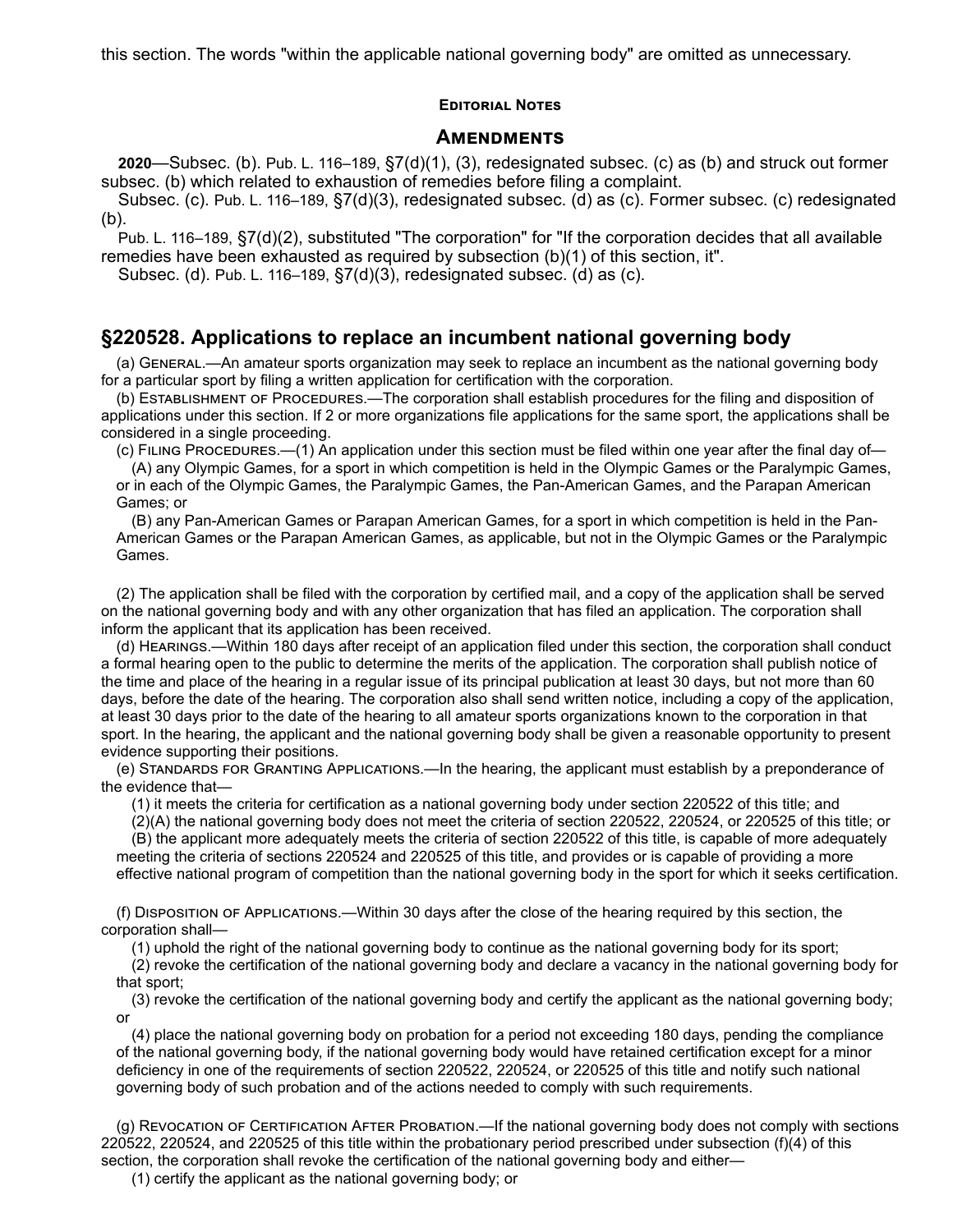this section. The words "within the applicable national governing body" are omitted as unnecessary.

### **EDITORIAL NOTES**

### **AMENDMENTS**

**2020**—Subsec. (b). Pub. L. 116–189, §7(d)(1), (3), redesignated subsec. (c) as (b) and struck out former subsec. (b) which related to exhaustion of remedies before filing a complaint.

Subsec. (c). Pub. L. 116–189, §7(d)(3), redesignated subsec. (d) as (c). Former subsec. (c) redesignated (b).

Pub. L. 116–189, §7(d)(2), substituted "The corporation" for "If the corporation decides that all available remedies have been exhausted as required by subsection (b)(1) of this section, it".

Subsec. (d). Pub. L. 116–189, §7(d)(3), redesignated subsec. (d) as (c).

# <span id="page-26-0"></span>**§220528. Applications to replace an incumbent national governing body**

(a) GENERAL.—An amateur sports organization may seek to replace an incumbent as the national governing body for a particular sport by filing a written application for certification with the corporation.

(b) ESTABLISHMENT OF PROCEDURES.—The corporation shall establish procedures for the filing and disposition of applications under this section. If 2 or more organizations file applications for the same sport, the applications shall be considered in a single proceeding.

(c) FILING PROCEDURES.—(1) An application under this section must be filed within one year after the final day of—

(A) any Olympic Games, for a sport in which competition is held in the Olympic Games or the Paralympic Games, or in each of the Olympic Games, the Paralympic Games, the Pan-American Games, and the Parapan American Games; or

(B) any Pan-American Games or Parapan American Games, for a sport in which competition is held in the Pan-American Games or the Parapan American Games, as applicable, but not in the Olympic Games or the Paralympic Games.

(2) The application shall be filed with the corporation by certified mail, and a copy of the application shall be served on the national governing body and with any other organization that has filed an application. The corporation shall inform the applicant that its application has been received.

(d) HEARINGS.—Within 180 days after receipt of an application filed under this section, the corporation shall conduct a formal hearing open to the public to determine the merits of the application. The corporation shall publish notice of the time and place of the hearing in a regular issue of its principal publication at least 30 days, but not more than 60 days, before the date of the hearing. The corporation also shall send written notice, including a copy of the application, at least 30 days prior to the date of the hearing to all amateur sports organizations known to the corporation in that sport. In the hearing, the applicant and the national governing body shall be given a reasonable opportunity to present evidence supporting their positions.

(e) STANDARDS FOR GRANTING APPLICATIONS.—In the hearing, the applicant must establish by a preponderance of the evidence that—

(1) it meets the criteria for certification as a national governing body under section 220522 of this title; and

(2)(A) the national governing body does not meet the criteria of section 220522, 220524, or 220525 of this title; or

(B) the applicant more adequately meets the criteria of section 220522 of this title, is capable of more adequately meeting the criteria of sections 220524 and 220525 of this title, and provides or is capable of providing a more effective national program of competition than the national governing body in the sport for which it seeks certification.

(f) DISPOSITION OF APPLICATIONS.—Within 30 days after the close of the hearing required by this section, the corporation shall—

(1) uphold the right of the national governing body to continue as the national governing body for its sport;

(2) revoke the certification of the national governing body and declare a vacancy in the national governing body for that sport;

(3) revoke the certification of the national governing body and certify the applicant as the national governing body; or

(4) place the national governing body on probation for a period not exceeding 180 days, pending the compliance of the national governing body, if the national governing body would have retained certification except for a minor deficiency in one of the requirements of section 220522, 220524, or 220525 of this title and notify such national governing body of such probation and of the actions needed to comply with such requirements.

(g) REVOCATION OF CERTIFICATION AFTER PROBATION.—If the national governing body does not comply with sections 220522, 220524, and 220525 of this title within the probationary period prescribed under subsection (f)(4) of this section, the corporation shall revoke the certification of the national governing body and either—

(1) certify the applicant as the national governing body; or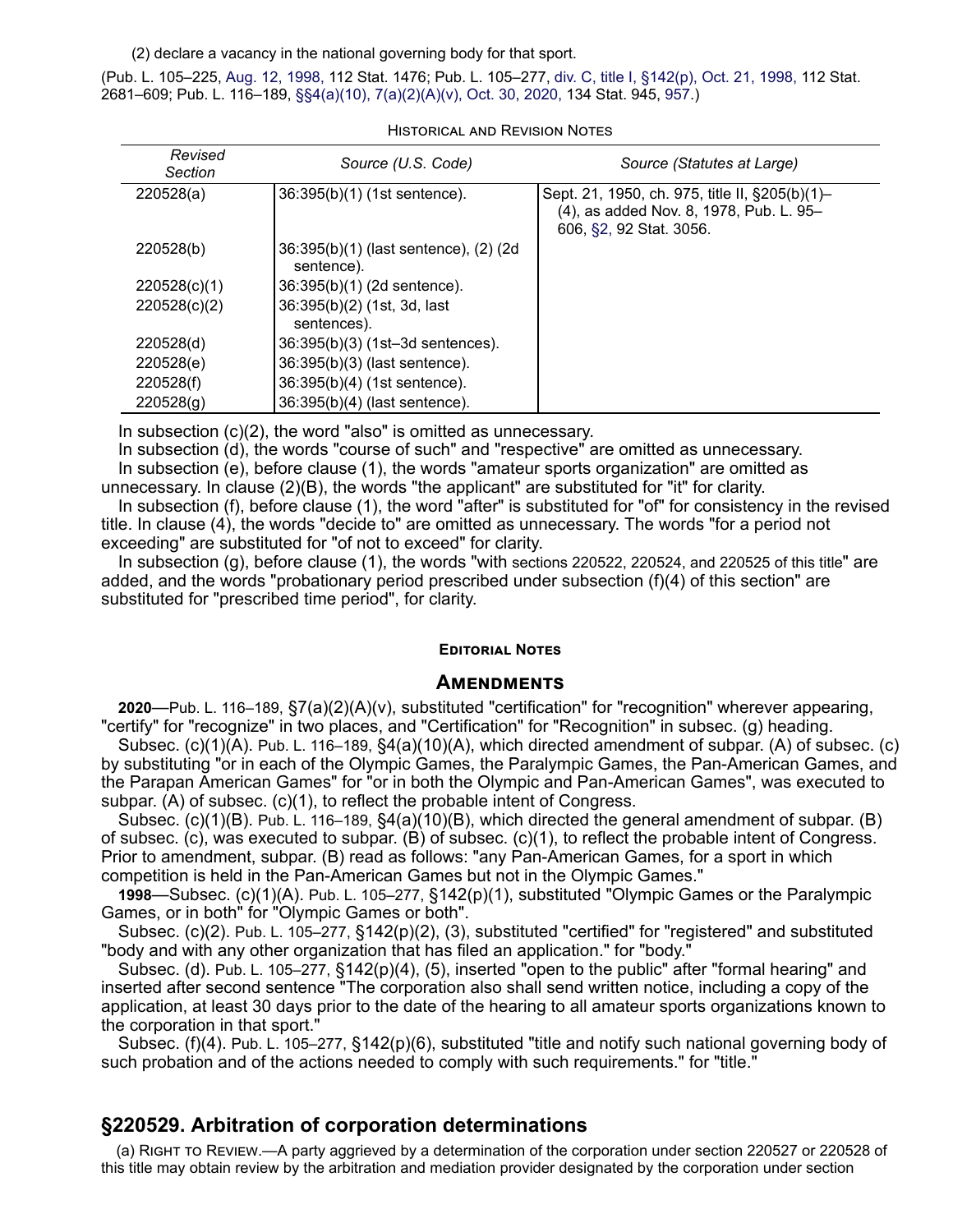(2) declare a vacancy in the national governing body for that sport.

[\(Pub. L. 105–225, Aug. 12, 1998, 112 Stat. 1476](https://uscode.house.gov/statviewer.htm?volume=112&page=1476); [Pub. L. 105–277, div. C, title I, §142\(p\), Oct. 21, 1998, 112 Stat.](https://uscode.house.gov/statviewer.htm?volume=112&page=2681-609)  [2681–609;](https://uscode.house.gov/statviewer.htm?volume=112&page=2681-609) [Pub. L. 116–189, §§4\(a\)\(10\), 7\(a\)\(2\)\(A\)\(v\), Oct. 30, 2020, 134 Stat. 945](https://uscode.house.gov/statviewer.htm?volume=134&page=945), [957](https://uscode.house.gov/statviewer.htm?volume=134&page=957).)

| Revised<br>Section | Source (U.S. Code)                                  | Source (Statutes at Large)                                                                                           |
|--------------------|-----------------------------------------------------|----------------------------------------------------------------------------------------------------------------------|
| 220528(a)          | 36:395(b)(1) (1st sentence).                        | Sept. 21, 1950, ch. 975, title II, §205(b)(1)-<br>(4), as added Nov. 8, 1978, Pub. L. 95-<br>606, §2, 92 Stat. 3056. |
| 220528(b)          | 36:395(b)(1) (last sentence), (2) (2d<br>sentence). |                                                                                                                      |
| 220528(c)(1)       | 36:395(b)(1) (2d sentence).                         |                                                                                                                      |
| 220528(c)(2)       | 36:395(b)(2) (1st, 3d, last<br>sentences).          |                                                                                                                      |
| 220528(d)          | 36:395(b)(3) (1st-3d sentences).                    |                                                                                                                      |
| 220528(e)          | 36:395(b)(3) (last sentence).                       |                                                                                                                      |
| 220528(f)          | 36:395(b)(4) (1st sentence).                        |                                                                                                                      |
| 220528(g)          | 36:395(b)(4) (last sentence).                       |                                                                                                                      |

HISTORICAL AND REVISION NOTES

In subsection (c)(2), the word "also" is omitted as unnecessary.

In subsection (d), the words "course of such" and "respective" are omitted as unnecessary. In subsection (e), before clause (1), the words "amateur sports organization" are omitted as unnecessary. In clause (2)(B), the words "the applicant" are substituted for "it" for clarity.

In subsection (f), before clause (1), the word "after" is substituted for "of" for consistency in the revised title. In clause (4), the words "decide to" are omitted as unnecessary. The words "for a period not exceeding" are substituted for "of not to exceed" for clarity.

In subsection (g), before clause (1), the words "with sections 220522, 220524, and 220525 of this title" are added, and the words "probationary period prescribed under subsection (f)(4) of this section" are substituted for "prescribed time period", for clarity.

### **EDITORIAL NOTES**

### **AMENDMENTS**

**2020**—Pub. L. 116–189, §7(a)(2)(A)(v), substituted "certification" for "recognition" wherever appearing, "certify" for "recognize" in two places, and "Certification" for "Recognition" in subsec. (g) heading.

Subsec. (c)(1)(A). Pub. L. 116–189, §4(a)(10)(A), which directed amendment of subpar. (A) of subsec. (c) by substituting "or in each of the Olympic Games, the Paralympic Games, the Pan-American Games, and the Parapan American Games" for "or in both the Olympic and Pan-American Games", was executed to subpar. (A) of subsec. (c)(1), to reflect the probable intent of Congress.

Subsec. (c)(1)(B). Pub. L. 116–189, §4(a)(10)(B), which directed the general amendment of subpar. (B) of subsec. (c), was executed to subpar. (B) of subsec. (c)(1), to reflect the probable intent of Congress. Prior to amendment, subpar. (B) read as follows: "any Pan-American Games, for a sport in which competition is held in the Pan-American Games but not in the Olympic Games."

**1998**—Subsec. (c)(1)(A). Pub. L. 105–277, §142(p)(1), substituted "Olympic Games or the Paralympic Games, or in both" for "Olympic Games or both".

Subsec. (c)(2). Pub. L. 105–277, §142(p)(2), (3), substituted "certified" for "registered" and substituted "body and with any other organization that has filed an application." for "body."

Subsec. (d). Pub. L. 105–277, §142(p)(4), (5), inserted "open to the public" after "formal hearing" and inserted after second sentence "The corporation also shall send written notice, including a copy of the application, at least 30 days prior to the date of the hearing to all amateur sports organizations known to the corporation in that sport."

Subsec. (f)(4). Pub. L. 105–277, §142(p)(6), substituted "title and notify such national governing body of such probation and of the actions needed to comply with such requirements." for "title."

# <span id="page-27-0"></span>**§220529. Arbitration of corporation determinations**

(a) RIGHT TO REVIEW.—A party aggrieved by a determination of the corporation under section 220527 or 220528 of this title may obtain review by the arbitration and mediation provider designated by the corporation under section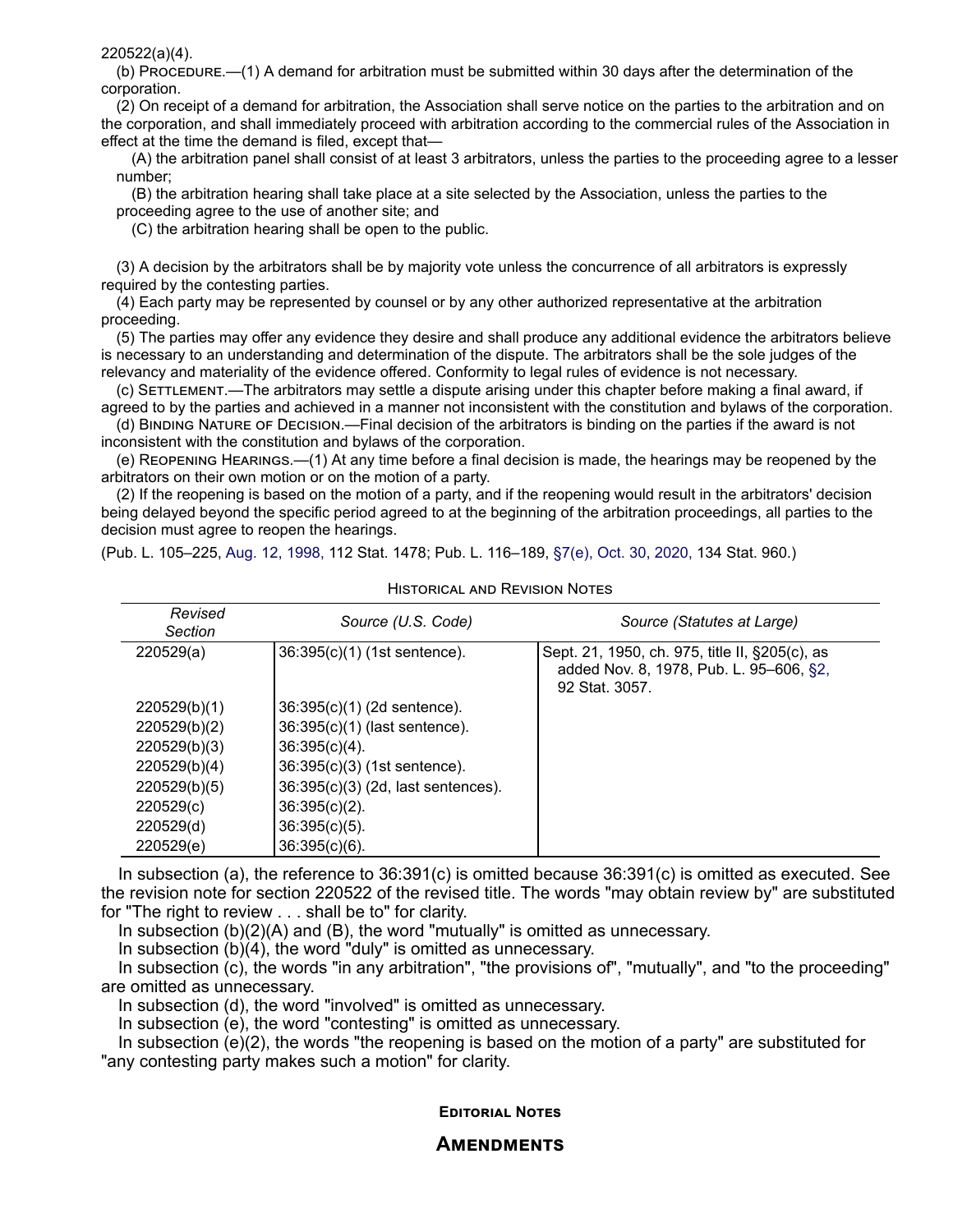220522(a)(4).

(b) PROCEDURE.—(1) A demand for arbitration must be submitted within 30 days after the determination of the corporation.

(2) On receipt of a demand for arbitration, the Association shall serve notice on the parties to the arbitration and on the corporation, and shall immediately proceed with arbitration according to the commercial rules of the Association in effect at the time the demand is filed, except that—

(A) the arbitration panel shall consist of at least 3 arbitrators, unless the parties to the proceeding agree to a lesser number;

(B) the arbitration hearing shall take place at a site selected by the Association, unless the parties to the proceeding agree to the use of another site; and

(C) the arbitration hearing shall be open to the public.

(3) A decision by the arbitrators shall be by majority vote unless the concurrence of all arbitrators is expressly required by the contesting parties.

(4) Each party may be represented by counsel or by any other authorized representative at the arbitration proceeding.

(5) The parties may offer any evidence they desire and shall produce any additional evidence the arbitrators believe is necessary to an understanding and determination of the dispute. The arbitrators shall be the sole judges of the relevancy and materiality of the evidence offered. Conformity to legal rules of evidence is not necessary.

(c) SETTLEMENT.—The arbitrators may settle a dispute arising under this chapter before making a final award, if agreed to by the parties and achieved in a manner not inconsistent with the constitution and bylaws of the corporation.

(d) BINDING NATURE OF DECISION.—Final decision of the arbitrators is binding on the parties if the award is not inconsistent with the constitution and bylaws of the corporation.

(e) REOPENING HEARINGS.—(1) At any time before a final decision is made, the hearings may be reopened by the arbitrators on their own motion or on the motion of a party.

(2) If the reopening is based on the motion of a party, and if the reopening would result in the arbitrators' decision being delayed beyond the specific period agreed to at the beginning of the arbitration proceedings, all parties to the decision must agree to reopen the hearings.

[\(Pub. L. 105–225, Aug. 12, 1998, 112 Stat. 1478](https://uscode.house.gov/statviewer.htm?volume=112&page=1478); [Pub. L. 116–189, §7\(e\), Oct. 30, 2020, 134 Stat. 960](https://uscode.house.gov/statviewer.htm?volume=134&page=960).)

| Revised<br>Section | Source (U.S. Code)                 | Source (Statutes at Large)                                                                                  |
|--------------------|------------------------------------|-------------------------------------------------------------------------------------------------------------|
| 220529(a)          | 36:395(c)(1) (1st sentence).       | Sept. 21, 1950, ch. 975, title II, §205(c), as<br>added Nov. 8, 1978, Pub. L. 95-606, §2,<br>92 Stat. 3057. |
| 220529(b)(1)       | 36:395(c)(1) (2d sentence).        |                                                                                                             |
| 220529(b)(2)       | 36:395(c)(1) (last sentence).      |                                                                                                             |
| 220529(b)(3)       | $36:395(c)(4)$ .                   |                                                                                                             |
| 220529(b)(4)       | 36:395(c)(3) (1st sentence).       |                                                                                                             |
| 220529(b)(5)       | 36:395(c)(3) (2d, last sentences). |                                                                                                             |
| 220529(c)          | $36:395(c)(2)$ .                   |                                                                                                             |
| 220529(d)          | $36:395(c)(5)$ .                   |                                                                                                             |
| 220529(e)          | $36:395(c)(6)$ .                   |                                                                                                             |
|                    |                                    |                                                                                                             |

#### HISTORICAL AND REVISION NOTES

In subsection (a), the reference to 36:391(c) is omitted because 36:391(c) is omitted as executed. See the revision note for section 220522 of the revised title. The words "may obtain review by" are substituted for "The right to review . . . shall be to" for clarity.

In subsection  $(b)(2)(A)$  and  $(B)$ , the word "mutually" is omitted as unnecessary.

In subsection (b)(4), the word "duly" is omitted as unnecessary.

In subsection (c), the words "in any arbitration", "the provisions of", "mutually", and "to the proceeding" are omitted as unnecessary.

In subsection (d), the word "involved" is omitted as unnecessary.

In subsection (e), the word "contesting" is omitted as unnecessary.

In subsection (e)(2), the words "the reopening is based on the motion of a party" are substituted for "any contesting party makes such a motion" for clarity.

### **EDITORIAL NOTES**

### **AMENDMENTS**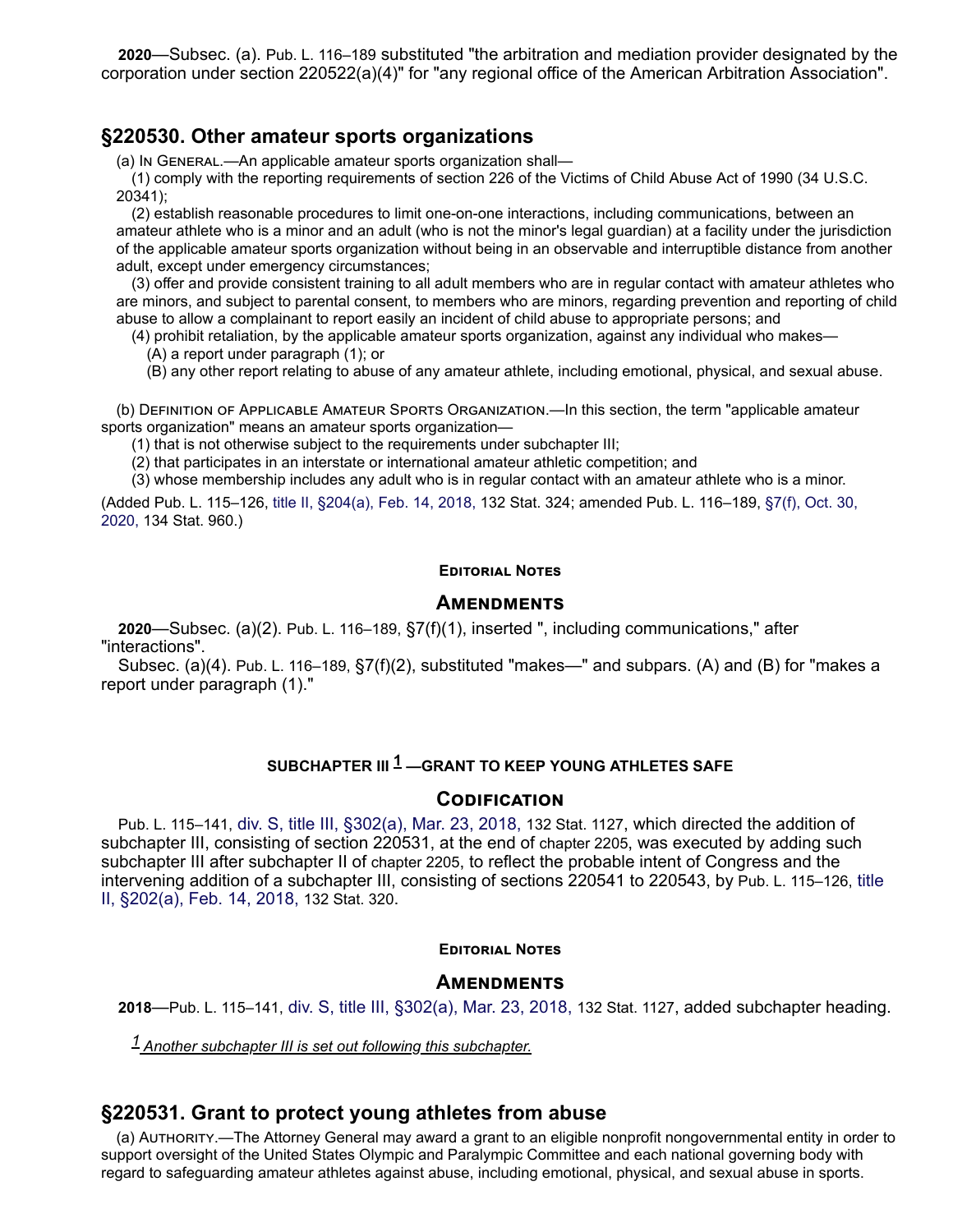**2020**—Subsec. (a). Pub. L. 116–189 substituted "the arbitration and mediation provider designated by the corporation under section 220522(a)(4)" for "any regional office of the American Arbitration Association".

### <span id="page-29-0"></span>**§220530. Other amateur sports organizations**

(a) IN GENERAL.—An applicable amateur sports organization shall—

(1) comply with the reporting requirements of section 226 of the Victims of Child Abuse Act of 1990 (34 U.S.C. 20341);

(2) establish reasonable procedures to limit one-on-one interactions, including communications, between an amateur athlete who is a minor and an adult (who is not the minor's legal guardian) at a facility under the jurisdiction of the applicable amateur sports organization without being in an observable and interruptible distance from another adult, except under emergency circumstances;

(3) offer and provide consistent training to all adult members who are in regular contact with amateur athletes who are minors, and subject to parental consent, to members who are minors, regarding prevention and reporting of child abuse to allow a complainant to report easily an incident of child abuse to appropriate persons; and

(4) prohibit retaliation, by the applicable amateur sports organization, against any individual who makes—

(A) a report under paragraph (1); or

(B) any other report relating to abuse of any amateur athlete, including emotional, physical, and sexual abuse.

(b) DEFINITION OF APPLICABLE AMATEUR SPORTS ORGANIZATION.—In this section, the term "applicable amateur sports organization" means an amateur sports organization—

(1) that is not otherwise subject to the requirements under subchapter III;

(2) that participates in an interstate or international amateur athletic competition; and

(3) whose membership includes any adult who is in regular contact with an amateur athlete who is a minor.

(Added [Pub. L. 115–126, title II, §204\(a\), Feb. 14, 2018, 132 Stat. 324](https://uscode.house.gov/statviewer.htm?volume=132&page=324); [amended Pub. L. 116–189, §7\(f\), Oct. 30,](https://uscode.house.gov/statviewer.htm?volume=134&page=960) [2020, 134 Stat. 960.\)](https://uscode.house.gov/statviewer.htm?volume=134&page=960)

#### **EDITORIAL NOTES**

### **AMENDMENTS**

**2020**—Subsec. (a)(2). Pub. L. 116–189, §7(f)(1), inserted ", including communications," after "interactions".

Subsec. (a)(4). Pub. L. 116–189, §7(f)(2), substituted "makes—" and subpars. (A) and (B) for "makes a report under paragraph (1)."

### <span id="page-29-1"></span>**SUBCHAPTER III [1](#page-29-3) —GRANT TO KEEP YOUNG ATHLETES SAFE**

### <span id="page-29-4"></span>**CODIFICATION**

Pub. L. 115–141, [div. S, title III, §302\(a\), Mar. 23, 2018,](https://uscode.house.gov/statviewer.htm?volume=132&page=1127) 132 Stat. 1127, which directed the addition of subchapter III, consisting of section 220531, at the end of chapter 2205, was executed by adding such subchapter III after subchapter II of chapter 2205, to reflect the probable intent of Congress and the [intervening addition of a subchapter III, consisting of sections 220541 to 220543, by](https://uscode.house.gov/statviewer.htm?volume=132&page=320) Pub. L. 115–126, title II, §202(a), Feb. 14, 2018, 132 Stat. 320.

### **EDITORIAL NOTES**

### **AMENDMENTS**

**2018**—Pub. L. 115–141, [div. S, title III, §302\(a\), Mar. 23, 2018,](https://uscode.house.gov/statviewer.htm?volume=132&page=1127) 132 Stat. 1127, added subchapter heading.

<span id="page-29-3"></span>*[1](#page-29-4) Another subchapter III is set out following this subchapter.* 

### <span id="page-29-2"></span>**§220531. Grant to protect young athletes from abuse**

(a) AUTHORITY.—The Attorney General may award a grant to an eligible nonprofit nongovernmental entity in order to support oversight of the United States Olympic and Paralympic Committee and each national governing body with regard to safeguarding amateur athletes against abuse, including emotional, physical, and sexual abuse in sports.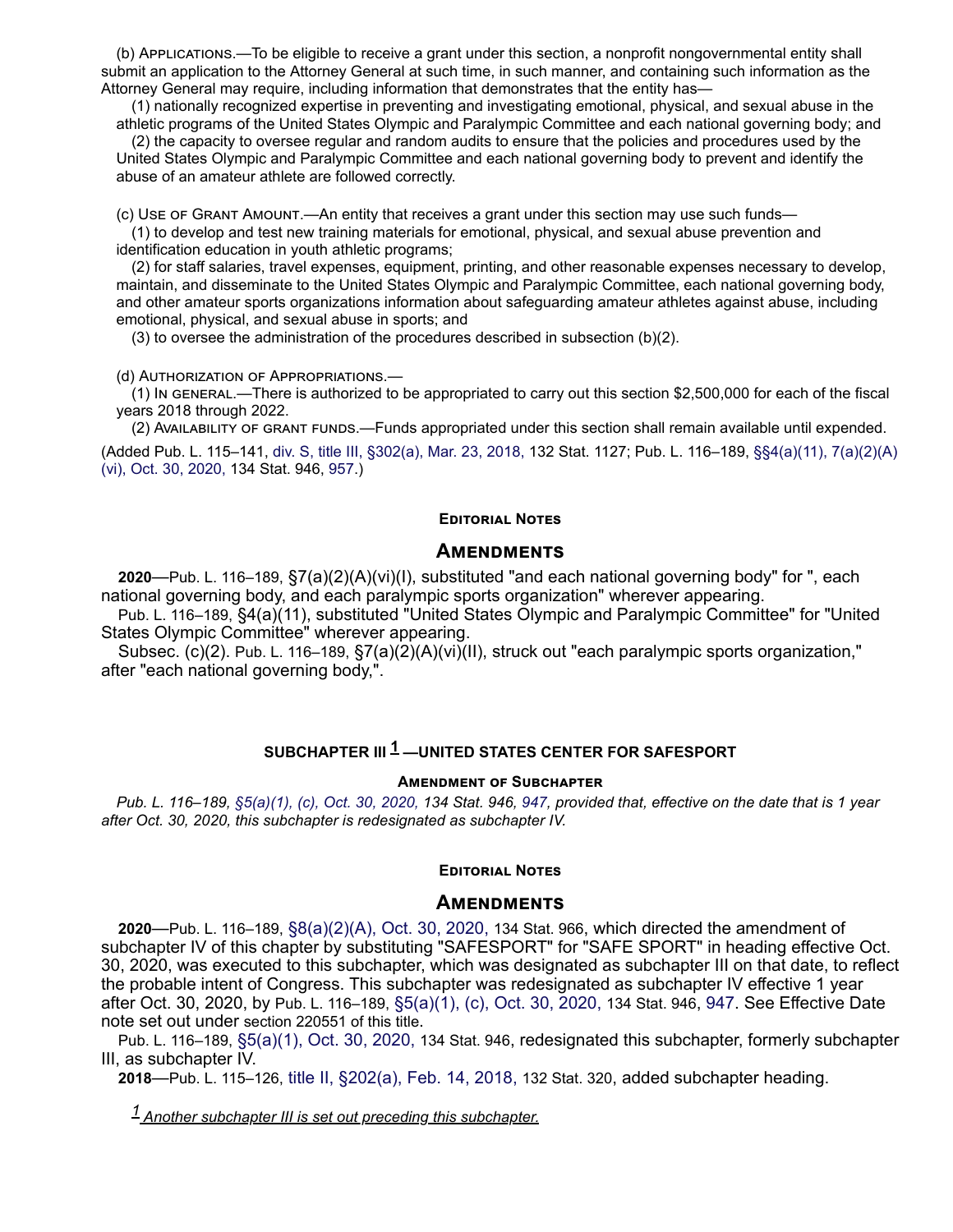(b) APPLICATIONS.—To be eligible to receive a grant under this section, a nonprofit nongovernmental entity shall submit an application to the Attorney General at such time, in such manner, and containing such information as the Attorney General may require, including information that demonstrates that the entity has—

(1) nationally recognized expertise in preventing and investigating emotional, physical, and sexual abuse in the athletic programs of the United States Olympic and Paralympic Committee and each national governing body; and

(2) the capacity to oversee regular and random audits to ensure that the policies and procedures used by the United States Olympic and Paralympic Committee and each national governing body to prevent and identify the abuse of an amateur athlete are followed correctly.

(c) USE OF GRANT AMOUNT.—An entity that receives a grant under this section may use such funds—

(1) to develop and test new training materials for emotional, physical, and sexual abuse prevention and identification education in youth athletic programs;

(2) for staff salaries, travel expenses, equipment, printing, and other reasonable expenses necessary to develop, maintain, and disseminate to the United States Olympic and Paralympic Committee, each national governing body, and other amateur sports organizations information about safeguarding amateur athletes against abuse, including emotional, physical, and sexual abuse in sports; and

(3) to oversee the administration of the procedures described in subsection (b)(2).

(d) AUTHORIZATION OF APPROPRIATIONS.—

(1) IN GENERAL.—There is authorized to be appropriated to carry out this section \$2,500,000 for each of the fiscal years 2018 through 2022.

(Added [Pub. L. 115–141, div. S, title III, §302\(a\), Mar. 23, 2018, 132 Stat. 1127](https://uscode.house.gov/statviewer.htm?volume=132&page=1127); [Pub. L. 116–189, §§4\(a\)\(11\), 7\(a\)\(2\)\(A\)](https://uscode.house.gov/statviewer.htm?volume=134&page=946) [\(vi\), Oct. 30, 2020, 134 Stat. 946,](https://uscode.house.gov/statviewer.htm?volume=134&page=946) [957.](https://uscode.house.gov/statviewer.htm?volume=134&page=957)) (2) AVAILABILITY OF GRANT FUNDS.—Funds appropriated under this section shall remain available until expended.

#### **EDITORIAL NOTES**

#### **AMENDMENTS**

**2020**—Pub. L. 116–189, §7(a)(2)(A)(vi)(I), substituted "and each national governing body" for ", each national governing body, and each paralympic sports organization" wherever appearing.

Pub. L. 116–189, §4(a)(11), substituted "United States Olympic and Paralympic Committee" for "United States Olympic Committee" wherever appearing.

Subsec. (c)(2). Pub. L. 116–189, §7(a)(2)(A)(vi)(II), struck out "each paralympic sports organization," after "each national governing body,".

### <span id="page-30-0"></span>**SUBCHAPTER III [1](#page-30-1) —UNITED STATES CENTER FOR SAFESPORT**

#### <span id="page-30-2"></span>**AMENDMENT OF SUBCHAPTER**

*[Pub. L. 116–189, §5\(a\)\(1\), \(c\), Oct. 30, 2020, 134 Stat. 946,](https://uscode.house.gov/statviewer.htm?volume=134&page=946) [947,](https://uscode.house.gov/statviewer.htm?volume=134&page=947) provided that, effective on the date that is 1 year after Oct. 30, 2020, this subchapter is redesignated as subchapter IV.* 

#### **EDITORIAL NOTES**

#### **AMENDMENTS**

**2020**—Pub. L. 116–189, [§8\(a\)\(2\)\(A\), Oct. 30, 2020,](https://uscode.house.gov/statviewer.htm?volume=134&page=966) 134 Stat. 966, which directed the amendment of subchapter IV of this chapter by substituting "SAFESPORT" for "SAFE SPORT" in heading effective Oct. 30, 2020, was executed to this subchapter, which was designated as subchapter III on that date, to reflect the probable intent of Congress. This subchapter was redesignated as subchapter IV effective 1 year after Oct. 30, 2020, by Pub. L. 116–189, [§5\(a\)\(1\), \(c\), Oct. 30, 2020,](https://uscode.house.gov/statviewer.htm?volume=134&page=946) 134 Stat. 946, [947.](https://uscode.house.gov/statviewer.htm?volume=134&page=947) See Effective Date note set out under section 220551 of this title.

Pub. L. 116–189, [§5\(a\)\(1\), Oct. 30, 2020,](https://uscode.house.gov/statviewer.htm?volume=134&page=946) 134 Stat. 946, redesignated this subchapter, formerly subchapter III, as subchapter IV.

**2018**—Pub. L. 115–126, [title II, §202\(a\), Feb. 14, 2018,](https://uscode.house.gov/statviewer.htm?volume=132&page=320) 132 Stat. 320, added subchapter heading.

<span id="page-30-1"></span>*[1](#page-30-2) Another subchapter III is set out preceding this subchapter.*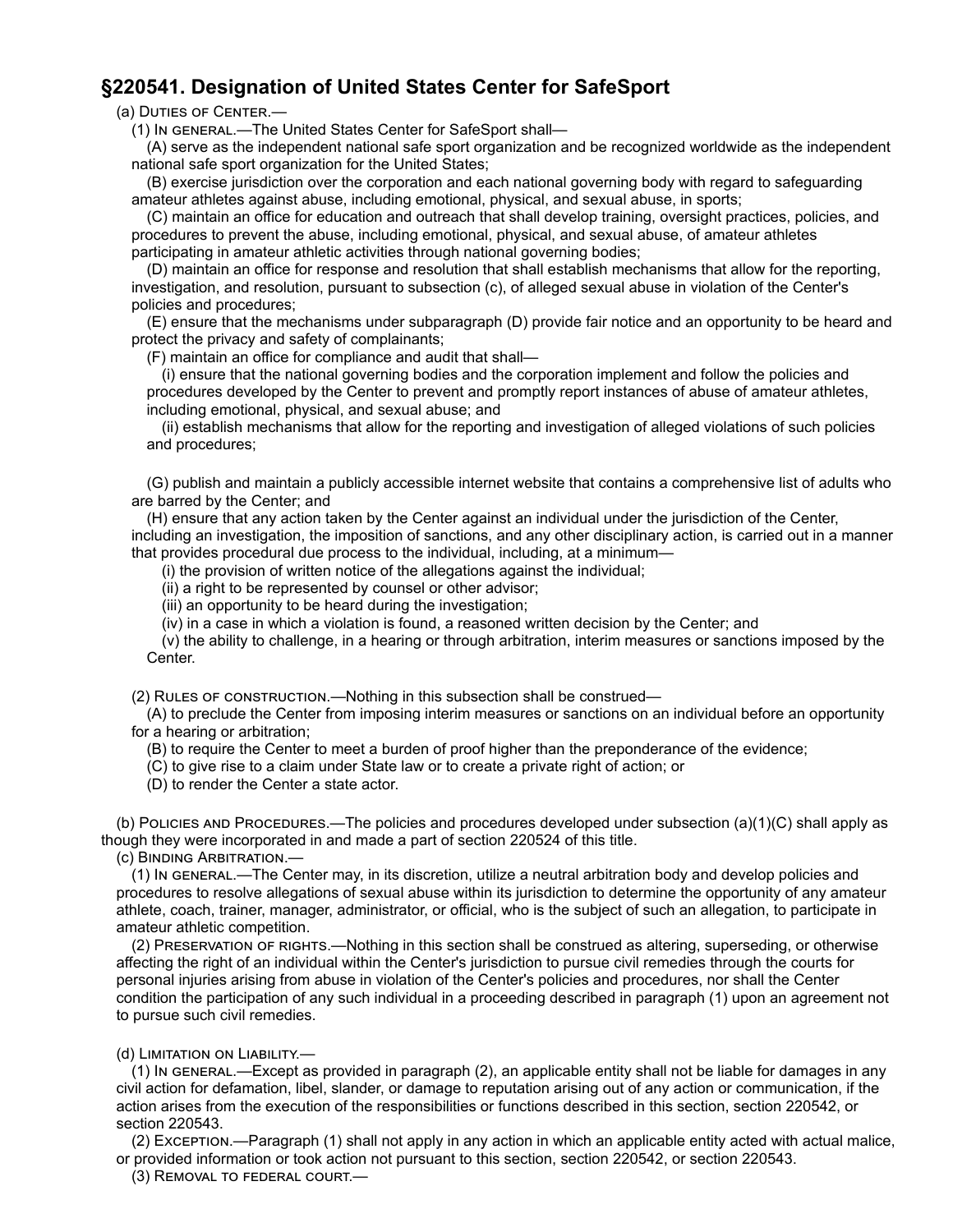# <span id="page-31-0"></span>**§220541. Designation of United States Center for SafeSport**

(a) DUTIES OF CENTER.—

(1) IN GENERAL.—The United States Center for SafeSport shall—

(A) serve as the independent national safe sport organization and be recognized worldwide as the independent national safe sport organization for the United States;

(B) exercise jurisdiction over the corporation and each national governing body with regard to safeguarding amateur athletes against abuse, including emotional, physical, and sexual abuse, in sports;

(C) maintain an office for education and outreach that shall develop training, oversight practices, policies, and procedures to prevent the abuse, including emotional, physical, and sexual abuse, of amateur athletes participating in amateur athletic activities through national governing bodies;

(D) maintain an office for response and resolution that shall establish mechanisms that allow for the reporting, investigation, and resolution, pursuant to subsection (c), of alleged sexual abuse in violation of the Center's policies and procedures;

(E) ensure that the mechanisms under subparagraph (D) provide fair notice and an opportunity to be heard and protect the privacy and safety of complainants;

(F) maintain an office for compliance and audit that shall—

(i) ensure that the national governing bodies and the corporation implement and follow the policies and procedures developed by the Center to prevent and promptly report instances of abuse of amateur athletes, including emotional, physical, and sexual abuse; and

(ii) establish mechanisms that allow for the reporting and investigation of alleged violations of such policies and procedures;

(G) publish and maintain a publicly accessible internet website that contains a comprehensive list of adults who are barred by the Center; and

(H) ensure that any action taken by the Center against an individual under the jurisdiction of the Center, including an investigation, the imposition of sanctions, and any other disciplinary action, is carried out in a manner that provides procedural due process to the individual, including, at a minimum—

(i) the provision of written notice of the allegations against the individual;

(ii) a right to be represented by counsel or other advisor;

(iii) an opportunity to be heard during the investigation;

(iv) in a case in which a violation is found, a reasoned written decision by the Center; and

(v) the ability to challenge, in a hearing or through arbitration, interim measures or sanctions imposed by the Center.

(2) RULES OF CONSTRUCTION.—Nothing in this subsection shall be construed—

(A) to preclude the Center from imposing interim measures or sanctions on an individual before an opportunity for a hearing or arbitration;

(B) to require the Center to meet a burden of proof higher than the preponderance of the evidence;

(C) to give rise to a claim under State law or to create a private right of action; or

(D) to render the Center a state actor.

(b) POLICIES AND PROCEDURES.—The policies and procedures developed under subsection (a)(1)(C) shall apply as though they were incorporated in and made a part of section 220524 of this title.

(c) BINDING ARBITRATION.—

(1) IN GENERAL.—The Center may, in its discretion, utilize a neutral arbitration body and develop policies and procedures to resolve allegations of sexual abuse within its jurisdiction to determine the opportunity of any amateur athlete, coach, trainer, manager, administrator, or official, who is the subject of such an allegation, to participate in amateur athletic competition.

(2) PRESERVATION OF RIGHTS.—Nothing in this section shall be construed as altering, superseding, or otherwise affecting the right of an individual within the Center's jurisdiction to pursue civil remedies through the courts for personal injuries arising from abuse in violation of the Center's policies and procedures, nor shall the Center condition the participation of any such individual in a proceeding described in paragraph (1) upon an agreement not to pursue such civil remedies.

#### (d) LIMITATION ON LIABILITY.—

(1) IN GENERAL.—Except as provided in paragraph (2), an applicable entity shall not be liable for damages in any civil action for defamation, libel, slander, or damage to reputation arising out of any action or communication, if the action arises from the execution of the responsibilities or functions described in this section, section 220542, or section 220543.

(2) EXCEPTION.—Paragraph (1) shall not apply in any action in which an applicable entity acted with actual malice, or provided information or took action not pursuant to this section, section 220542, or section 220543.

(3) REMOVAL TO FEDERAL COURT.—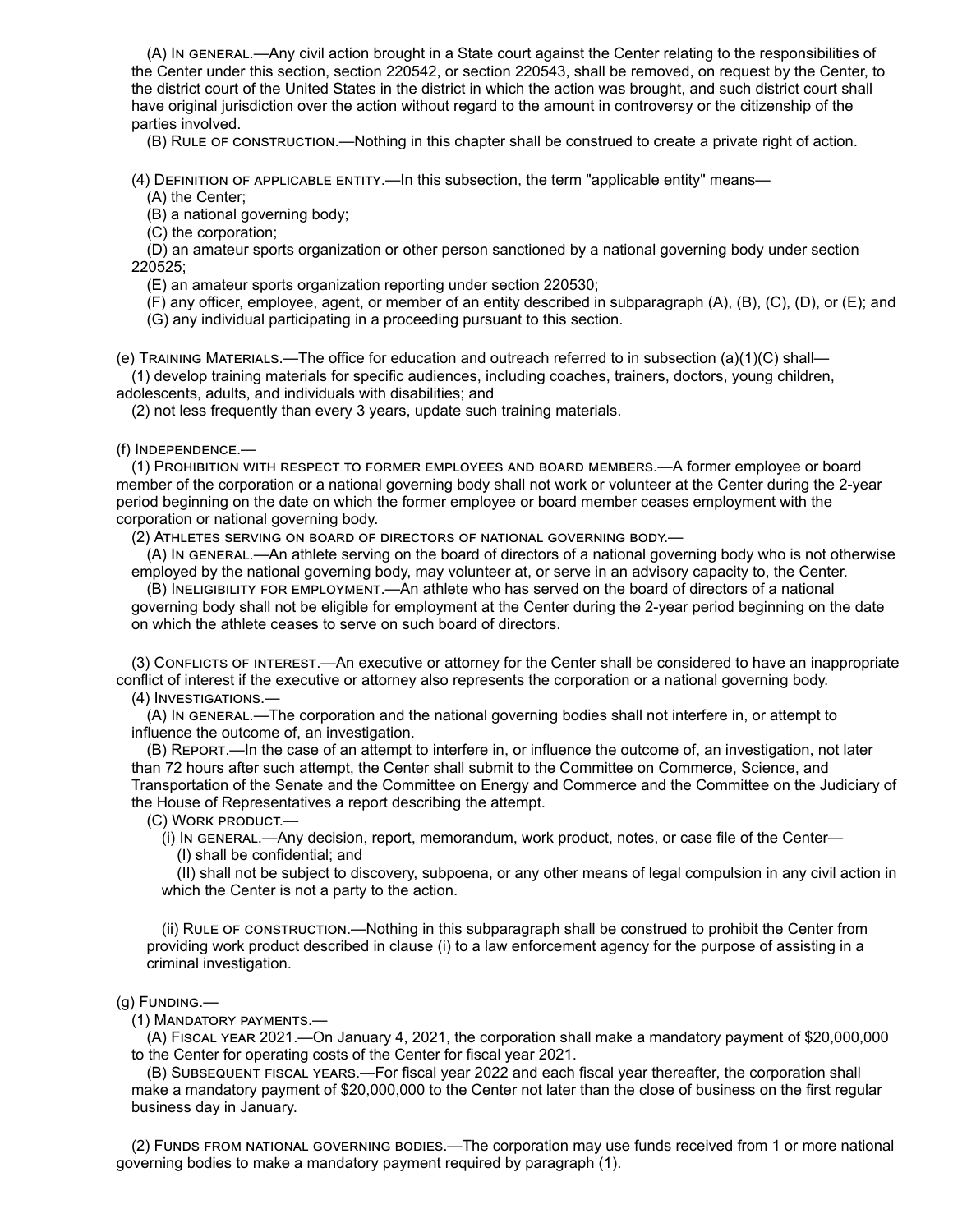(A) IN GENERAL.—Any civil action brought in a State court against the Center relating to the responsibilities of the Center under this section, section 220542, or section 220543, shall be removed, on request by the Center, to the district court of the United States in the district in which the action was brought, and such district court shall have original jurisdiction over the action without regard to the amount in controversy or the citizenship of the parties involved.

(B) RULE OF CONSTRUCTION.—Nothing in this chapter shall be construed to create a private right of action.

(4) DEFINITION OF APPLICABLE ENTITY.—In this subsection, the term "applicable entity" means— (A) the Center;

(B) a national governing body;

(C) the corporation;

(D) an amateur sports organization or other person sanctioned by a national governing body under section 220525;

(E) an amateur sports organization reporting under section 220530;

(F) any officer, employee, agent, or member of an entity described in subparagraph (A), (B), (C), (D), or (E); and

(G) any individual participating in a proceeding pursuant to this section.

(e) TRAINING MATERIALS.—The office for education and outreach referred to in subsection (a)(1)(C) shall— (1) develop training materials for specific audiences, including coaches, trainers, doctors, young children,

adolescents, adults, and individuals with disabilities; and

(2) not less frequently than every 3 years, update such training materials.

(f) INDEPENDENCE.—

(1) PROHIBITION WITH RESPECT TO FORMER EMPLOYEES AND BOARD MEMBERS.—A former employee or board member of the corporation or a national governing body shall not work or volunteer at the Center during the 2-year period beginning on the date on which the former employee or board member ceases employment with the corporation or national governing body.

(2) ATHLETES SERVING ON BOARD OF DIRECTORS OF NATIONAL GOVERNING BODY.—

(A) IN GENERAL.—An athlete serving on the board of directors of a national governing body who is not otherwise employed by the national governing body, may volunteer at, or serve in an advisory capacity to, the Center.

(B) INELIGIBILITY FOR EMPLOYMENT.—An athlete who has served on the board of directors of a national governing body shall not be eligible for employment at the Center during the 2-year period beginning on the date on which the athlete ceases to serve on such board of directors.

(3) CONFLICTS OF INTEREST.—An executive or attorney for the Center shall be considered to have an inappropriate conflict of interest if the executive or attorney also represents the corporation or a national governing body.

(4) INVESTIGATIONS.—

(A) IN GENERAL.—The corporation and the national governing bodies shall not interfere in, or attempt to influence the outcome of, an investigation.

(B) REPORT.—In the case of an attempt to interfere in, or influence the outcome of, an investigation, not later than 72 hours after such attempt, the Center shall submit to the Committee on Commerce, Science, and Transportation of the Senate and the Committee on Energy and Commerce and the Committee on the Judiciary of the House of Representatives a report describing the attempt.

(C) WORK PRODUCT.—

(i) IN GENERAL.—Any decision, report, memorandum, work product, notes, or case file of the Center—

(I) shall be confidential; and

(II) shall not be subject to discovery, subpoena, or any other means of legal compulsion in any civil action in which the Center is not a party to the action.

(ii) RULE OF CONSTRUCTION.—Nothing in this subparagraph shall be construed to prohibit the Center from providing work product described in clause (i) to a law enforcement agency for the purpose of assisting in a criminal investigation.

(g) FUNDING.—

(1) MANDATORY PAYMENTS.—

(A) FISCAL YEAR 2021.—On January 4, 2021, the corporation shall make a mandatory payment of \$20,000,000 to the Center for operating costs of the Center for fiscal year 2021.

(B) SUBSEQUENT FISCAL YEARS.—For fiscal year 2022 and each fiscal year thereafter, the corporation shall make a mandatory payment of \$20,000,000 to the Center not later than the close of business on the first regular business day in January.

(2) FUNDS FROM NATIONAL GOVERNING BODIES.—The corporation may use funds received from 1 or more national governing bodies to make a mandatory payment required by paragraph (1).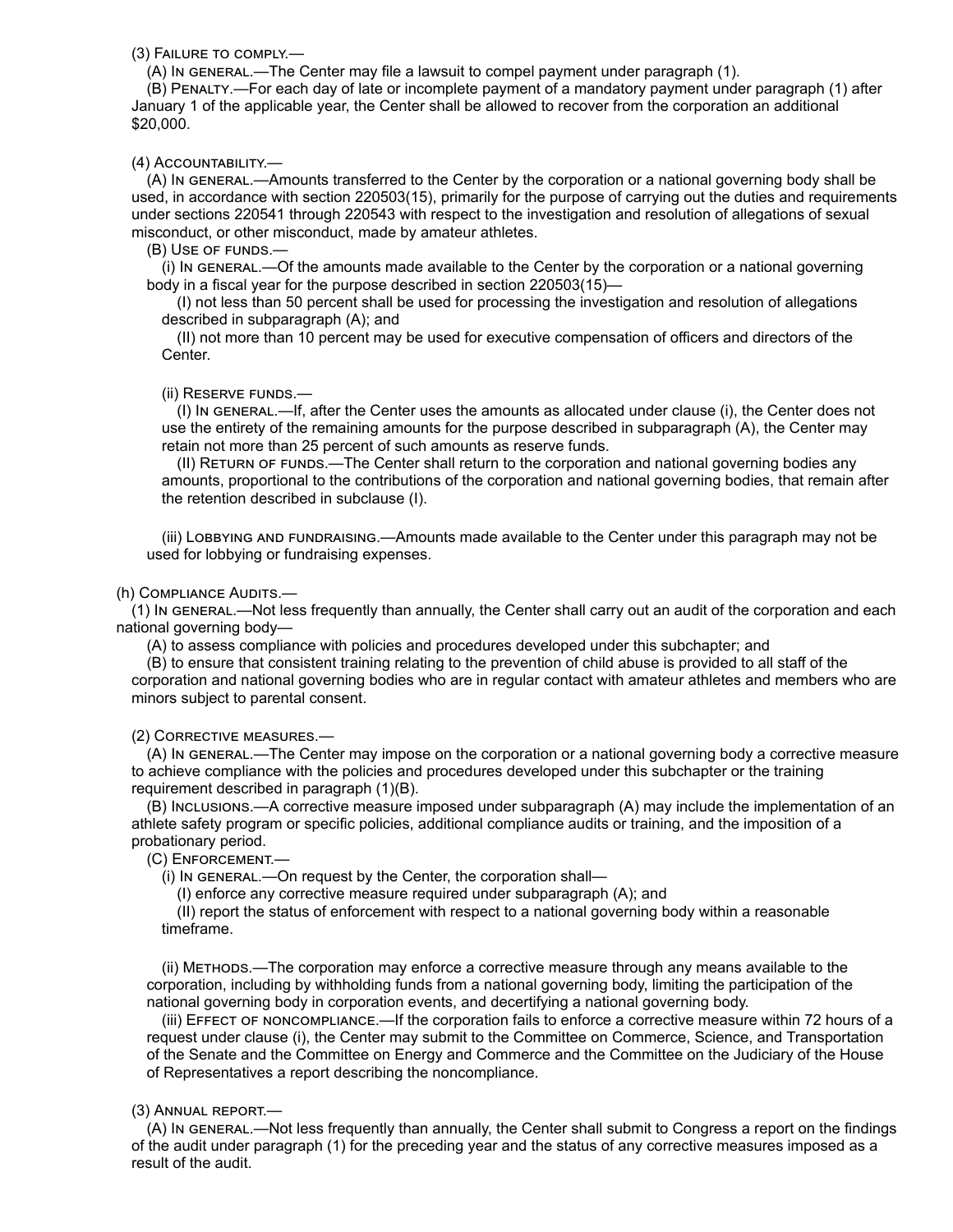#### (3) FAILURE TO COMPLY.—

(A) IN GENERAL.—The Center may file a lawsuit to compel payment under paragraph (1).

(B) PENALTY.—For each day of late or incomplete payment of a mandatory payment under paragraph (1) after January 1 of the applicable year, the Center shall be allowed to recover from the corporation an additional \$20,000.

#### (4) ACCOUNTABILITY.—

(A) IN GENERAL.—Amounts transferred to the Center by the corporation or a national governing body shall be used, in accordance with section 220503(15), primarily for the purpose of carrying out the duties and requirements under sections 220541 through 220543 with respect to the investigation and resolution of allegations of sexual misconduct, or other misconduct, made by amateur athletes.

(B) USE OF FUNDS.—

(i) IN GENERAL.—Of the amounts made available to the Center by the corporation or a national governing body in a fiscal year for the purpose described in section 220503(15)—

(I) not less than 50 percent shall be used for processing the investigation and resolution of allegations described in subparagraph (A); and

(II) not more than 10 percent may be used for executive compensation of officers and directors of the Center.

#### (ii) RESERVE FUNDS.—

(I) IN GENERAL.—If, after the Center uses the amounts as allocated under clause (i), the Center does not use the entirety of the remaining amounts for the purpose described in subparagraph (A), the Center may retain not more than 25 percent of such amounts as reserve funds.

(II) RETURN OF FUNDS.—The Center shall return to the corporation and national governing bodies any amounts, proportional to the contributions of the corporation and national governing bodies, that remain after the retention described in subclause (I).

(iii) LOBBYING AND FUNDRAISING.—Amounts made available to the Center under this paragraph may not be used for lobbying or fundraising expenses.

#### (h) COMPLIANCE AUDITS.—

(1) IN GENERAL.—Not less frequently than annually, the Center shall carry out an audit of the corporation and each national governing body—

(A) to assess compliance with policies and procedures developed under this subchapter; and

(B) to ensure that consistent training relating to the prevention of child abuse is provided to all staff of the corporation and national governing bodies who are in regular contact with amateur athletes and members who are minors subject to parental consent.

(2) CORRECTIVE MEASURES.—

(A) IN GENERAL.—The Center may impose on the corporation or a national governing body a corrective measure to achieve compliance with the policies and procedures developed under this subchapter or the training requirement described in paragraph (1)(B).

(B) INCLUSIONS.—A corrective measure imposed under subparagraph (A) may include the implementation of an athlete safety program or specific policies, additional compliance audits or training, and the imposition of a probationary period.

(C) ENFORCEMENT.—

(i) IN GENERAL.—On request by the Center, the corporation shall—

(I) enforce any corrective measure required under subparagraph (A); and

(II) report the status of enforcement with respect to a national governing body within a reasonable timeframe.

(ii) METHODS.—The corporation may enforce a corrective measure through any means available to the corporation, including by withholding funds from a national governing body, limiting the participation of the national governing body in corporation events, and decertifying a national governing body.

(iii) EFFECT OF NONCOMPLIANCE.—If the corporation fails to enforce a corrective measure within 72 hours of a request under clause (i), the Center may submit to the Committee on Commerce, Science, and Transportation of the Senate and the Committee on Energy and Commerce and the Committee on the Judiciary of the House of Representatives a report describing the noncompliance.

#### (3) ANNUAL REPORT.—

(A) IN GENERAL.—Not less frequently than annually, the Center shall submit to Congress a report on the findings of the audit under paragraph (1) for the preceding year and the status of any corrective measures imposed as a result of the audit.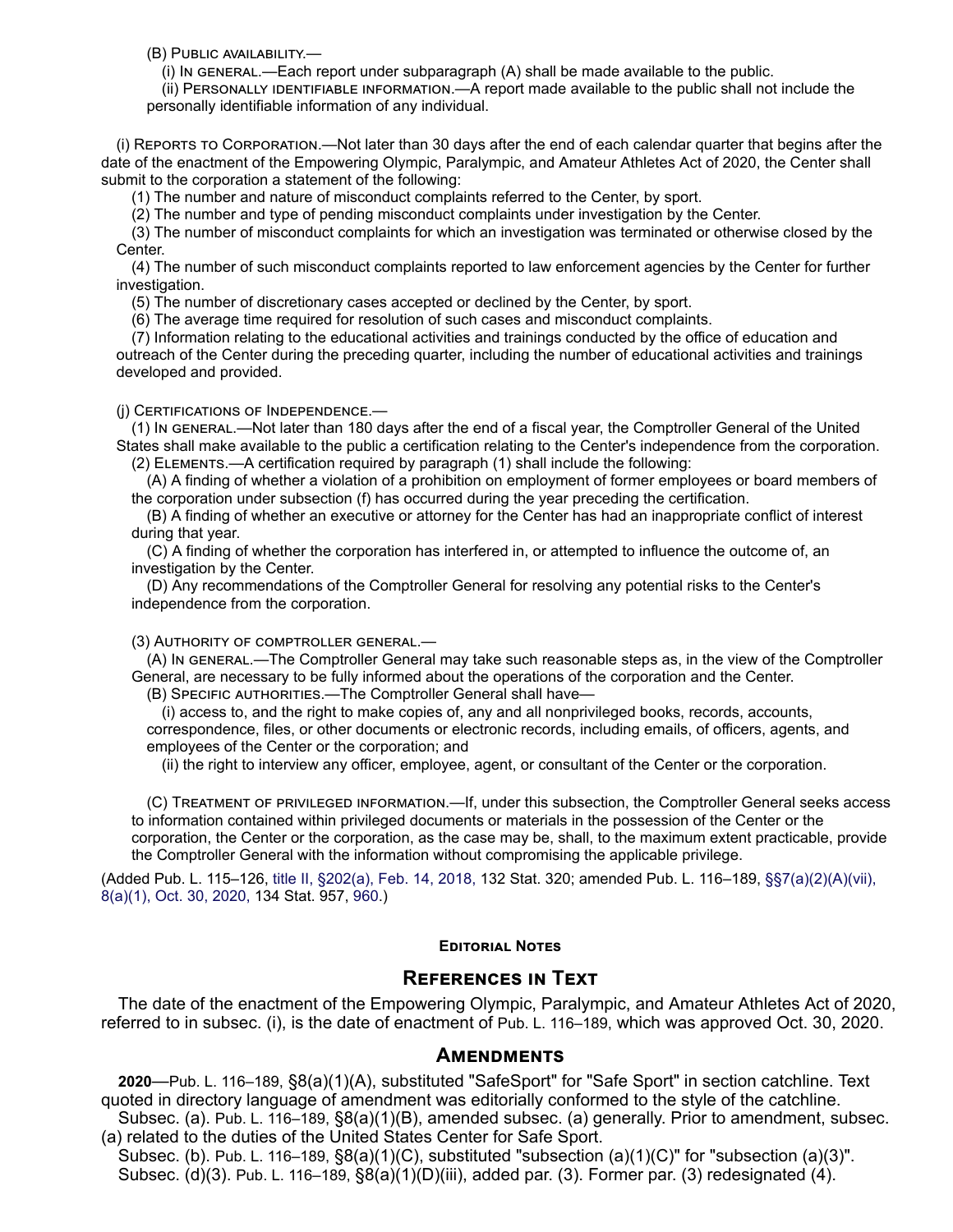(B) PUBLIC AVAILABILITY.—

(i) IN GENERAL.—Each report under subparagraph (A) shall be made available to the public.

(ii) PERSONALLY IDENTIFIABLE INFORMATION.—A report made available to the public shall not include the personally identifiable information of any individual.

(i) REPORTS TO CORPORATION.—Not later than 30 days after the end of each calendar quarter that begins after the date of the enactment of the Empowering Olympic, Paralympic, and Amateur Athletes Act of 2020, the Center shall submit to the corporation a statement of the following:

(1) The number and nature of misconduct complaints referred to the Center, by sport.

(2) The number and type of pending misconduct complaints under investigation by the Center.

(3) The number of misconduct complaints for which an investigation was terminated or otherwise closed by the Center.

(4) The number of such misconduct complaints reported to law enforcement agencies by the Center for further investigation.

(5) The number of discretionary cases accepted or declined by the Center, by sport.

(6) The average time required for resolution of such cases and misconduct complaints.

(7) Information relating to the educational activities and trainings conducted by the office of education and outreach of the Center during the preceding quarter, including the number of educational activities and trainings developed and provided.

(j) CERTIFICATIONS OF INDEPENDENCE.—

(1) IN GENERAL.—Not later than 180 days after the end of a fiscal year, the Comptroller General of the United States shall make available to the public a certification relating to the Center's independence from the corporation. (2) ELEMENTS.—A certification required by paragraph (1) shall include the following:

(A) A finding of whether a violation of a prohibition on employment of former employees or board members of the corporation under subsection (f) has occurred during the year preceding the certification.

(B) A finding of whether an executive or attorney for the Center has had an inappropriate conflict of interest during that year.

(C) A finding of whether the corporation has interfered in, or attempted to influence the outcome of, an investigation by the Center.

(D) Any recommendations of the Comptroller General for resolving any potential risks to the Center's independence from the corporation.

(3) AUTHORITY OF COMPTROLLER GENERAL.—

(A) IN GENERAL.—The Comptroller General may take such reasonable steps as, in the view of the Comptroller General, are necessary to be fully informed about the operations of the corporation and the Center.

(B) SPECIFIC AUTHORITIES.—The Comptroller General shall have—

(i) access to, and the right to make copies of, any and all nonprivileged books, records, accounts, correspondence, files, or other documents or electronic records, including emails, of officers, agents, and employees of the Center or the corporation; and

(ii) the right to interview any officer, employee, agent, or consultant of the Center or the corporation.

(C) TREATMENT OF PRIVILEGED INFORMATION.—If, under this subsection, the Comptroller General seeks access to information contained within privileged documents or materials in the possession of the Center or the corporation, the Center or the corporation, as the case may be, shall, to the maximum extent practicable, provide the Comptroller General with the information without compromising the applicable privilege.

(Added [Pub. L. 115–126, title II, §202\(a\), Feb. 14, 2018, 132 Stat. 320](https://uscode.house.gov/statviewer.htm?volume=132&page=320); amended [Pub. L. 116–189, §§7\(a\)\(2\)\(A\)\(vii\),](https://uscode.house.gov/statviewer.htm?volume=134&page=957) [8\(a\)\(1\), Oct. 30, 2020, 134 Stat. 957,](https://uscode.house.gov/statviewer.htm?volume=134&page=957) [960](https://uscode.house.gov/statviewer.htm?volume=134&page=960).)

### **EDITORIAL NOTES**

### **REFERENCES IN TEXT**

The date of the enactment of the Empowering Olympic, Paralympic, and Amateur Athletes Act of 2020, referred to in subsec. (i), is the date of enactment of Pub. L. 116–189, which was approved Oct. 30, 2020.

### **AMENDMENTS**

**2020**—Pub. L. 116–189, §8(a)(1)(A), substituted "SafeSport" for "Safe Sport" in section catchline. Text quoted in directory language of amendment was editorially conformed to the style of the catchline. Subsec. (a). Pub. L. 116–189, §8(a)(1)(B), amended subsec. (a) generally. Prior to amendment, subsec.

(a) related to the duties of the United States Center for Safe Sport. Subsec. (b). Pub. L. 116–189,  $\S( a)(1)(C)$ , substituted "subsection  $(a)(1)(C)$ " for "subsection  $(a)(3)$ ". Subsec. (d)(3). Pub. L. 116–189,  $\S8(a)(1)(D)(iii)$ , added par. (3). Former par. (3) redesignated (4).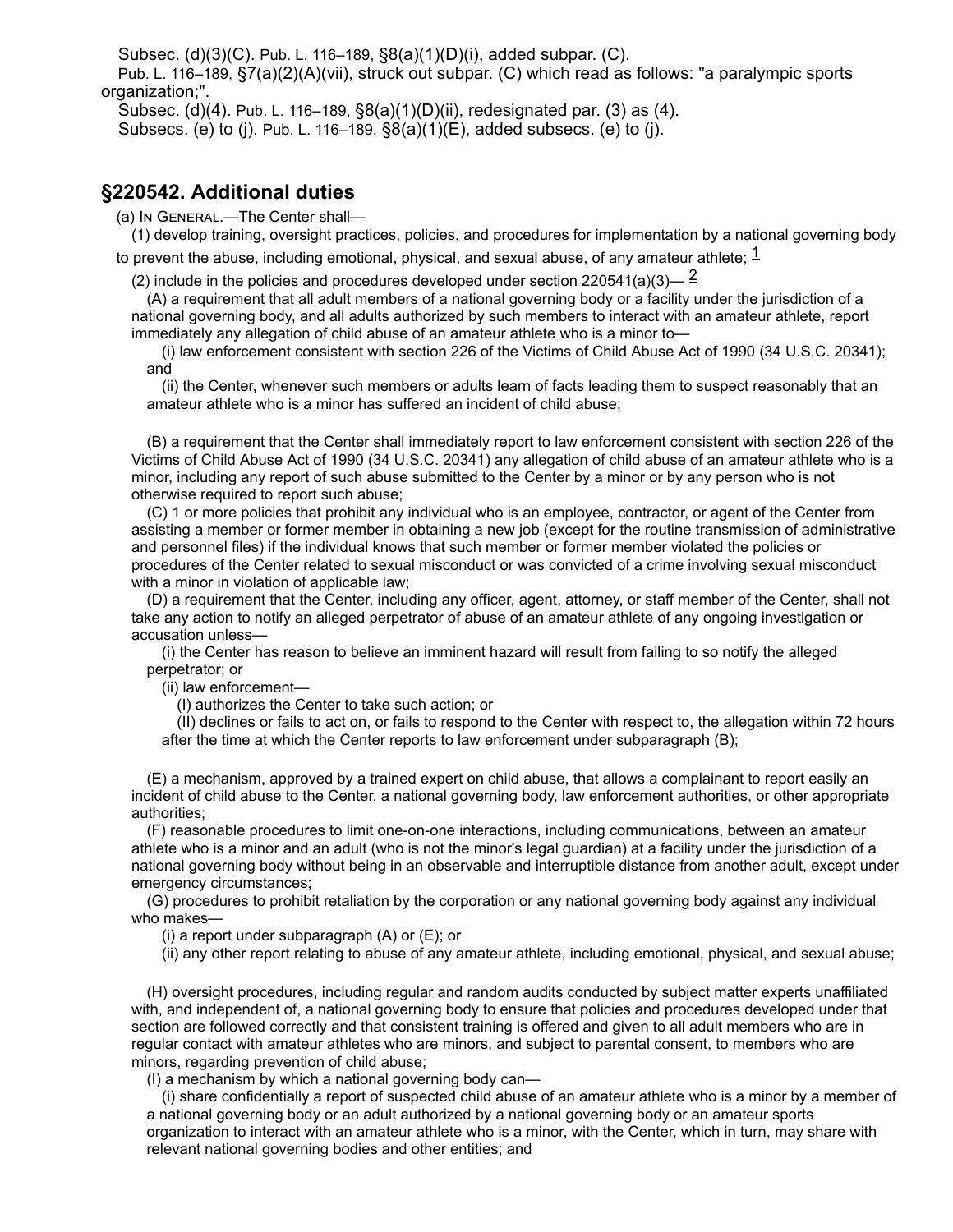Subsec. (d)(3)(C). Pub. L. 116–189, §8(a)(1)(D)(i), added subpar. (C).

Pub. L. 116–189, §7(a)(2)(A)(vii), struck out subpar. (C) which read as follows: "a paralympic sports organization;".

Subsec. (d)(4). Pub. L. 116–189, §8(a)(1)(D)(ii), redesignated par. (3) as (4). Subsecs. (e) to (j). Pub. L. 116–189, §8(a)(1)(E), added subsecs. (e) to (j).

## <span id="page-35-0"></span>**§220542. Additional duties**

(a) IN GENERAL.—The Center shall—

(1) develop training, oversight practices, policies, and procedures for implementation by a national governing body

to prevent the abuse, including emotional, physical, and sexual abuse, of any amateur athlete;  $\frac{1}{1}$ 

(2) include in the policies and procedures developed under section 220541(a)(3)— $\frac{2}{3}$ 

(A) a requirement that all adult members of a national governing body or a facility under the jurisdiction of a national governing body, and all adults authorized by such members to interact with an amateur athlete, report immediately any allegation of child abuse of an amateur athlete who is a minor to—

(i) law enforcement consistent with section 226 of the Victims of Child Abuse Act of 1990 (34 U.S.C. 20341); and

(ii) the Center, whenever such members or adults learn of facts leading them to suspect reasonably that an amateur athlete who is a minor has suffered an incident of child abuse;

(B) a requirement that the Center shall immediately report to law enforcement consistent with section 226 of the Victims of Child Abuse Act of 1990 (34 U.S.C. 20341) any allegation of child abuse of an amateur athlete who is a minor, including any report of such abuse submitted to the Center by a minor or by any person who is not otherwise required to report such abuse;

(C) 1 or more policies that prohibit any individual who is an employee, contractor, or agent of the Center from assisting a member or former member in obtaining a new job (except for the routine transmission of administrative and personnel files) if the individual knows that such member or former member violated the policies or procedures of the Center related to sexual misconduct or was convicted of a crime involving sexual misconduct with a minor in violation of applicable law;

(D) a requirement that the Center, including any officer, agent, attorney, or staff member of the Center, shall not take any action to notify an alleged perpetrator of abuse of an amateur athlete of any ongoing investigation or accusation unless—

(i) the Center has reason to believe an imminent hazard will result from failing to so notify the alleged perpetrator; or

(ii) law enforcement—

(I) authorizes the Center to take such action; or

(II) declines or fails to act on, or fails to respond to the Center with respect to, the allegation within 72 hours after the time at which the Center reports to law enforcement under subparagraph (B);

(E) a mechanism, approved by a trained expert on child abuse, that allows a complainant to report easily an incident of child abuse to the Center, a national governing body, law enforcement authorities, or other appropriate authorities;

(F) reasonable procedures to limit one-on-one interactions, including communications, between an amateur athlete who is a minor and an adult (who is not the minor's legal guardian) at a facility under the jurisdiction of a national governing body without being in an observable and interruptible distance from another adult, except under emergency circumstances;

(G) procedures to prohibit retaliation by the corporation or any national governing body against any individual who makes—

(i) a report under subparagraph (A) or (E); or

(ii) any other report relating to abuse of any amateur athlete, including emotional, physical, and sexual abuse;

(H) oversight procedures, including regular and random audits conducted by subject matter experts unaffiliated with, and independent of, a national governing body to ensure that policies and procedures developed under that section are followed correctly and that consistent training is offered and given to all adult members who are in regular contact with amateur athletes who are minors, and subject to parental consent, to members who are minors, regarding prevention of child abuse;

(I) a mechanism by which a national governing body can—

(i) share confidentially a report of suspected child abuse of an amateur athlete who is a minor by a member of a national governing body or an adult authorized by a national governing body or an amateur sports organization to interact with an amateur athlete who is a minor, with the Center, which in turn, may share with relevant national governing bodies and other entities; and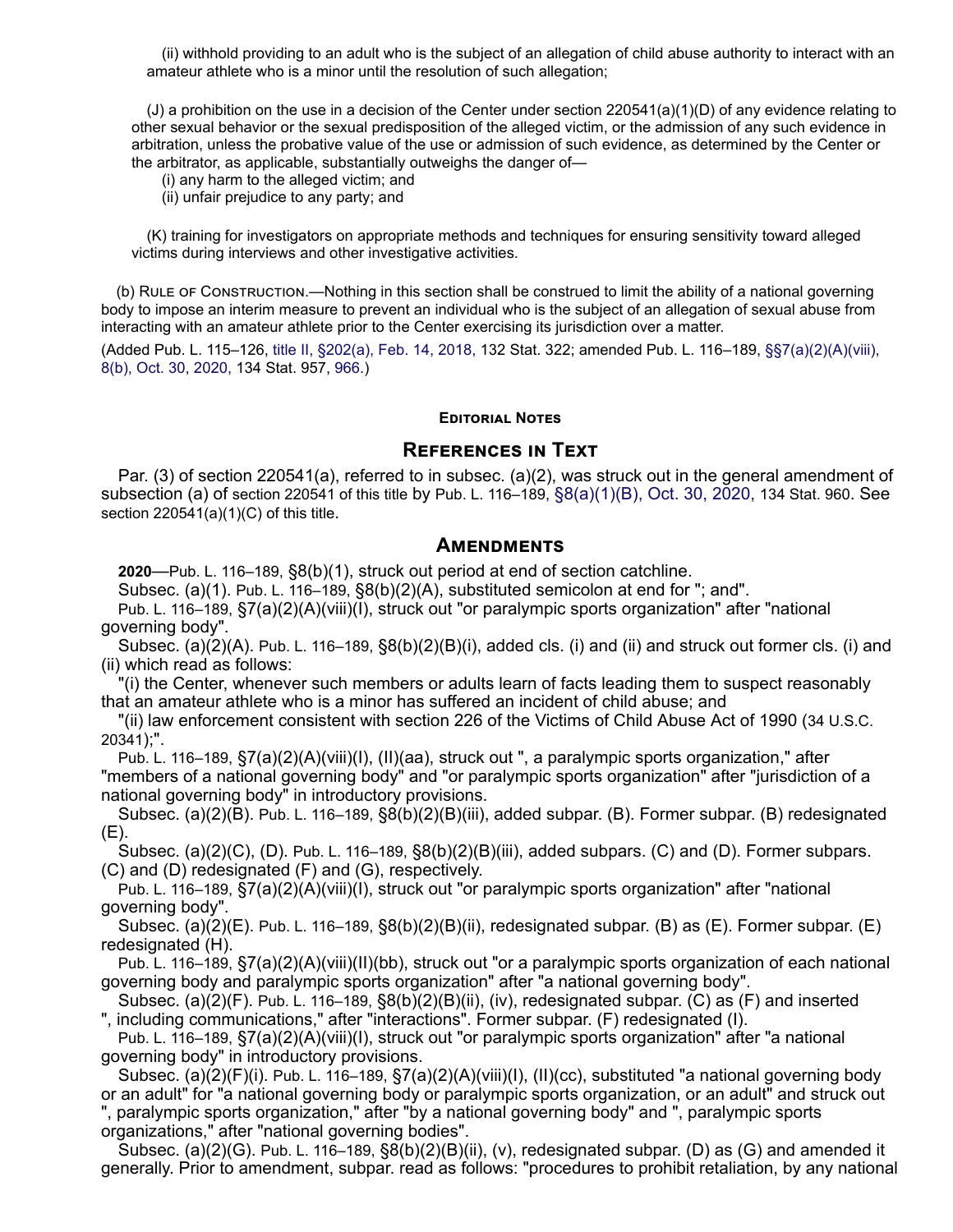(ii) withhold providing to an adult who is the subject of an allegation of child abuse authority to interact with an amateur athlete who is a minor until the resolution of such allegation;

(J) a prohibition on the use in a decision of the Center under section 220541(a)(1)(D) of any evidence relating to other sexual behavior or the sexual predisposition of the alleged victim, or the admission of any such evidence in arbitration, unless the probative value of the use or admission of such evidence, as determined by the Center or the arbitrator, as applicable, substantially outweighs the danger of—

- (i) any harm to the alleged victim; and
- (ii) unfair prejudice to any party; and

(K) training for investigators on appropriate methods and techniques for ensuring sensitivity toward alleged victims during interviews and other investigative activities.

(b) RULE OF CONSTRUCTION.—Nothing in this section shall be construed to limit the ability of a national governing body to impose an interim measure to prevent an individual who is the subject of an allegation of sexual abuse from interacting with an amateur athlete prior to the Center exercising its jurisdiction over a matter.

(Added [Pub. L. 115–126, title II, §202\(a\), Feb. 14, 2018, 132 Stat. 322](https://uscode.house.gov/statviewer.htm?volume=132&page=322); [amended Pub. L. 116–189, §§7\(a\)\(2\)\(A\)\(viii\),](https://uscode.house.gov/statviewer.htm?volume=134&page=957) [8\(b\), Oct. 30, 2020, 134 Stat. 957,](https://uscode.house.gov/statviewer.htm?volume=134&page=957) [966.](https://uscode.house.gov/statviewer.htm?volume=134&page=966))

#### **EDITORIAL NOTES**

### **REFERENCES IN TEXT**

Par. (3) of section 220541(a), referred to in subsec. (a)(2), was struck out in the general amendment of subsection (a) of section 220541 of this title by Pub. L. 116–189, [§8\(a\)\(1\)\(B\), Oct. 30, 2020,](https://uscode.house.gov/statviewer.htm?volume=134&page=960) 134 Stat. 960. See section  $220541(a)(1)(C)$  of this title.

### **AMENDMENTS**

**2020**—Pub. L. 116–189, §8(b)(1), struck out period at end of section catchline.

Subsec. (a)(1). Pub. L. 116–189, §8(b)(2)(A), substituted semicolon at end for "; and".

Pub. L. 116–189, §7(a)(2)(A)(viii)(I), struck out "or paralympic sports organization" after "national governing body".

Subsec. (a)(2)(A). Pub. L. 116–189, §8(b)(2)(B)(i), added cls. (i) and (ii) and struck out former cls. (i) and (ii) which read as follows:

"(i) the Center, whenever such members or adults learn of facts leading them to suspect reasonably that an amateur athlete who is a minor has suffered an incident of child abuse; and

"(ii) law enforcement consistent with section 226 of the Victims of Child Abuse Act of 1990 (34 U.S.C. 20341);".

Pub. L. 116–189, §7(a)(2)(A)(viii)(I), (II)(aa), struck out ", a paralympic sports organization," after "members of a national governing body" and "or paralympic sports organization" after "jurisdiction of a national governing body" in introductory provisions.

Subsec. (a)(2)(B). Pub. L. 116–189, §8(b)(2)(B)(iii), added subpar. (B). Former subpar. (B) redesignated (E).

Subsec. (a)(2)(C), (D). Pub. L. 116–189,  $\S8(b)(2)(B)(iii)$ , added subpars. (C) and (D). Former subpars. (C) and (D) redesignated (F) and (G), respectively.

Pub. L. 116–189, §7(a)(2)(A)(viii)(I), struck out "or paralympic sports organization" after "national governing body".

Subsec. (a)(2)(E). Pub. L. 116–189, §8(b)(2)(B)(ii), redesignated subpar. (B) as (E). Former subpar. (E) redesignated (H).

Pub. L. 116–189, §7(a)(2)(A)(viii)(II)(bb), struck out "or a paralympic sports organization of each national governing body and paralympic sports organization" after "a national governing body".

Subsec. (a)(2)(F). Pub. L. 116–189, §8(b)(2)(B)(ii), (iv), redesignated subpar. (C) as (F) and inserted ", including communications," after "interactions". Former subpar. (F) redesignated (I).

Pub. L. 116–189, §7(a)(2)(A)(viii)(I), struck out "or paralympic sports organization" after "a national governing body" in introductory provisions.

Subsec. (a)(2)(F)(i). Pub. L. 116–189, §7(a)(2)(A)(viii)(I), (II)(cc), substituted "a national governing body or an adult" for "a national governing body or paralympic sports organization, or an adult" and struck out ", paralympic sports organization," after "by a national governing body" and ", paralympic sports organizations," after "national governing bodies".

Subsec. (a)(2)(G). Pub. L. 116–189, §8(b)(2)(B)(ii), (v), redesignated subpar. (D) as (G) and amended it generally. Prior to amendment, subpar. read as follows: "procedures to prohibit retaliation, by any national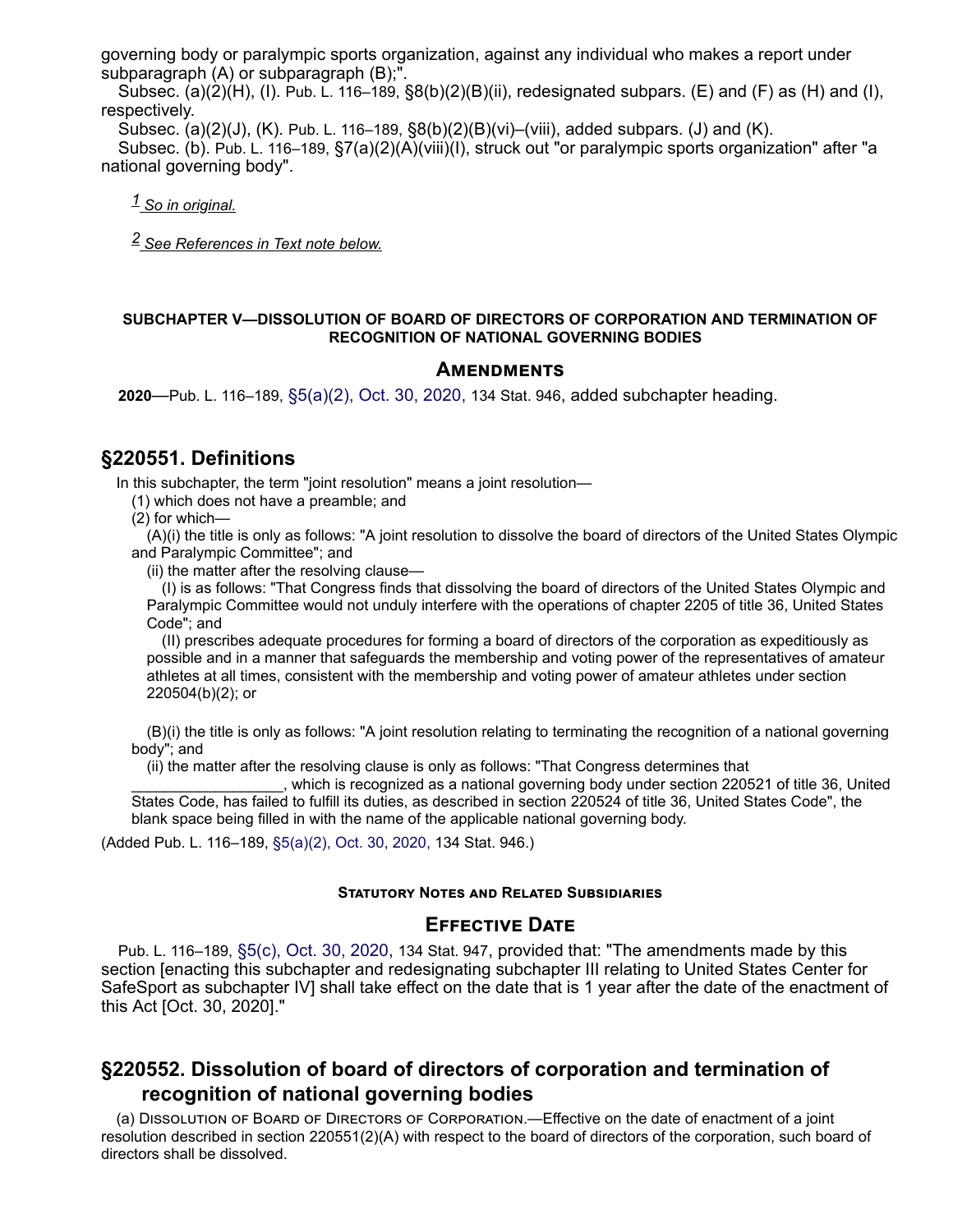governing body or paralympic sports organization, against any individual who makes a report under subparagraph (A) or subparagraph (B);".

Subsec. (a)(2)(H), (I). Pub. L. 116–189,  $\S8(b)(2)(B)(ii)$ , redesignated subpars. (E) and (F) as (H) and (I), respectively.

Subsec. (a)(2)(J), (K). Pub. L. 116–189, §8(b)(2)(B)(vi)–(viii), added subpars. (J) and (K).

Subsec. (b). Pub. L. 116–189, §7(a)(2)(A)(viii)(I), struck out "or paralympic sports organization" after "a national governing body".

*1 So in original.* 

*2 See References in Text note below.* 

### **SUBCHAPTER V—DISSOLUTION OF BOARD OF DIRECTORS OF CORPORATION AND TERMINATION OF RECOGNITION OF NATIONAL GOVERNING BODIES**

### **AMENDMENTS**

**2020**—Pub. L. 116–189, [§5\(a\)\(2\), Oct. 30, 2020,](https://uscode.house.gov/statviewer.htm?volume=134&page=946) 134 Stat. 946, added subchapter heading.

# **§220551. Definitions**

In this subchapter, the term "joint resolution" means a joint resolution—

(1) which does not have a preamble; and

(2) for which—

(A)(i) the title is only as follows: "A joint resolution to dissolve the board of directors of the United States Olympic and Paralympic Committee"; and

(ii) the matter after the resolving clause—

(I) is as follows: "That Congress finds that dissolving the board of directors of the United States Olympic and Paralympic Committee would not unduly interfere with the operations of chapter 2205 of title 36, United States Code"; and

(II) prescribes adequate procedures for forming a board of directors of the corporation as expeditiously as possible and in a manner that safeguards the membership and voting power of the representatives of amateur athletes at all times, consistent with the membership and voting power of amateur athletes under section 220504(b)(2); or

(B)(i) the title is only as follows: "A joint resolution relating to terminating the recognition of a national governing body"; and

(ii) the matter after the resolving clause is only as follows: "That Congress determines that

\_\_\_\_\_\_\_\_\_\_\_\_\_\_\_\_\_\_, which is recognized as a national governing body under section 220521 of title 36, United States Code, has failed to fulfill its duties, as described in section 220524 of title 36, United States Code", the blank space being filled in with the name of the applicable national governing body.

(Added [Pub. L. 116–189, §5\(a\)\(2\), Oct. 30, 2020, 134 Stat. 946.](https://uscode.house.gov/statviewer.htm?volume=134&page=946))

### **STATUTORY NOTES AND RELATED SUBSIDIARIES**

### **EFFECTIVE DATE**

Pub. L. 116–189, [§5\(c\), Oct. 30, 2020,](https://uscode.house.gov/statviewer.htm?volume=134&page=947) 134 Stat. 947, provided that: "The amendments made by this section [enacting this subchapter and redesignating subchapter III relating to United States Center for SafeSport as subchapter IV] shall take effect on the date that is 1 year after the date of the enactment of this Act [Oct. 30, 2020]."

# **§220552. Dissolution of board of directors of corporation and termination of recognition of national governing bodies**

(a) DISSOLUTION OF BOARD OF DIRECTORS OF CORPORATION.—Effective on the date of enactment of a joint resolution described in section 220551(2)(A) with respect to the board of directors of the corporation, such board of directors shall be dissolved.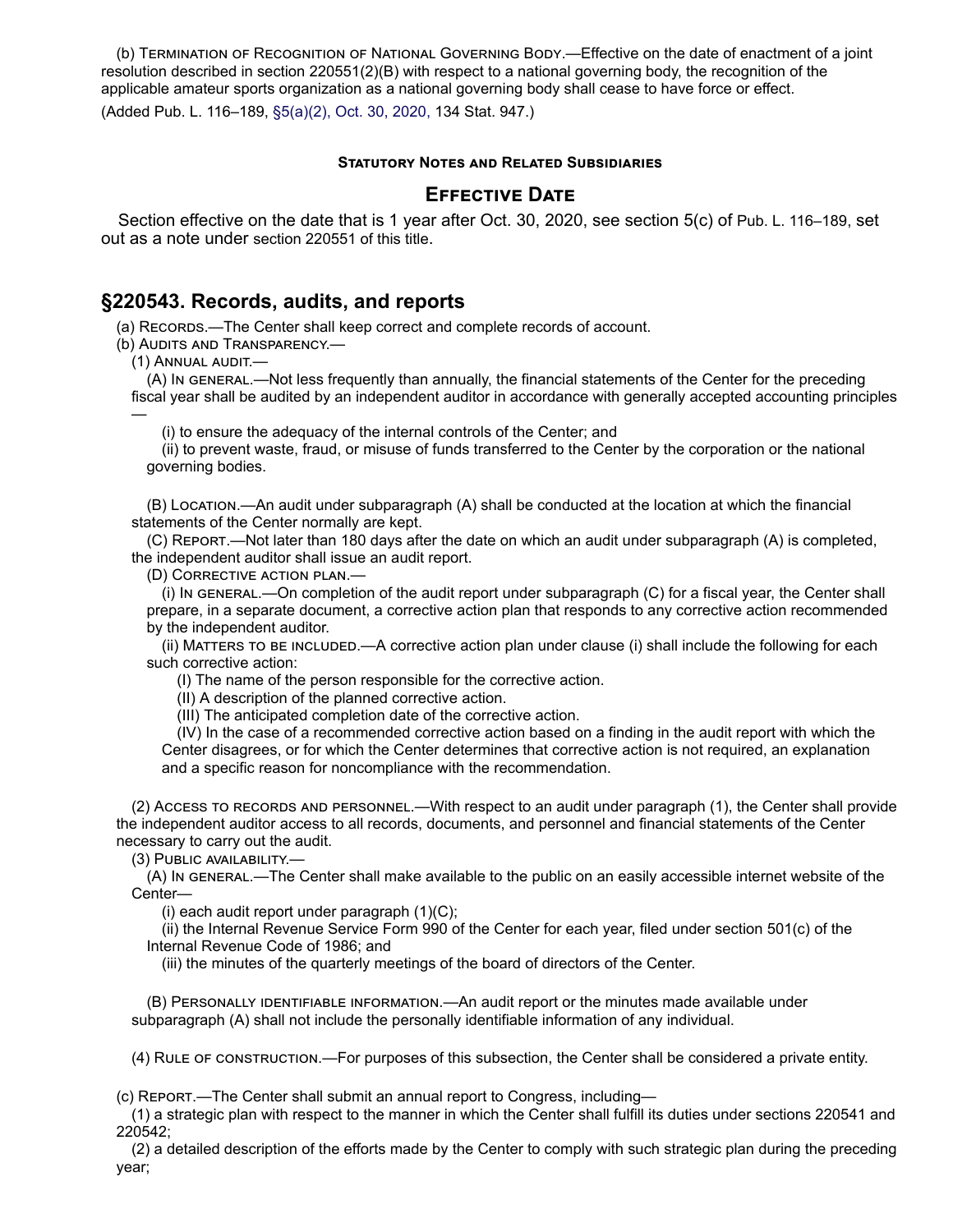(b) TERMINATION OF RECOGNITION OF NATIONAL GOVERNING BODY.—Effective on the date of enactment of a joint resolution described in section 220551(2)(B) with respect to a national governing body, the recognition of the applicable amateur sports organization as a national governing body shall cease to have force or effect.

(Added [Pub. L. 116–189, §5\(a\)\(2\), Oct. 30, 2020, 134 Stat. 947](https://uscode.house.gov/statviewer.htm?volume=134&page=947).)

### **STATUTORY NOTES AND RELATED SUBSIDIARIES**

# **EFFECTIVE DATE**

Section effective on the date that is 1 year after Oct. 30, 2020, see section 5(c) of Pub. L. 116–189, set out as a note under section 220551 of this title.

# <span id="page-38-0"></span>**§220543. Records, audits, and reports**

(a) RECORDS.—The Center shall keep correct and complete records of account.

- (b) AUDITS AND TRANSPARENCY.—
	- (1) ANNUAL AUDIT.—

—

(A) IN GENERAL.—Not less frequently than annually, the financial statements of the Center for the preceding fiscal year shall be audited by an independent auditor in accordance with generally accepted accounting principles

(i) to ensure the adequacy of the internal controls of the Center; and

(ii) to prevent waste, fraud, or misuse of funds transferred to the Center by the corporation or the national governing bodies.

(B) LOCATION.—An audit under subparagraph (A) shall be conducted at the location at which the financial statements of the Center normally are kept.

(C) REPORT.—Not later than 180 days after the date on which an audit under subparagraph (A) is completed, the independent auditor shall issue an audit report.

(D) CORRECTIVE ACTION PLAN.—

(i) IN GENERAL.—On completion of the audit report under subparagraph (C) for a fiscal year, the Center shall prepare, in a separate document, a corrective action plan that responds to any corrective action recommended by the independent auditor.

(ii) MATTERS TO BE INCLUDED.—A corrective action plan under clause (i) shall include the following for each such corrective action:

(I) The name of the person responsible for the corrective action.

(II) A description of the planned corrective action.

(III) The anticipated completion date of the corrective action.

(IV) In the case of a recommended corrective action based on a finding in the audit report with which the Center disagrees, or for which the Center determines that corrective action is not required, an explanation and a specific reason for noncompliance with the recommendation.

(2) ACCESS TO RECORDS AND PERSONNEL.—With respect to an audit under paragraph (1), the Center shall provide the independent auditor access to all records, documents, and personnel and financial statements of the Center necessary to carry out the audit.

(3) PUBLIC AVAILABILITY.—

(A) IN GENERAL.—The Center shall make available to the public on an easily accessible internet website of the Center—

(i) each audit report under paragraph (1)(C);

(ii) the Internal Revenue Service Form 990 of the Center for each year, filed under section 501(c) of the Internal Revenue Code of 1986; and

(iii) the minutes of the quarterly meetings of the board of directors of the Center.

(B) PERSONALLY IDENTIFIABLE INFORMATION.—An audit report or the minutes made available under subparagraph (A) shall not include the personally identifiable information of any individual.

(4) RULE OF CONSTRUCTION.—For purposes of this subsection, the Center shall be considered a private entity.

(c) REPORT.—The Center shall submit an annual report to Congress, including—

(1) a strategic plan with respect to the manner in which the Center shall fulfill its duties under sections 220541 and 220542;

(2) a detailed description of the efforts made by the Center to comply with such strategic plan during the preceding year;